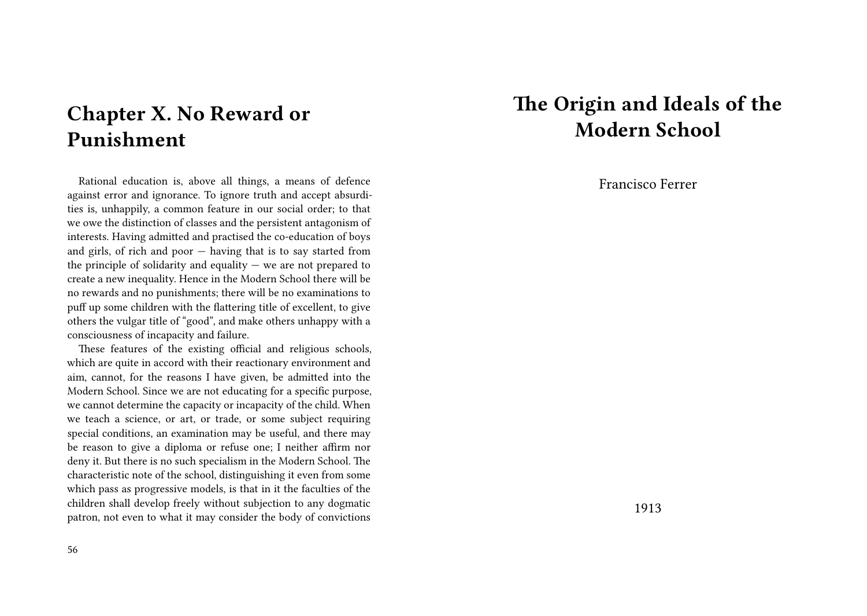# **Chapter X. No Reward or Punishment**

Rational education is, above all things, a means of defence against error and ignorance. To ignore truth and accept absurdities is, unhappily, a common feature in our social order; to that we owe the distinction of classes and the persistent antagonism of interests. Having admitted and practised the co-education of boys and girls, of rich and poor — having that is to say started from the principle of solidarity and equality  $-$  we are not prepared to create a new inequality. Hence in the Modern School there will be no rewards and no punishments; there will be no examinations to puff up some children with the flattering title of excellent, to give others the vulgar title of "good", and make others unhappy with a consciousness of incapacity and failure.

These features of the existing official and religious schools, which are quite in accord with their reactionary environment and aim, cannot, for the reasons I have given, be admitted into the Modern School. Since we are not educating for a specific purpose, we cannot determine the capacity or incapacity of the child. When we teach a science, or art, or trade, or some subject requiring special conditions, an examination may be useful, and there may be reason to give a diploma or refuse one; I neither affirm nor deny it. But there is no such specialism in the Modern School. The characteristic note of the school, distinguishing it even from some which pass as progressive models, is that in it the faculties of the children shall develop freely without subjection to any dogmatic patron, not even to what it may consider the body of convictions

# **The Origin and Ideals of the Modern School**

Francisco Ferrer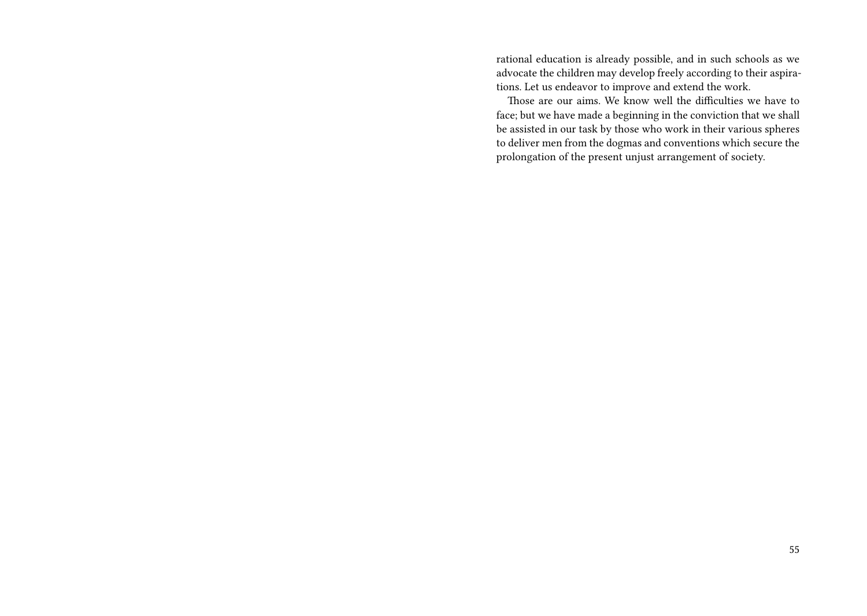rational education is already possible, and in such schools as we advocate the children may develop freely according to their aspirations. Let us endeavor to improve and extend the work.

Those are our aims. We know well the difficulties we have to face; but we have made a beginning in the conviction that we shall be assisted in our task by those who work in their various spheres to deliver men from the dogmas and conventions which secure the prolongation of the present unjust arrangement of society.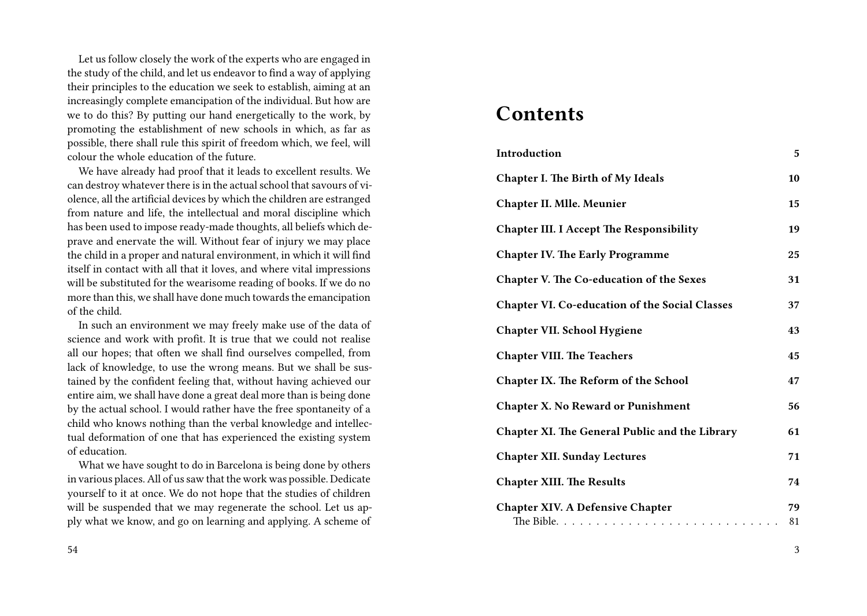Let us follow closely the work of the experts who are engaged in the study of the child, and let us endeavor to find a way of applying their principles to the education we seek to establish, aiming at an increasingly complete emancipation of the individual. But how are we to do this? By putting our hand energetically to the work, by promoting the establishment of new schools in which, as far as possible, there shall rule this spirit of freedom which, we feel, will colour the whole education of the future.

We have already had proof that it leads to excellent results. We can destroy whatever there is in the actual school that savours of violence, all the artificial devices by which the children are estranged from nature and life, the intellectual and moral discipline which has been used to impose ready-made thoughts, all beliefs which deprave and enervate the will. Without fear of injury we may place the child in a proper and natural environment, in which it will find itself in contact with all that it loves, and where vital impressions will be substituted for the wearisome reading of books. If we do no more than this, we shall have done much towards the emancipation of the child.

In such an environment we may freely make use of the data of science and work with profit. It is true that we could not realise all our hopes; that often we shall find ourselves compelled, from lack of knowledge, to use the wrong means. But we shall be sustained by the confident feeling that, without having achieved our entire aim, we shall have done a great deal more than is being done by the actual school. I would rather have the free spontaneity of a child who knows nothing than the verbal knowledge and intellectual deformation of one that has experienced the existing system of education.

What we have sought to do in Barcelona is being done by others in various places. All of us saw that the work was possible. Dedicate yourself to it at once. We do not hope that the studies of children will be suspended that we may regenerate the school. Let us apply what we know, and go on learning and applying. A scheme of

#### 54

### **Contents**

| Introduction                                          | 5        |
|-------------------------------------------------------|----------|
| <b>Chapter I. The Birth of My Ideals</b>              | 10       |
| Chapter II. Mlle. Meunier                             | 15       |
| <b>Chapter III. I Accept The Responsibility</b>       | 19       |
| <b>Chapter IV. The Early Programme</b>                | 25       |
| <b>Chapter V. The Co-education of the Sexes</b>       | 31       |
| <b>Chapter VI. Co-education of the Social Classes</b> | 37       |
| <b>Chapter VII. School Hygiene</b>                    | 43       |
| <b>Chapter VIII. The Teachers</b>                     | 45       |
| <b>Chapter IX. The Reform of the School</b>           | 47       |
| <b>Chapter X. No Reward or Punishment</b>             | 56       |
| <b>Chapter XI. The General Public and the Library</b> | 61       |
| <b>Chapter XII. Sunday Lectures</b>                   | 71       |
| <b>Chapter XIII. The Results</b>                      | 74       |
| <b>Chapter XIV. A Defensive Chapter</b>               | 79<br>81 |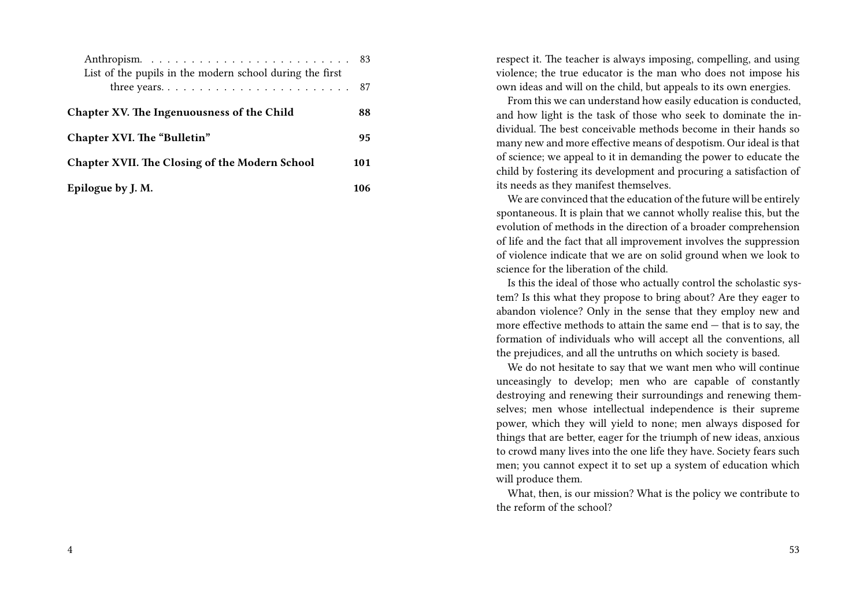| List of the pupils in the modern school during the first |     |
|----------------------------------------------------------|-----|
|                                                          |     |
| Chapter XV. The Ingenuousness of the Child               | 88  |
| Chapter XVI. The "Bulletin"                              | 95  |
| Chapter XVII. The Closing of the Modern School           | 101 |
| Epilogue by J. M.                                        |     |

respect it. The teacher is always imposing, compelling, and using violence; the true educator is the man who does not impose his own ideas and will on the child, but appeals to its own energies.

From this we can understand how easily education is conducted, and how light is the task of those who seek to dominate the individual. The best conceivable methods become in their hands so many new and more effective means of despotism. Our ideal is that of science; we appeal to it in demanding the power to educate the child by fostering its development and procuring a satisfaction of its needs as they manifest themselves.

We are convinced that the education of the future will be entirely spontaneous. It is plain that we cannot wholly realise this, but the evolution of methods in the direction of a broader comprehension of life and the fact that all improvement involves the suppression of violence indicate that we are on solid ground when we look to science for the liberation of the child.

Is this the ideal of those who actually control the scholastic system? Is this what they propose to bring about? Are they eager to abandon violence? Only in the sense that they employ new and more effective methods to attain the same end — that is to say, the formation of individuals who will accept all the conventions, all the prejudices, and all the untruths on which society is based.

We do not hesitate to say that we want men who will continue unceasingly to develop; men who are capable of constantly destroying and renewing their surroundings and renewing themselves; men whose intellectual independence is their supreme power, which they will yield to none; men always disposed for things that are better, eager for the triumph of new ideas, anxious to crowd many lives into the one life they have. Society fears such men; you cannot expect it to set up a system of education which will produce them.

What, then, is our mission? What is the policy we contribute to the reform of the school?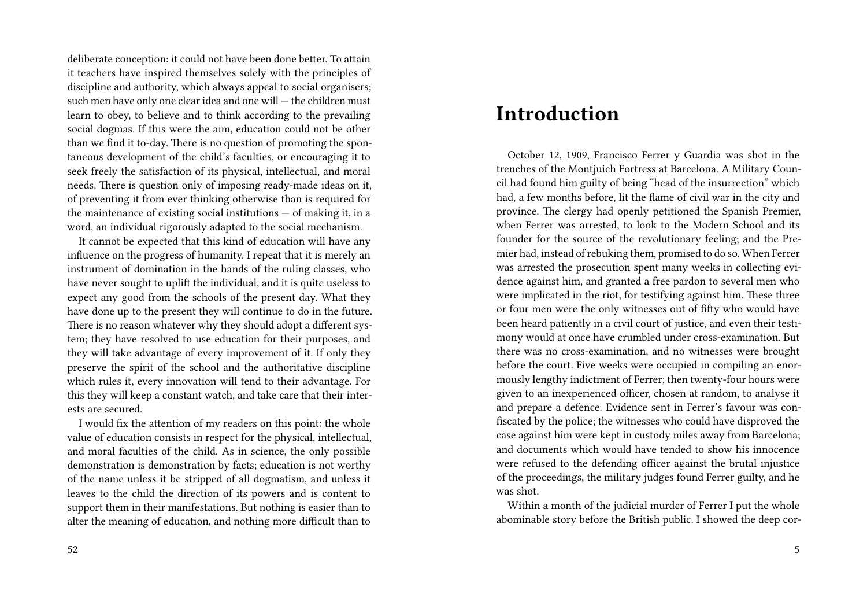deliberate conception: it could not have been done better. To attain it teachers have inspired themselves solely with the principles of discipline and authority, which always appeal to social organisers; such men have only one clear idea and one will — the children must learn to obey, to believe and to think according to the prevailing social dogmas. If this were the aim, education could not be other than we find it to-day. There is no question of promoting the spontaneous development of the child's faculties, or encouraging it to seek freely the satisfaction of its physical, intellectual, and moral needs. There is question only of imposing ready-made ideas on it, of preventing it from ever thinking otherwise than is required for the maintenance of existing social institutions  $-$  of making it, in a word, an individual rigorously adapted to the social mechanism.

It cannot be expected that this kind of education will have any influence on the progress of humanity. I repeat that it is merely an instrument of domination in the hands of the ruling classes, who have never sought to uplift the individual, and it is quite useless to expect any good from the schools of the present day. What they have done up to the present they will continue to do in the future. There is no reason whatever why they should adopt a different system; they have resolved to use education for their purposes, and they will take advantage of every improvement of it. If only they preserve the spirit of the school and the authoritative discipline which rules it, every innovation will tend to their advantage. For this they will keep a constant watch, and take care that their interests are secured.

I would fix the attention of my readers on this point: the whole value of education consists in respect for the physical, intellectual, and moral faculties of the child. As in science, the only possible demonstration is demonstration by facts; education is not worthy of the name unless it be stripped of all dogmatism, and unless it leaves to the child the direction of its powers and is content to support them in their manifestations. But nothing is easier than to alter the meaning of education, and nothing more difficult than to

### **Introduction**

October 12, 1909, Francisco Ferrer y Guardia was shot in the trenches of the Montjuich Fortress at Barcelona. A Military Council had found him guilty of being "head of the insurrection" which had, a few months before, lit the flame of civil war in the city and province. The clergy had openly petitioned the Spanish Premier, when Ferrer was arrested, to look to the Modern School and its founder for the source of the revolutionary feeling; and the Premier had, instead of rebuking them, promised to do so. When Ferrer was arrested the prosecution spent many weeks in collecting evidence against him, and granted a free pardon to several men who were implicated in the riot, for testifying against him. These three or four men were the only witnesses out of fifty who would have been heard patiently in a civil court of justice, and even their testimony would at once have crumbled under cross-examination. But there was no cross-examination, and no witnesses were brought before the court. Five weeks were occupied in compiling an enormously lengthy indictment of Ferrer; then twenty-four hours were given to an inexperienced officer, chosen at random, to analyse it and prepare a defence. Evidence sent in Ferrer's favour was confiscated by the police; the witnesses who could have disproved the case against him were kept in custody miles away from Barcelona; and documents which would have tended to show his innocence were refused to the defending officer against the brutal injustice of the proceedings, the military judges found Ferrer guilty, and he was shot.

Within a month of the judicial murder of Ferrer I put the whole abominable story before the British public. I showed the deep cor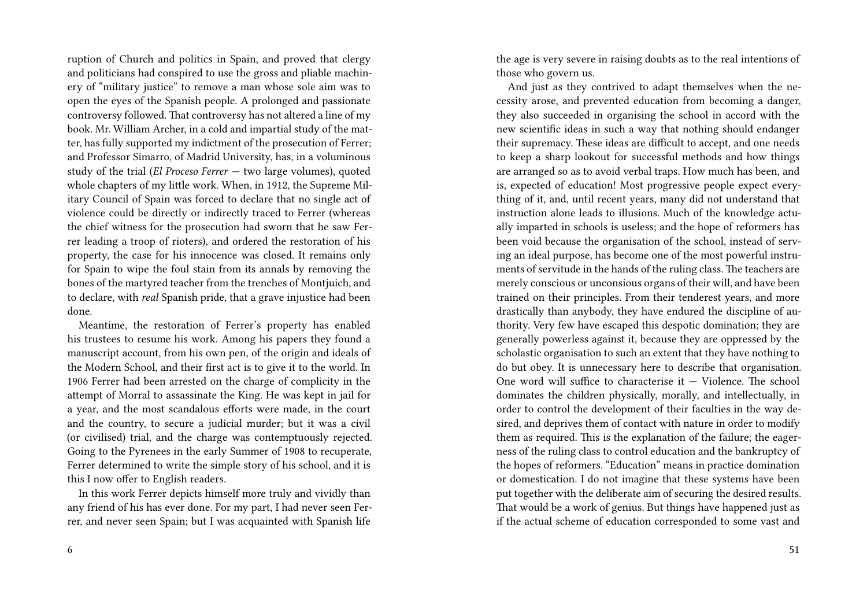ruption of Church and politics in Spain, and proved that clergy and politicians had conspired to use the gross and pliable machinery of "military justice" to remove a man whose sole aim was to open the eyes of the Spanish people. A prolonged and passionate controversy followed. That controversy has not altered a line of my book. Mr. William Archer, in a cold and impartial study of the matter, has fully supported my indictment of the prosecution of Ferrer; and Professor Simarro, of Madrid University, has, in a voluminous study of the trial (*El Proceso Ferrer* — two large volumes), quoted whole chapters of my little work. When, in 1912, the Supreme Military Council of Spain was forced to declare that no single act of violence could be directly or indirectly traced to Ferrer (whereas the chief witness for the prosecution had sworn that he saw Ferrer leading a troop of rioters), and ordered the restoration of his property, the case for his innocence was closed. It remains only for Spain to wipe the foul stain from its annals by removing the bones of the martyred teacher from the trenches of Montjuich, and to declare, with *real* Spanish pride, that a grave injustice had been done.

Meantime, the restoration of Ferrer's property has enabled his trustees to resume his work. Among his papers they found a manuscript account, from his own pen, of the origin and ideals of the Modern School, and their first act is to give it to the world. In 1906 Ferrer had been arrested on the charge of complicity in the attempt of Morral to assassinate the King. He was kept in jail for a year, and the most scandalous efforts were made, in the court and the country, to secure a judicial murder; but it was a civil (or civilised) trial, and the charge was contemptuously rejected. Going to the Pyrenees in the early Summer of 1908 to recuperate, Ferrer determined to write the simple story of his school, and it is this I now offer to English readers.

In this work Ferrer depicts himself more truly and vividly than any friend of his has ever done. For my part, I had never seen Ferrer, and never seen Spain; but I was acquainted with Spanish life

the age is very severe in raising doubts as to the real intentions of those who govern us.

And just as they contrived to adapt themselves when the necessity arose, and prevented education from becoming a danger, they also succeeded in organising the school in accord with the new scientific ideas in such a way that nothing should endanger their supremacy. These ideas are difficult to accept, and one needs to keep a sharp lookout for successful methods and how things are arranged so as to avoid verbal traps. How much has been, and is, expected of education! Most progressive people expect everything of it, and, until recent years, many did not understand that instruction alone leads to illusions. Much of the knowledge actually imparted in schools is useless; and the hope of reformers has been void because the organisation of the school, instead of serving an ideal purpose, has become one of the most powerful instruments of servitude in the hands of the ruling class. The teachers are merely conscious or unconsious organs of their will, and have been trained on their principles. From their tenderest years, and more drastically than anybody, they have endured the discipline of authority. Very few have escaped this despotic domination; they are generally powerless against it, because they are oppressed by the scholastic organisation to such an extent that they have nothing to do but obey. It is unnecessary here to describe that organisation. One word will suffice to characterise it  $-$  Violence. The school dominates the children physically, morally, and intellectually, in order to control the development of their faculties in the way desired, and deprives them of contact with nature in order to modify them as required. This is the explanation of the failure; the eagerness of the ruling class to control education and the bankruptcy of the hopes of reformers. "Education" means in practice domination or domestication. I do not imagine that these systems have been put together with the deliberate aim of securing the desired results. That would be a work of genius. But things have happened just as if the actual scheme of education corresponded to some vast and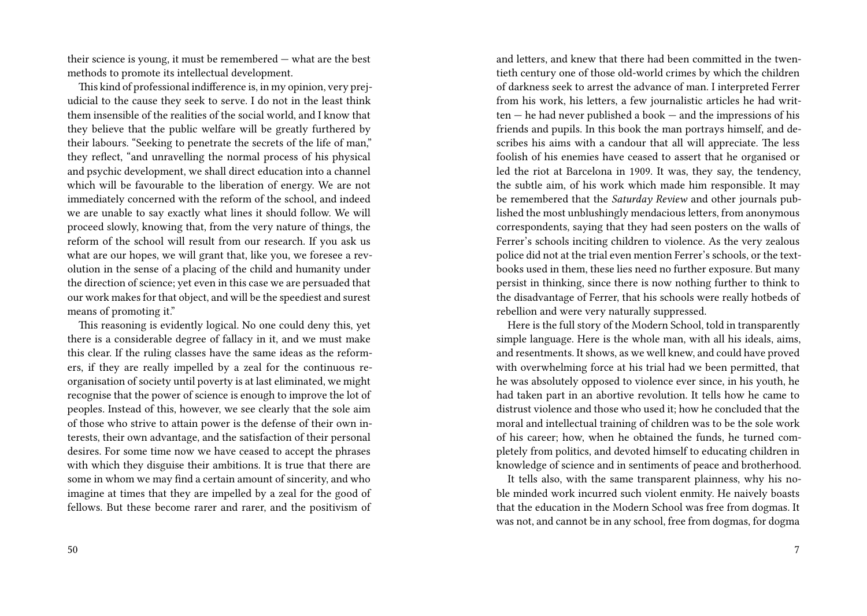their science is young, it must be remembered — what are the best methods to promote its intellectual development.

This kind of professional indifference is, in my opinion, very prejudicial to the cause they seek to serve. I do not in the least think them insensible of the realities of the social world, and I know that they believe that the public welfare will be greatly furthered by their labours. "Seeking to penetrate the secrets of the life of man," they reflect, "and unravelling the normal process of his physical and psychic development, we shall direct education into a channel which will be favourable to the liberation of energy. We are not immediately concerned with the reform of the school, and indeed we are unable to say exactly what lines it should follow. We will proceed slowly, knowing that, from the very nature of things, the reform of the school will result from our research. If you ask us what are our hopes, we will grant that, like you, we foresee a revolution in the sense of a placing of the child and humanity under the direction of science; yet even in this case we are persuaded that our work makes for that object, and will be the speediest and surest means of promoting it."

This reasoning is evidently logical. No one could deny this, yet there is a considerable degree of fallacy in it, and we must make this clear. If the ruling classes have the same ideas as the reformers, if they are really impelled by a zeal for the continuous reorganisation of society until poverty is at last eliminated, we might recognise that the power of science is enough to improve the lot of peoples. Instead of this, however, we see clearly that the sole aim of those who strive to attain power is the defense of their own interests, their own advantage, and the satisfaction of their personal desires. For some time now we have ceased to accept the phrases with which they disguise their ambitions. It is true that there are some in whom we may find a certain amount of sincerity, and who imagine at times that they are impelled by a zeal for the good of fellows. But these become rarer and rarer, and the positivism of

and letters, and knew that there had been committed in the twentieth century one of those old-world crimes by which the children of darkness seek to arrest the advance of man. I interpreted Ferrer from his work, his letters, a few journalistic articles he had written — he had never published a book — and the impressions of his friends and pupils. In this book the man portrays himself, and describes his aims with a candour that all will appreciate. The less foolish of his enemies have ceased to assert that he organised or led the riot at Barcelona in 1909. It was, they say, the tendency, the subtle aim, of his work which made him responsible. It may be remembered that the *Saturday Review* and other journals published the most unblushingly mendacious letters, from anonymous correspondents, saying that they had seen posters on the walls of Ferrer's schools inciting children to violence. As the very zealous police did not at the trial even mention Ferrer's schools, or the textbooks used in them, these lies need no further exposure. But many persist in thinking, since there is now nothing further to think to the disadvantage of Ferrer, that his schools were really hotbeds of rebellion and were very naturally suppressed.

Here is the full story of the Modern School, told in transparently simple language. Here is the whole man, with all his ideals, aims, and resentments. It shows, as we well knew, and could have proved with overwhelming force at his trial had we been permitted, that he was absolutely opposed to violence ever since, in his youth, he had taken part in an abortive revolution. It tells how he came to distrust violence and those who used it; how he concluded that the moral and intellectual training of children was to be the sole work of his career; how, when he obtained the funds, he turned completely from politics, and devoted himself to educating children in knowledge of science and in sentiments of peace and brotherhood.

It tells also, with the same transparent plainness, why his noble minded work incurred such violent enmity. He naively boasts that the education in the Modern School was free from dogmas. It was not, and cannot be in any school, free from dogmas, for dogma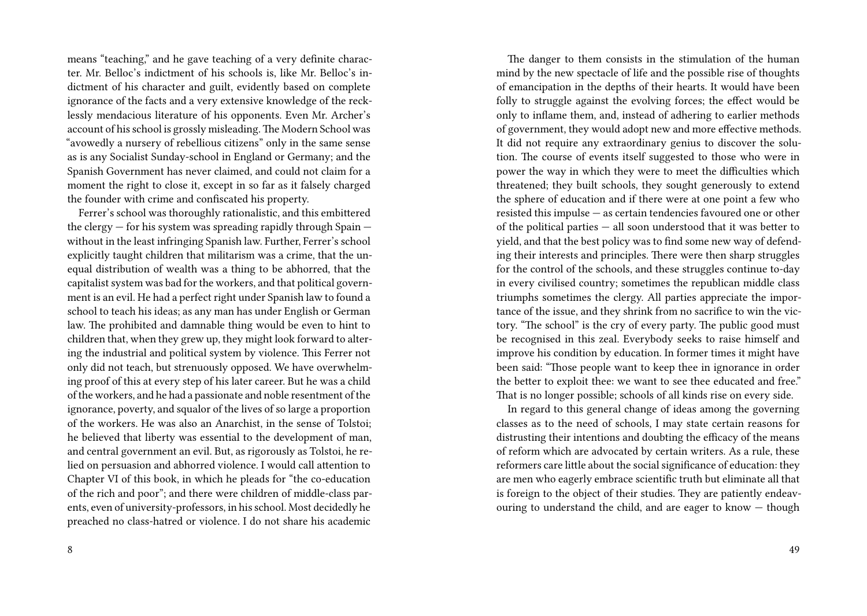means "teaching," and he gave teaching of a very definite character. Mr. Belloc's indictment of his schools is, like Mr. Belloc's indictment of his character and guilt, evidently based on complete ignorance of the facts and a very extensive knowledge of the recklessly mendacious literature of his opponents. Even Mr. Archer's account of his school is grossly misleading. The Modern School was "avowedly a nursery of rebellious citizens" only in the same sense as is any Socialist Sunday-school in England or Germany; and the Spanish Government has never claimed, and could not claim for a moment the right to close it, except in so far as it falsely charged the founder with crime and confiscated his property.

Ferrer's school was thoroughly rationalistic, and this embittered the clergy  $-$  for his system was spreading rapidly through Spain  $$ without in the least infringing Spanish law. Further, Ferrer's school explicitly taught children that militarism was a crime, that the unequal distribution of wealth was a thing to be abhorred, that the capitalist system was bad for the workers, and that political government is an evil. He had a perfect right under Spanish law to found a school to teach his ideas; as any man has under English or German law. The prohibited and damnable thing would be even to hint to children that, when they grew up, they might look forward to altering the industrial and political system by violence. This Ferrer not only did not teach, but strenuously opposed. We have overwhelming proof of this at every step of his later career. But he was a child of the workers, and he had a passionate and noble resentment of the ignorance, poverty, and squalor of the lives of so large a proportion of the workers. He was also an Anarchist, in the sense of Tolstoi; he believed that liberty was essential to the development of man, and central government an evil. But, as rigorously as Tolstoi, he relied on persuasion and abhorred violence. I would call attention to Chapter VI of this book, in which he pleads for "the co-education of the rich and poor"; and there were children of middle-class parents, even of university-professors, in his school. Most decidedly he preached no class-hatred or violence. I do not share his academic

The danger to them consists in the stimulation of the human mind by the new spectacle of life and the possible rise of thoughts of emancipation in the depths of their hearts. It would have been folly to struggle against the evolving forces; the effect would be only to inflame them, and, instead of adhering to earlier methods of government, they would adopt new and more effective methods. It did not require any extraordinary genius to discover the solution. The course of events itself suggested to those who were in power the way in which they were to meet the difficulties which threatened; they built schools, they sought generously to extend the sphere of education and if there were at one point a few who resisted this impulse — as certain tendencies favoured one or other of the political parties — all soon understood that it was better to yield, and that the best policy was to find some new way of defending their interests and principles. There were then sharp struggles for the control of the schools, and these struggles continue to-day in every civilised country; sometimes the republican middle class triumphs sometimes the clergy. All parties appreciate the importance of the issue, and they shrink from no sacrifice to win the victory. "The school" is the cry of every party. The public good must be recognised in this zeal. Everybody seeks to raise himself and improve his condition by education. In former times it might have been said: "Those people want to keep thee in ignorance in order the better to exploit thee: we want to see thee educated and free." That is no longer possible; schools of all kinds rise on every side.

In regard to this general change of ideas among the governing classes as to the need of schools, I may state certain reasons for distrusting their intentions and doubting the efficacy of the means of reform which are advocated by certain writers. As a rule, these reformers care little about the social significance of education: they are men who eagerly embrace scientific truth but eliminate all that is foreign to the object of their studies. They are patiently endeavouring to understand the child, and are eager to know — though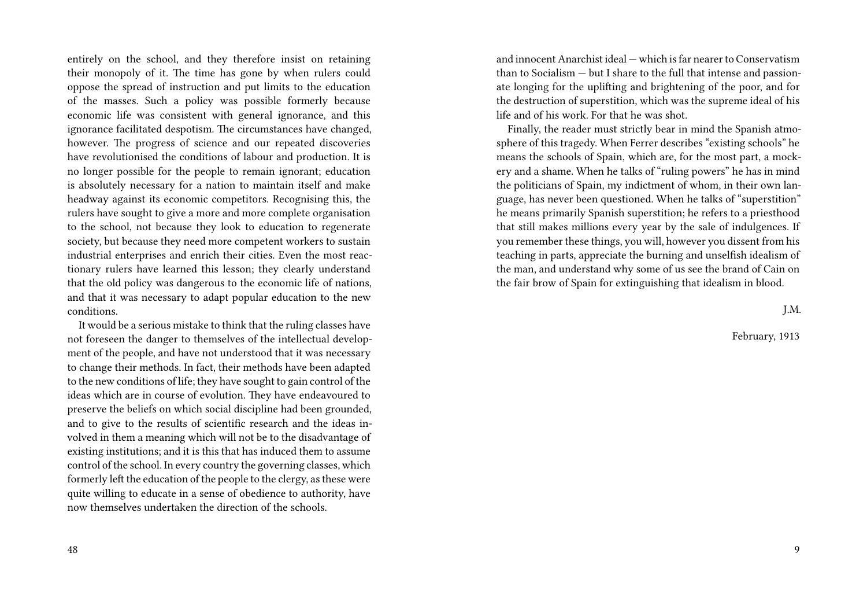entirely on the school, and they therefore insist on retaining their monopoly of it. The time has gone by when rulers could oppose the spread of instruction and put limits to the education of the masses. Such a policy was possible formerly because economic life was consistent with general ignorance, and this ignorance facilitated despotism. The circumstances have changed, however. The progress of science and our repeated discoveries have revolutionised the conditions of labour and production. It is no longer possible for the people to remain ignorant; education is absolutely necessary for a nation to maintain itself and make headway against its economic competitors. Recognising this, the rulers have sought to give a more and more complete organisation to the school, not because they look to education to regenerate society, but because they need more competent workers to sustain industrial enterprises and enrich their cities. Even the most reactionary rulers have learned this lesson; they clearly understand that the old policy was dangerous to the economic life of nations, and that it was necessary to adapt popular education to the new conditions.

It would be a serious mistake to think that the ruling classes have not foreseen the danger to themselves of the intellectual development of the people, and have not understood that it was necessary to change their methods. In fact, their methods have been adapted to the new conditions of life; they have sought to gain control of the ideas which are in course of evolution. They have endeavoured to preserve the beliefs on which social discipline had been grounded, and to give to the results of scientific research and the ideas involved in them a meaning which will not be to the disadvantage of existing institutions; and it is this that has induced them to assume control of the school. In every country the governing classes, which formerly left the education of the people to the clergy, as these were quite willing to educate in a sense of obedience to authority, have now themselves undertaken the direction of the schools.

and innocent Anarchist ideal — which is far nearer to Conservatism than to Socialism — but I share to the full that intense and passionate longing for the uplifting and brightening of the poor, and for the destruction of superstition, which was the supreme ideal of his life and of his work. For that he was shot.

Finally, the reader must strictly bear in mind the Spanish atmosphere of this tragedy. When Ferrer describes "existing schools" he means the schools of Spain, which are, for the most part, a mockery and a shame. When he talks of "ruling powers" he has in mind the politicians of Spain, my indictment of whom, in their own language, has never been questioned. When he talks of "superstition" he means primarily Spanish superstition; he refers to a priesthood that still makes millions every year by the sale of indulgences. If you remember these things, you will, however you dissent from his teaching in parts, appreciate the burning and unselfish idealism of the man, and understand why some of us see the brand of Cain on the fair brow of Spain for extinguishing that idealism in blood.

J.M.

February, 1913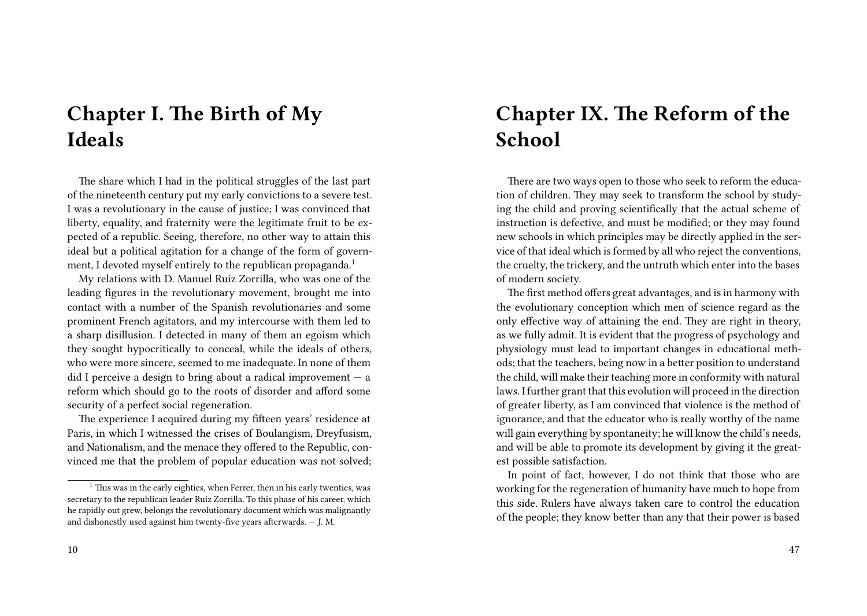**Chapter I. The Birth of My Ideals**

The share which I had in the political struggles of the last part of the nineteenth century put my early convictions to a severe test. I was a revolutionary in the cause of justice; I was convinced that liberty, equality, and fraternity were the legitimate fruit to be expected of a republic. Seeing, therefore, no other way to attain this ideal but a political agitation for a change of the form of government, I devoted myself entirely to the republican propaganda.<sup>1</sup>

My relations with D. Manuel Ruiz Zorrilla, who was one of the leading figures in the revolutionary movement, brought me into contact with a number of the Spanish revolutionaries and some prominent French agitators, and my intercourse with them led to a sharp disillusion. I detected in many of them an egoism which they sought hypocritically to conceal, while the ideals of others, who were more sincere, seemed to me inadequate. In none of them did I perceive a design to bring about a radical improvement  $-$  a reform which should go to the roots of disorder and afford some security of a perfect social regeneration.

The experience I acquired during my fifteen years' residence at Paris, in which I witnessed the crises of Boulangism, Dreyfusism, and Nationalism, and the menace they offered to the Republic, convinced me that the problem of popular education was not solved;

# **Chapter IX. The Reform of the School**

There are two ways open to those who seek to reform the education of children. They may seek to transform the school by studying the child and proving scientifically that the actual scheme of instruction is defective, and must be modified; or they may found new schools in which principles may be directly applied in the service of that ideal which is formed by all who reject the conventions, the cruelty, the trickery, and the untruth which enter into the bases of modern society.

The first method offers great advantages, and is in harmony with the evolutionary conception which men of science regard as the only effective way of attaining the end. They are right in theory, as we fully admit. It is evident that the progress of psychology and physiology must lead to important changes in educational methods; that the teachers, being now in a better position to understand the child, will make their teaching more in conformity with natural laws. I further grant that this evolution will proceed in the direction of greater liberty, as I am convinced that violence is the method of ignorance, and that the educator who is really worthy of the name will gain everything by spontaneity; he will know the child's needs, and will be able to promote its development by giving it the greatest possible satisfaction.

In point of fact, however, I do not think that those who are working for the regeneration of humanity have much to hope from this side. Rulers have always taken care to control the education of the people; they know better than any that their power is based

 $1$ . This was in the early eighties, when Ferrer, then in his early twenties, was secretary to the republican leader Ruiz Zorrilla. To this phase of his career, which he rapidly out grew, belongs the revolutionary document which was malignantly and dishonestly used against him twenty-five years afterwards. — J. M.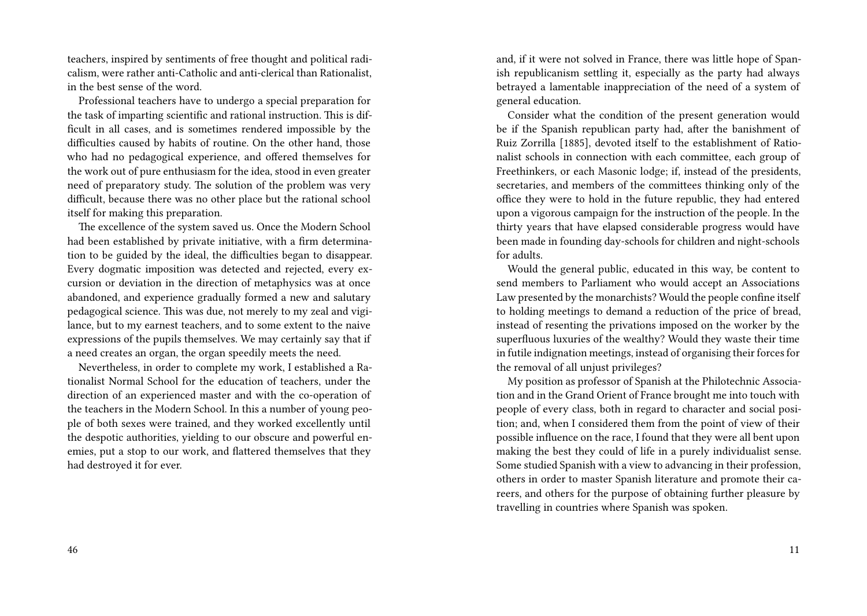teachers, inspired by sentiments of free thought and political radicalism, were rather anti-Catholic and anti-clerical than Rationalist, in the best sense of the word.

Professional teachers have to undergo a special preparation for the task of imparting scientific and rational instruction. This is difficult in all cases, and is sometimes rendered impossible by the difficulties caused by habits of routine. On the other hand, those who had no pedagogical experience, and offered themselves for the work out of pure enthusiasm for the idea, stood in even greater need of preparatory study. The solution of the problem was very difficult, because there was no other place but the rational school itself for making this preparation.

The excellence of the system saved us. Once the Modern School had been established by private initiative, with a firm determination to be guided by the ideal, the difficulties began to disappear. Every dogmatic imposition was detected and rejected, every excursion or deviation in the direction of metaphysics was at once abandoned, and experience gradually formed a new and salutary pedagogical science. This was due, not merely to my zeal and vigilance, but to my earnest teachers, and to some extent to the naive expressions of the pupils themselves. We may certainly say that if a need creates an organ, the organ speedily meets the need.

Nevertheless, in order to complete my work, I established a Rationalist Normal School for the education of teachers, under the direction of an experienced master and with the co-operation of the teachers in the Modern School. In this a number of young people of both sexes were trained, and they worked excellently until the despotic authorities, yielding to our obscure and powerful enemies, put a stop to our work, and flattered themselves that they had destroyed it for ever.

and, if it were not solved in France, there was little hope of Spanish republicanism settling it, especially as the party had always betrayed a lamentable inappreciation of the need of a system of general education.

Consider what the condition of the present generation would be if the Spanish republican party had, after the banishment of Ruiz Zorrilla [1885], devoted itself to the establishment of Rationalist schools in connection with each committee, each group of Freethinkers, or each Masonic lodge; if, instead of the presidents, secretaries, and members of the committees thinking only of the office they were to hold in the future republic, they had entered upon a vigorous campaign for the instruction of the people. In the thirty years that have elapsed considerable progress would have been made in founding day-schools for children and night-schools for adults.

Would the general public, educated in this way, be content to send members to Parliament who would accept an Associations Law presented by the monarchists? Would the people confine itself to holding meetings to demand a reduction of the price of bread, instead of resenting the privations imposed on the worker by the superfluous luxuries of the wealthy? Would they waste their time in futile indignation meetings, instead of organising their forces for the removal of all unjust privileges?

My position as professor of Spanish at the Philotechnic Association and in the Grand Orient of France brought me into touch with people of every class, both in regard to character and social position; and, when I considered them from the point of view of their possible influence on the race, I found that they were all bent upon making the best they could of life in a purely individualist sense. Some studied Spanish with a view to advancing in their profession, others in order to master Spanish literature and promote their careers, and others for the purpose of obtaining further pleasure by travelling in countries where Spanish was spoken.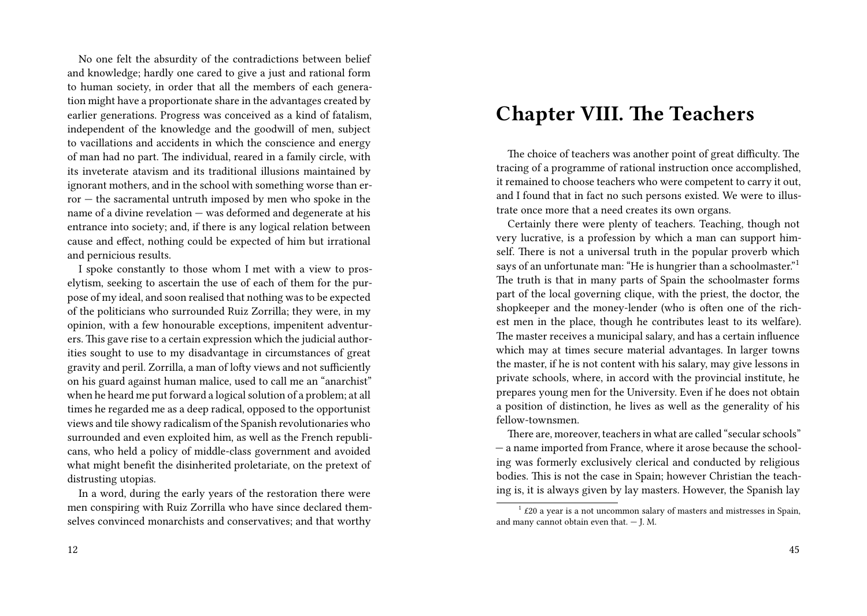No one felt the absurdity of the contradictions between belief and knowledge; hardly one cared to give a just and rational form to human society, in order that all the members of each generation might have a proportionate share in the advantages created by earlier generations. Progress was conceived as a kind of fatalism, independent of the knowledge and the goodwill of men, subject to vacillations and accidents in which the conscience and energy of man had no part. The individual, reared in a family circle, with its inveterate atavism and its traditional illusions maintained by ignorant mothers, and in the school with something worse than error — the sacramental untruth imposed by men who spoke in the name of a divine revelation — was deformed and degenerate at his entrance into society; and, if there is any logical relation between cause and effect, nothing could be expected of him but irrational and pernicious results.

I spoke constantly to those whom I met with a view to proselytism, seeking to ascertain the use of each of them for the purpose of my ideal, and soon realised that nothing was to be expected of the politicians who surrounded Ruiz Zorrilla; they were, in my opinion, with a few honourable exceptions, impenitent adventurers. This gave rise to a certain expression which the judicial authorities sought to use to my disadvantage in circumstances of great gravity and peril. Zorrilla, a man of lofty views and not sufficiently on his guard against human malice, used to call me an "anarchist" when he heard me put forward a logical solution of a problem; at all times he regarded me as a deep radical, opposed to the opportunist views and tile showy radicalism of the Spanish revolutionaries who surrounded and even exploited him, as well as the French republicans, who held a policy of middle-class government and avoided what might benefit the disinherited proletariate, on the pretext of distrusting utopias.

In a word, during the early years of the restoration there were men conspiring with Ruiz Zorrilla who have since declared themselves convinced monarchists and conservatives; and that worthy

### **Chapter VIII. The Teachers**

The choice of teachers was another point of great difficulty. The tracing of a programme of rational instruction once accomplished, it remained to choose teachers who were competent to carry it out, and I found that in fact no such persons existed. We were to illustrate once more that a need creates its own organs.

Certainly there were plenty of teachers. Teaching, though not very lucrative, is a profession by which a man can support himself. There is not a universal truth in the popular proverb which says of an unfortunate man: "He is hungrier than a schoolmaster."<sup>1</sup> The truth is that in many parts of Spain the schoolmaster forms part of the local governing clique, with the priest, the doctor, the shopkeeper and the money-lender (who is often one of the richest men in the place, though he contributes least to its welfare). The master receives a municipal salary, and has a certain influence which may at times secure material advantages. In larger towns the master, if he is not content with his salary, may give lessons in private schools, where, in accord with the provincial institute, he prepares young men for the University. Even if he does not obtain a position of distinction, he lives as well as the generality of his fellow-townsmen.

There are, moreover, teachers in what are called "secular schools" — a name imported from France, where it arose because the schooling was formerly exclusively clerical and conducted by religious bodies. This is not the case in Spain; however Christian the teaching is, it is always given by lay masters. However, the Spanish lay

 $1$  £20 a year is a not uncommon salary of masters and mistresses in Spain, and many cannot obtain even that. — J. M.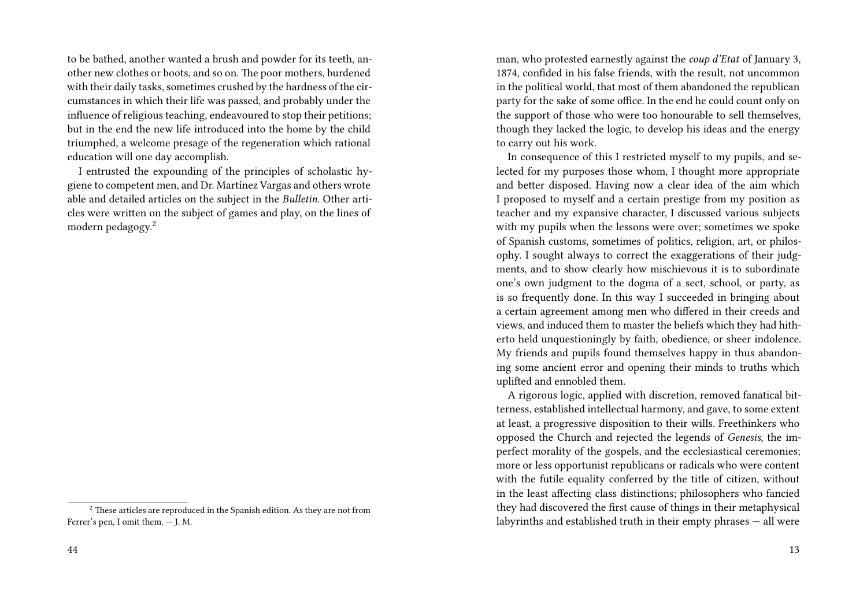to be bathed, another wanted a brush and powder for its teeth, another new clothes or boots, and so on. The poor mothers, burdened with their daily tasks, sometimes crushed by the hardness of the circumstances in which their life was passed, and probably under the influence of religious teaching, endeavoured to stop their petitions; but in the end the new life introduced into the home by the child triumphed, a welcome presage of the regeneration which rational education will one day accomplish.

I entrusted the expounding of the principles of scholastic hygiene to competent men, and Dr. Martínez Vargas and others wrote able and detailed articles on the subject in the *Bulletin*. Other articles were written on the subject of games and play, on the lines of modern pedagogy.<sup>2</sup>

man, who protested earnestly against the *coup d'Etat* of January 3, 1874, confided in his false friends, with the result, not uncommon in the political world, that most of them abandoned the republican party for the sake of some office. In the end he could count only on the support of those who were too honourable to sell themselves, though they lacked the logic, to develop his ideas and the energy to carry out his work.

In consequence of this I restricted myself to my pupils, and selected for my purposes those whom, I thought more appropriate and better disposed. Having now a clear idea of the aim which I proposed to myself and a certain prestige from my position as teacher and my expansive character, I discussed various subjects with my pupils when the lessons were over; sometimes we spoke of Spanish customs, sometimes of politics, religion, art, or philosophy. I sought always to correct the exaggerations of their judgments, and to show clearly how mischievous it is to subordinate one's own judgment to the dogma of a sect, school, or party, as is so frequently done. In this way I succeeded in bringing about a certain agreement among men who differed in their creeds and views, and induced them to master the beliefs which they had hitherto held unquestioningly by faith, obedience, or sheer indolence. My friends and pupils found themselves happy in thus abandoning some ancient error and opening their minds to truths which uplifted and ennobled them.

A rigorous logic, applied with discretion, removed fanatical bitterness, established intellectual harmony, and gave, to some extent at least, a progressive disposition to their wills. Freethinkers who opposed the Church and rejected the legends of *Genesis*, the imperfect morality of the gospels, and the ecclesiastical ceremonies; more or less opportunist republicans or radicals who were content with the futile equality conferred by the title of citizen, without in the least affecting class distinctions; philosophers who fancied they had discovered the first cause of things in their metaphysical labyrinths and established truth in their empty phrases — all were

 $2^2$  These articles are reproduced in the Spanish edition. As they are not from Ferrer's pen, I omit them. — J. M.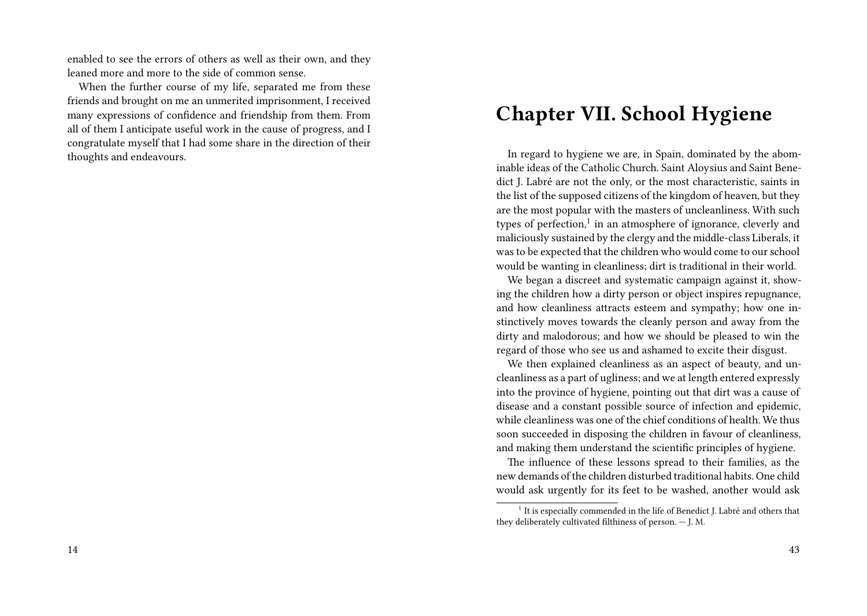enabled to see the errors of others as well as their own, and they leaned more and more to the side of common sense.

When the further course of my life, separated me from these friends and brought on me an unmerited imprisonment, I received many expressions of confidence and friendship from them. From all of them I anticipate useful work in the cause of progress, and I congratulate myself that I had some share in the direction of their thoughts and endeavours.

# **Chapter VII. School Hygiene**

In regard to hygiene we are, in Spain, dominated by the abominable ideas of the Catholic Church. Saint Aloysius and Saint Benedict J. Labré are not the only, or the most characteristic, saints in the list of the supposed citizens of the kingdom of heaven, but they are the most popular with the masters of uncleanliness. With such types of perfection,<sup>1</sup> in an atmosphere of ignorance, cleverly and maliciously sustained by the clergy and the middle-class Liberals, it was to be expected that the children who would come to our school would be wanting in cleanliness; dirt is traditional in their world.

We began a discreet and systematic campaign against it, showing the children how a dirty person or object inspires repugnance, and how cleanliness attracts esteem and sympathy; how one instinctively moves towards the cleanly person and away from the dirty and malodorous; and how we should be pleased to win the regard of those who see us and ashamed to excite their disgust.

We then explained cleanliness as an aspect of beauty, and uncleanliness as a part of ugliness; and we at length entered expressly into the province of hygiene, pointing out that dirt was a cause of disease and a constant possible source of infection and epidemic, while cleanliness was one of the chief conditions of health. We thus soon succeeded in disposing the children in favour of cleanliness, and making them understand the scientific principles of hygiene.

The influence of these lessons spread to their families, as the new demands of the children disturbed traditional habits. One child would ask urgently for its feet to be washed, another would ask

<sup>&</sup>lt;sup>1</sup> It is especially commended in the life of Benedict J. Labré and others that they deliberately cultivated filthiness of person. — J. M.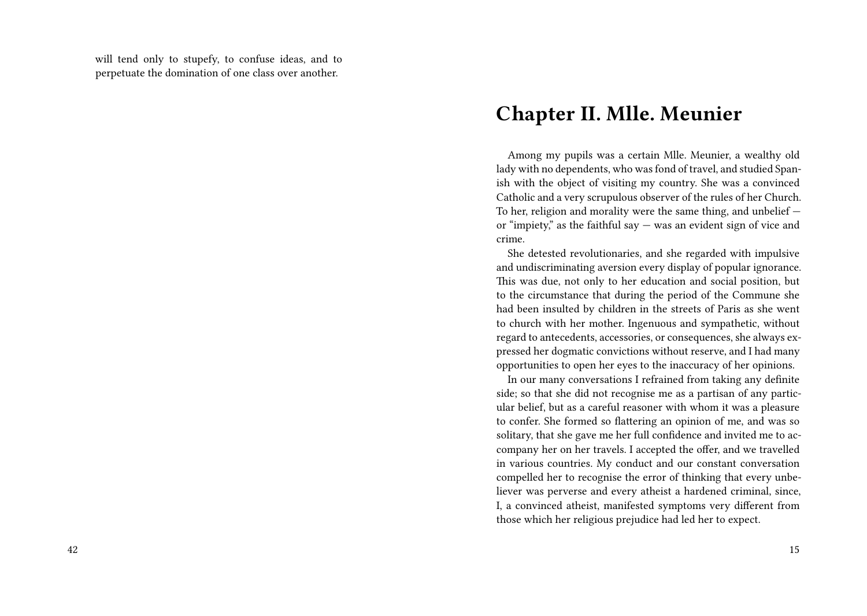will tend only to stupefy, to confuse ideas, and to perpetuate the domination of one class over another.

### **Chapter II. Mlle. Meunier**

Among my pupils was a certain Mlle. Meunier, a wealthy old lady with no dependents, who was fond of travel, and studied Spanish with the object of visiting my country. She was a convinced Catholic and a very scrupulous observer of the rules of her Church. To her, religion and morality were the same thing, and unbelief or "impiety," as the faithful say — was an evident sign of vice and crime.

She detested revolutionaries, and she regarded with impulsive and undiscriminating aversion every display of popular ignorance. This was due, not only to her education and social position, but to the circumstance that during the period of the Commune she had been insulted by children in the streets of Paris as she went to church with her mother. Ingenuous and sympathetic, without regard to antecedents, accessories, or consequences, she always expressed her dogmatic convictions without reserve, and I had many opportunities to open her eyes to the inaccuracy of her opinions.

In our many conversations I refrained from taking any definite side; so that she did not recognise me as a partisan of any particular belief, but as a careful reasoner with whom it was a pleasure to confer. She formed so flattering an opinion of me, and was so solitary, that she gave me her full confidence and invited me to accompany her on her travels. I accepted the offer, and we travelled in various countries. My conduct and our constant conversation compelled her to recognise the error of thinking that every unbeliever was perverse and every atheist a hardened criminal, since, I, a convinced atheist, manifested symptoms very different from those which her religious prejudice had led her to expect.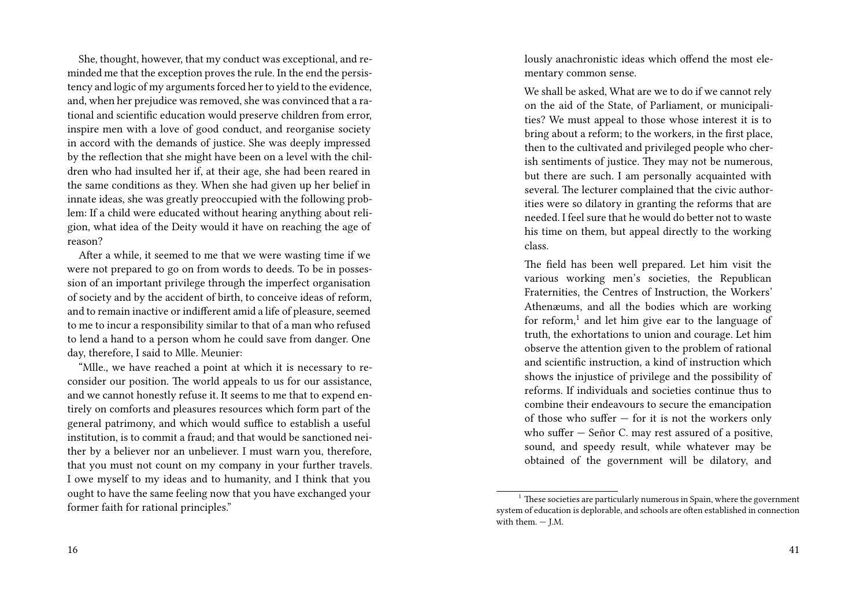She, thought, however, that my conduct was exceptional, and reminded me that the exception proves the rule. In the end the persistency and logic of my arguments forced her to yield to the evidence, and, when her prejudice was removed, she was convinced that a rational and scientific education would preserve children from error, inspire men with a love of good conduct, and reorganise society in accord with the demands of justice. She was deeply impressed by the reflection that she might have been on a level with the children who had insulted her if, at their age, she had been reared in the same conditions as they. When she had given up her belief in innate ideas, she was greatly preoccupied with the following problem: If a child were educated without hearing anything about religion, what idea of the Deity would it have on reaching the age of reason?

After a while, it seemed to me that we were wasting time if we were not prepared to go on from words to deeds. To be in possession of an important privilege through the imperfect organisation of society and by the accident of birth, to conceive ideas of reform, and to remain inactive or indifferent amid a life of pleasure, seemed to me to incur a responsibility similar to that of a man who refused to lend a hand to a person whom he could save from danger. One day, therefore, I said to Mlle. Meunier:

"Mlle., we have reached a point at which it is necessary to reconsider our position. The world appeals to us for our assistance, and we cannot honestly refuse it. It seems to me that to expend entirely on comforts and pleasures resources which form part of the general patrimony, and which would suffice to establish a useful institution, is to commit a fraud; and that would be sanctioned neither by a believer nor an unbeliever. I must warn you, therefore, that you must not count on my company in your further travels. I owe myself to my ideas and to humanity, and I think that you ought to have the same feeling now that you have exchanged your former faith for rational principles."

lously anachronistic ideas which offend the most elementary common sense.

We shall be asked, What are we to do if we cannot rely on the aid of the State, of Parliament, or municipalities? We must appeal to those whose interest it is to bring about a reform; to the workers, in the first place, then to the cultivated and privileged people who cherish sentiments of justice. They may not be numerous, but there are such. I am personally acquainted with several. The lecturer complained that the civic authorities were so dilatory in granting the reforms that are needed. I feel sure that he would do better not to waste his time on them, but appeal directly to the working class.

The field has been well prepared. Let him visit the various working men's societies, the Republican Fraternities, the Centres of Instruction, the Workers' Athenæums, and all the bodies which are working for reform,<sup>1</sup> and let him give ear to the language of truth, the exhortations to union and courage. Let him observe the attention given to the problem of rational and scientific instruction, a kind of instruction which shows the injustice of privilege and the possibility of reforms. If individuals and societies continue thus to combine their endeavours to secure the emancipation of those who suffer — for it is not the workers only who suffer — Señor C. may rest assured of a positive, sound, and speedy result, while whatever may be obtained of the government will be dilatory, and

 $^{\rm 1}$  These societies are particularly numerous in Spain, where the government system of education is deplorable, and schools are often established in connection with them. — J.M.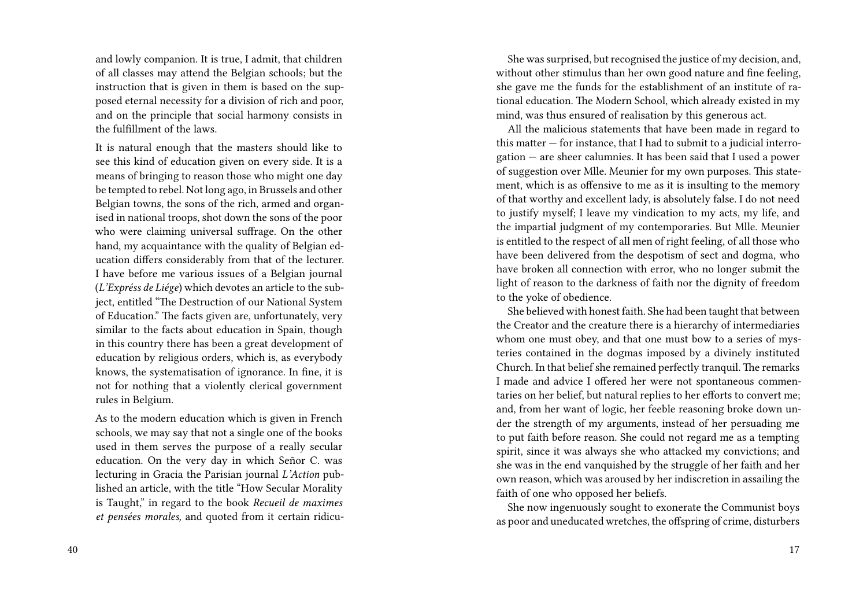and lowly companion. It is true, I admit, that children of all classes may attend the Belgian schools; but the instruction that is given in them is based on the supposed eternal necessity for a division of rich and poor, and on the principle that social harmony consists in the fulfillment of the laws.

It is natural enough that the masters should like to see this kind of education given on every side. It is a means of bringing to reason those who might one day be tempted to rebel. Not long ago, in Brussels and other Belgian towns, the sons of the rich, armed and organised in national troops, shot down the sons of the poor who were claiming universal suffrage. On the other hand, my acquaintance with the quality of Belgian education differs considerably from that of the lecturer. I have before me various issues of a Belgian journal (*L'Expréss de Liége*) which devotes an article to the subject, entitled "The Destruction of our National System of Education." The facts given are, unfortunately, very similar to the facts about education in Spain, though in this country there has been a great development of education by religious orders, which is, as everybody knows, the systematisation of ignorance. In fine, it is not for nothing that a violently clerical government rules in Belgium.

As to the modern education which is given in French schools, we may say that not a single one of the books used in them serves the purpose of a really secular education. On the very day in which Señor C. was lecturing in Gracia the Parisian journal *L'Action* published an article, with the title "How Secular Morality is Taught," in regard to the book *Recueil de maximes et pensées morales,* and quoted from it certain ridicu-

She was surprised, but recognised the justice of my decision, and, without other stimulus than her own good nature and fine feeling, she gave me the funds for the establishment of an institute of rational education. The Modern School, which already existed in my mind, was thus ensured of realisation by this generous act.

All the malicious statements that have been made in regard to this matter — for instance, that I had to submit to a judicial interrogation — are sheer calumnies. It has been said that I used a power of suggestion over Mlle. Meunier for my own purposes. This statement, which is as offensive to me as it is insulting to the memory of that worthy and excellent lady, is absolutely false. I do not need to justify myself; I leave my vindication to my acts, my life, and the impartial judgment of my contemporaries. But Mlle. Meunier is entitled to the respect of all men of right feeling, of all those who have been delivered from the despotism of sect and dogma, who have broken all connection with error, who no longer submit the light of reason to the darkness of faith nor the dignity of freedom to the yoke of obedience.

She believed with honest faith. She had been taught that between the Creator and the creature there is a hierarchy of intermediaries whom one must obey, and that one must bow to a series of mysteries contained in the dogmas imposed by a divinely instituted Church. In that belief she remained perfectly tranquil. The remarks I made and advice I offered her were not spontaneous commentaries on her belief, but natural replies to her efforts to convert me; and, from her want of logic, her feeble reasoning broke down under the strength of my arguments, instead of her persuading me to put faith before reason. She could not regard me as a tempting spirit, since it was always she who attacked my convictions; and she was in the end vanquished by the struggle of her faith and her own reason, which was aroused by her indiscretion in assailing the faith of one who opposed her beliefs.

She now ingenuously sought to exonerate the Communist boys as poor and uneducated wretches, the offspring of crime, disturbers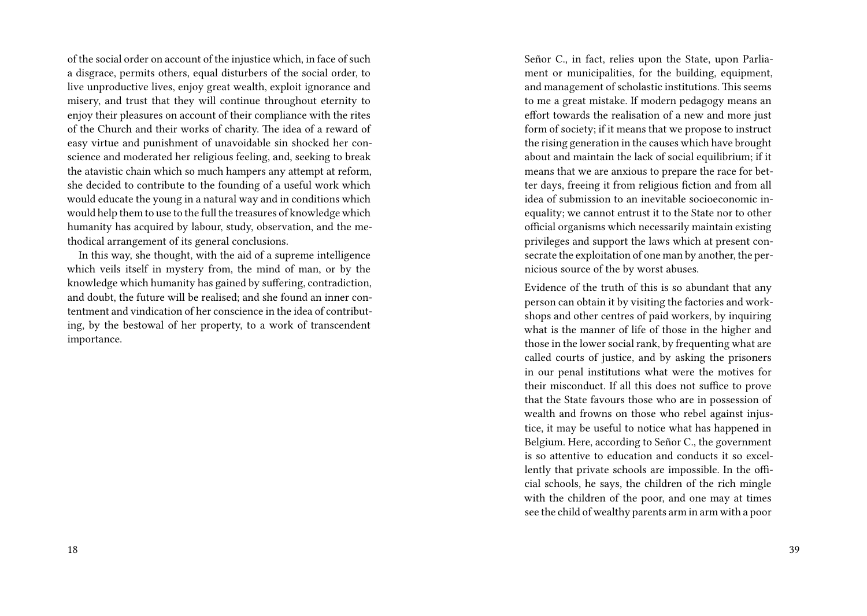of the social order on account of the injustice which, in face of such a disgrace, permits others, equal disturbers of the social order, to live unproductive lives, enjoy great wealth, exploit ignorance and misery, and trust that they will continue throughout eternity to enjoy their pleasures on account of their compliance with the rites of the Church and their works of charity. The idea of a reward of easy virtue and punishment of unavoidable sin shocked her conscience and moderated her religious feeling, and, seeking to break the atavistic chain which so much hampers any attempt at reform, she decided to contribute to the founding of a useful work which would educate the young in a natural way and in conditions which would help them to use to the full the treasures of knowledge which humanity has acquired by labour, study, observation, and the methodical arrangement of its general conclusions.

In this way, she thought, with the aid of a supreme intelligence which veils itself in mystery from, the mind of man, or by the knowledge which humanity has gained by suffering, contradiction, and doubt, the future will be realised; and she found an inner contentment and vindication of her conscience in the idea of contributing, by the bestowal of her property, to a work of transcendent importance.

Señor C., in fact, relies upon the State, upon Parliament or municipalities, for the building, equipment, and management of scholastic institutions. This seems to me a great mistake. If modern pedagogy means an effort towards the realisation of a new and more just form of society; if it means that we propose to instruct the rising generation in the causes which have brought about and maintain the lack of social equilibrium; if it means that we are anxious to prepare the race for better days, freeing it from religious fiction and from all idea of submission to an inevitable socioeconomic inequality; we cannot entrust it to the State nor to other official organisms which necessarily maintain existing privileges and support the laws which at present consecrate the exploitation of one man by another, the pernicious source of the by worst abuses.

Evidence of the truth of this is so abundant that any person can obtain it by visiting the factories and workshops and other centres of paid workers, by inquiring what is the manner of life of those in the higher and those in the lower social rank, by frequenting what are called courts of justice, and by asking the prisoners in our penal institutions what were the motives for their misconduct. If all this does not suffice to prove that the State favours those who are in possession of wealth and frowns on those who rebel against injustice, it may be useful to notice what has happened in Belgium. Here, according to Señor C., the government is so attentive to education and conducts it so excellently that private schools are impossible. In the official schools, he says, the children of the rich mingle with the children of the poor, and one may at times see the child of wealthy parents arm in arm with a poor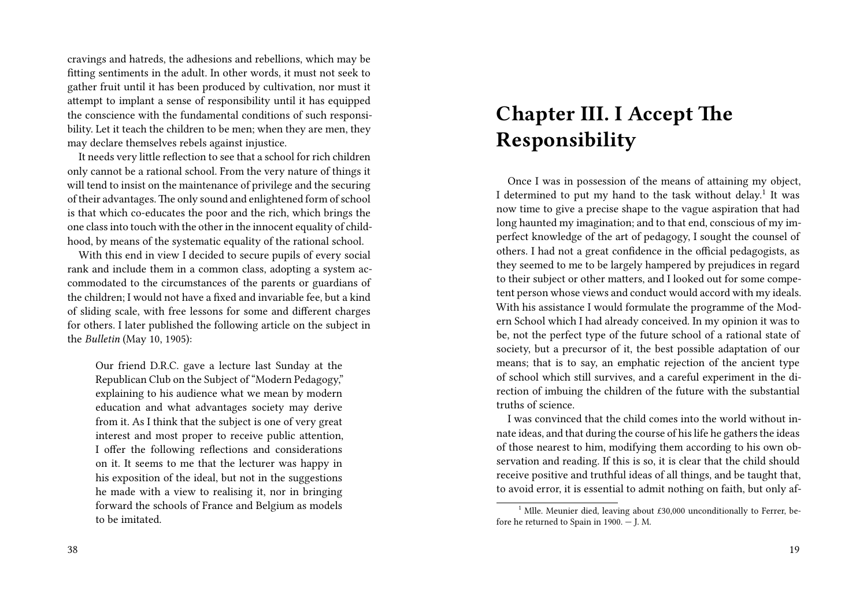cravings and hatreds, the adhesions and rebellions, which may be fitting sentiments in the adult. In other words, it must not seek to gather fruit until it has been produced by cultivation, nor must it attempt to implant a sense of responsibility until it has equipped the conscience with the fundamental conditions of such responsibility. Let it teach the children to be men; when they are men, they may declare themselves rebels against injustice.

It needs very little reflection to see that a school for rich children only cannot be a rational school. From the very nature of things it will tend to insist on the maintenance of privilege and the securing of their advantages. The only sound and enlightened form of school is that which co-educates the poor and the rich, which brings the one class into touch with the other in the innocent equality of childhood, by means of the systematic equality of the rational school.

With this end in view I decided to secure pupils of every social rank and include them in a common class, adopting a system accommodated to the circumstances of the parents or guardians of the children; I would not have a fixed and invariable fee, but a kind of sliding scale, with free lessons for some and different charges for others. I later published the following article on the subject in the *Bulletin* (May 10, 1905):

Our friend D.R.C. gave a lecture last Sunday at the Republican Club on the Subject of "Modern Pedagogy," explaining to his audience what we mean by modern education and what advantages society may derive from it. As I think that the subject is one of very great interest and most proper to receive public attention, I offer the following reflections and considerations on it. It seems to me that the lecturer was happy in his exposition of the ideal, but not in the suggestions he made with a view to realising it, nor in bringing forward the schools of France and Belgium as models to be imitated.

#### 38

# **Chapter III. I Accept The Responsibility**

Once I was in possession of the means of attaining my object, I determined to put my hand to the task without delay.<sup>1</sup> It was now time to give a precise shape to the vague aspiration that had long haunted my imagination; and to that end, conscious of my imperfect knowledge of the art of pedagogy, I sought the counsel of others. I had not a great confidence in the official pedagogists, as they seemed to me to be largely hampered by prejudices in regard to their subject or other matters, and I looked out for some competent person whose views and conduct would accord with my ideals. With his assistance I would formulate the programme of the Modern School which I had already conceived. In my opinion it was to be, not the perfect type of the future school of a rational state of society, but a precursor of it, the best possible adaptation of our means; that is to say, an emphatic rejection of the ancient type of school which still survives, and a careful experiment in the direction of imbuing the children of the future with the substantial truths of science.

I was convinced that the child comes into the world without innate ideas, and that during the course of his life he gathers the ideas of those nearest to him, modifying them according to his own observation and reading. If this is so, it is clear that the child should receive positive and truthful ideas of all things, and be taught that, to avoid error, it is essential to admit nothing on faith, but only af-

<sup>&</sup>lt;sup>1</sup> Mlle. Meunier died, leaving about  $£30,000$  unconditionally to Ferrer, before he returned to Spain in 1900. — J. M.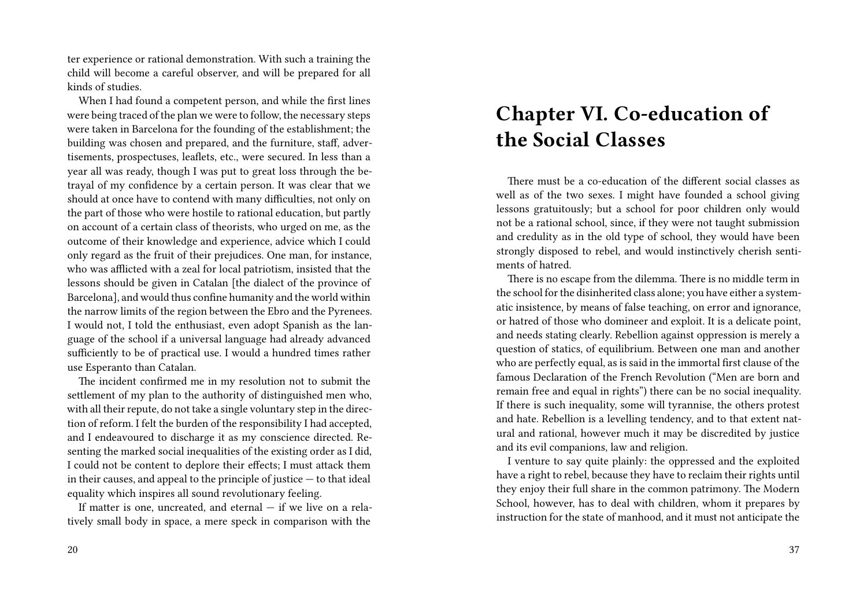ter experience or rational demonstration. With such a training the child will become a careful observer, and will be prepared for all kinds of studies.

When I had found a competent person, and while the first lines were being traced of the plan we were to follow, the necessary steps were taken in Barcelona for the founding of the establishment; the building was chosen and prepared, and the furniture, staff, advertisements, prospectuses, leaflets, etc., were secured. In less than a year all was ready, though I was put to great loss through the betrayal of my confidence by a certain person. It was clear that we should at once have to contend with many difficulties, not only on the part of those who were hostile to rational education, but partly on account of a certain class of theorists, who urged on me, as the outcome of their knowledge and experience, advice which I could only regard as the fruit of their prejudices. One man, for instance, who was afflicted with a zeal for local patriotism, insisted that the lessons should be given in Catalan [the dialect of the province of Barcelona], and would thus confine humanity and the world within the narrow limits of the region between the Ebro and the Pyrenees. I would not, I told the enthusiast, even adopt Spanish as the language of the school if a universal language had already advanced sufficiently to be of practical use. I would a hundred times rather use Esperanto than Catalan.

The incident confirmed me in my resolution not to submit the settlement of my plan to the authority of distinguished men who, with all their repute, do not take a single voluntary step in the direction of reform. I felt the burden of the responsibility I had accepted, and I endeavoured to discharge it as my conscience directed. Resenting the marked social inequalities of the existing order as I did, I could not be content to deplore their effects; I must attack them in their causes, and appeal to the principle of justice — to that ideal equality which inspires all sound revolutionary feeling.

If matter is one, uncreated, and eternal  $-$  if we live on a relatively small body in space, a mere speck in comparison with the

# **Chapter VI. Co-education of the Social Classes**

There must be a co-education of the different social classes as well as of the two sexes. I might have founded a school giving lessons gratuitously; but a school for poor children only would not be a rational school, since, if they were not taught submission and credulity as in the old type of school, they would have been strongly disposed to rebel, and would instinctively cherish sentiments of hatred.

There is no escape from the dilemma. There is no middle term in the school for the disinherited class alone; you have either a systematic insistence, by means of false teaching, on error and ignorance, or hatred of those who domineer and exploit. It is a delicate point, and needs stating clearly. Rebellion against oppression is merely a question of statics, of equilibrium. Between one man and another who are perfectly equal, as is said in the immortal first clause of the famous Declaration of the French Revolution ("Men are born and remain free and equal in rights") there can be no social inequality. If there is such inequality, some will tyrannise, the others protest and hate. Rebellion is a levelling tendency, and to that extent natural and rational, however much it may be discredited by justice and its evil companions, law and religion.

I venture to say quite plainly: the oppressed and the exploited have a right to rebel, because they have to reclaim their rights until they enjoy their full share in the common patrimony. The Modern School, however, has to deal with children, whom it prepares by instruction for the state of manhood, and it must not anticipate the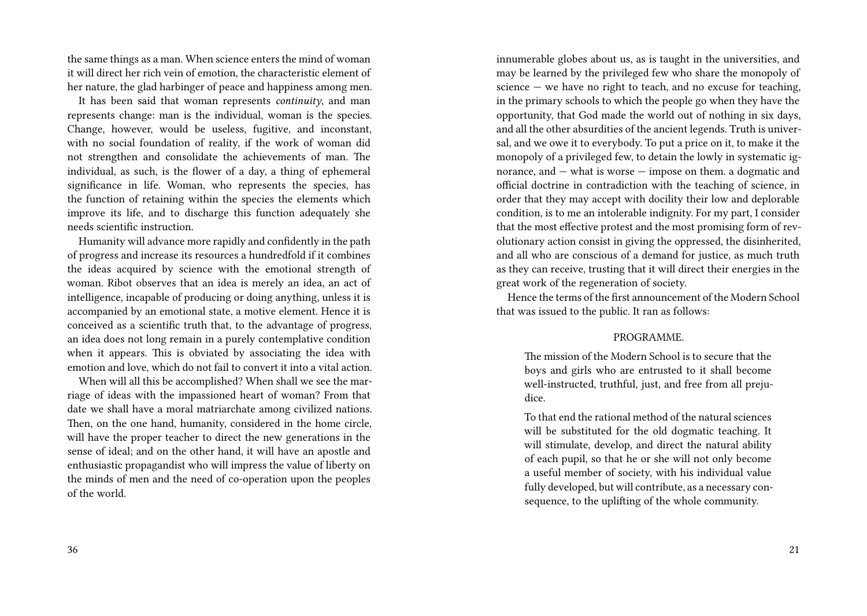the same things as a man. When science enters the mind of woman it will direct her rich vein of emotion, the characteristic element of her nature, the glad harbinger of peace and happiness among men.

It has been said that woman represents *continuity*, and man represents change: man is the individual, woman is the species. Change, however, would be useless, fugitive, and inconstant, with no social foundation of reality, if the work of woman did not strengthen and consolidate the achievements of man. The individual, as such, is the flower of a day, a thing of ephemeral significance in life. Woman, who represents the species, has the function of retaining within the species the elements which improve its life, and to discharge this function adequately she needs scientific instruction.

Humanity will advance more rapidly and confidently in the path of progress and increase its resources a hundredfold if it combines the ideas acquired by science with the emotional strength of woman. Ribot observes that an idea is merely an idea, an act of intelligence, incapable of producing or doing anything, unless it is accompanied by an emotional state, a motive element. Hence it is conceived as a scientific truth that, to the advantage of progress, an idea does not long remain in a purely contemplative condition when it appears. This is obviated by associating the idea with emotion and love, which do not fail to convert it into a vital action.

When will all this be accomplished? When shall we see the marriage of ideas with the impassioned heart of woman? From that date we shall have a moral matriarchate among civilized nations. Then, on the one hand, humanity, considered in the home circle, will have the proper teacher to direct the new generations in the sense of ideal; and on the other hand, it will have an apostle and enthusiastic propagandist who will impress the value of liberty on the minds of men and the need of co-operation upon the peoples of the world.

innumerable globes about us, as is taught in the universities, and may be learned by the privileged few who share the monopoly of science  $-$  we have no right to teach, and no excuse for teaching, in the primary schools to which the people go when they have the opportunity, that God made the world out of nothing in six days, and all the other absurdities of the ancient legends. Truth is universal, and we owe it to everybody. To put a price on it, to make it the monopoly of a privileged few, to detain the lowly in systematic ignorance, and — what is worse — impose on them. a dogmatic and official doctrine in contradiction with the teaching of science, in order that they may accept with docility their low and deplorable condition, is to me an intolerable indignity. For my part, I consider that the most effective protest and the most promising form of revolutionary action consist in giving the oppressed, the disinherited, and all who are conscious of a demand for justice, as much truth as they can receive, trusting that it will direct their energies in the great work of the regeneration of society.

Hence the terms of the first announcement of the Modern School that was issued to the public. It ran as follows:

#### PROGRAMME.

The mission of the Modern School is to secure that the boys and girls who are entrusted to it shall become well-instructed, truthful, just, and free from all prejudice.

To that end the rational method of the natural sciences will be substituted for the old dogmatic teaching. It will stimulate, develop, and direct the natural ability of each pupil, so that he or she will not only become a useful member of society, with his individual value fully developed, but will contribute, as a necessary consequence, to the uplifting of the whole community.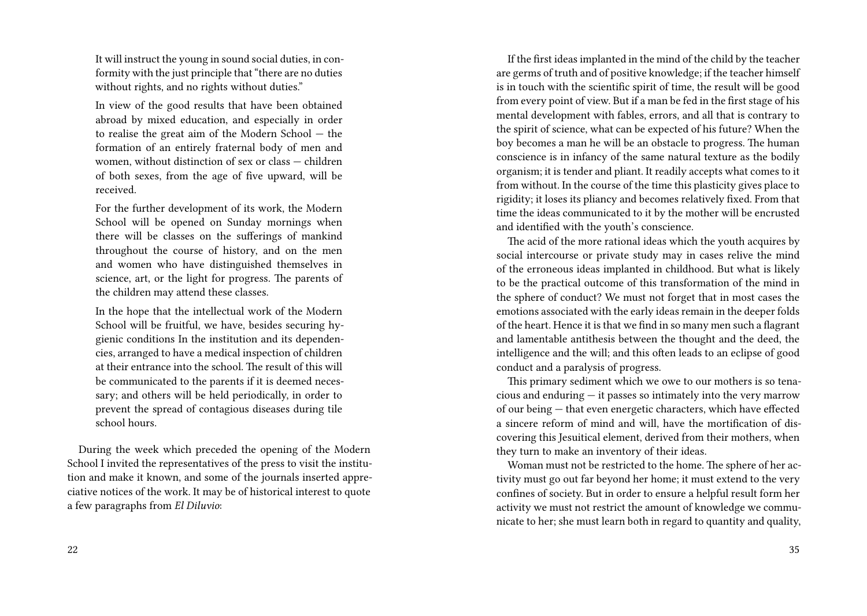It will instruct the young in sound social duties, in conformity with the just principle that "there are no duties without rights, and no rights without duties."

In view of the good results that have been obtained abroad by mixed education, and especially in order to realise the great aim of the Modern School — the formation of an entirely fraternal body of men and women, without distinction of sex or class — children of both sexes, from the age of five upward, will be received.

For the further development of its work, the Modern School will be opened on Sunday mornings when there will be classes on the sufferings of mankind throughout the course of history, and on the men and women who have distinguished themselves in science, art, or the light for progress. The parents of the children may attend these classes.

In the hope that the intellectual work of the Modern School will be fruitful, we have, besides securing hygienic conditions In the institution and its dependencies, arranged to have a medical inspection of children at their entrance into the school. The result of this will be communicated to the parents if it is deemed necessary; and others will be held periodically, in order to prevent the spread of contagious diseases during tile school hours.

During the week which preceded the opening of the Modern School I invited the representatives of the press to visit the institution and make it known, and some of the journals inserted appreciative notices of the work. It may be of historical interest to quote a few paragraphs from *El Diluvio*:

22

If the first ideas implanted in the mind of the child by the teacher are germs of truth and of positive knowledge; if the teacher himself is in touch with the scientific spirit of time, the result will be good from every point of view. But if a man be fed in the first stage of his mental development with fables, errors, and all that is contrary to the spirit of science, what can be expected of his future? When the boy becomes a man he will be an obstacle to progress. The human conscience is in infancy of the same natural texture as the bodily organism; it is tender and pliant. It readily accepts what comes to it from without. In the course of the time this plasticity gives place to rigidity; it loses its pliancy and becomes relatively fixed. From that time the ideas communicated to it by the mother will be encrusted and identified with the youth's conscience.

The acid of the more rational ideas which the youth acquires by social intercourse or private study may in cases relive the mind of the erroneous ideas implanted in childhood. But what is likely to be the practical outcome of this transformation of the mind in the sphere of conduct? We must not forget that in most cases the emotions associated with the early ideas remain in the deeper folds of the heart. Hence it is that we find in so many men such a flagrant and lamentable antithesis between the thought and the deed, the intelligence and the will; and this often leads to an eclipse of good conduct and a paralysis of progress.

This primary sediment which we owe to our mothers is so tenacious and enduring — it passes so intimately into the very marrow of our being — that even energetic characters, which have effected a sincere reform of mind and will, have the mortification of discovering this Jesuitical element, derived from their mothers, when they turn to make an inventory of their ideas.

Woman must not be restricted to the home. The sphere of her activity must go out far beyond her home; it must extend to the very confines of society. But in order to ensure a helpful result form her activity we must not restrict the amount of knowledge we communicate to her; she must learn both in regard to quantity and quality,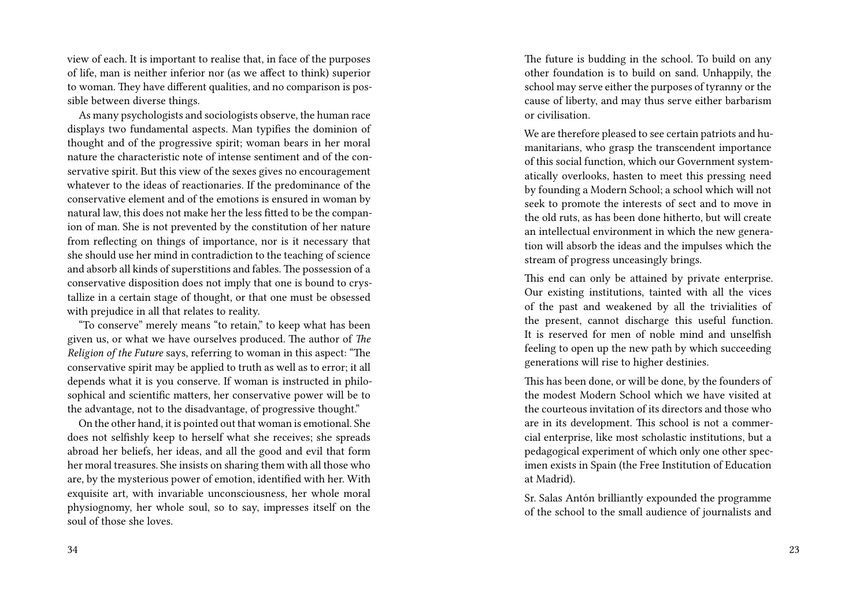view of each. It is important to realise that, in face of the purposes of life, man is neither inferior nor (as we affect to think) superior to woman. They have different qualities, and no comparison is possible between diverse things.

As many psychologists and sociologists observe, the human race displays two fundamental aspects. Man typifies the dominion of thought and of the progressive spirit; woman bears in her moral nature the characteristic note of intense sentiment and of the conservative spirit. But this view of the sexes gives no encouragement whatever to the ideas of reactionaries. If the predominance of the conservative element and of the emotions is ensured in woman by natural law, this does not make her the less fitted to be the companion of man. She is not prevented by the constitution of her nature from reflecting on things of importance, nor is it necessary that she should use her mind in contradiction to the teaching of science and absorb all kinds of superstitions and fables. The possession of a conservative disposition does not imply that one is bound to crystallize in a certain stage of thought, or that one must be obsessed with prejudice in all that relates to reality.

"To conserve" merely means "to retain," to keep what has been given us, or what we have ourselves produced. The author of *The Religion of the Future* says, referring to woman in this aspect: "The conservative spirit may be applied to truth as well as to error; it all depends what it is you conserve. If woman is instructed in philosophical and scientific matters, her conservative power will be to the advantage, not to the disadvantage, of progressive thought."

On the other hand, it is pointed out that woman is emotional. She does not selfishly keep to herself what she receives; she spreads abroad her beliefs, her ideas, and all the good and evil that form her moral treasures. She insists on sharing them with all those who are, by the mysterious power of emotion, identified with her. With exquisite art, with invariable unconsciousness, her whole moral physiognomy, her whole soul, so to say, impresses itself on the soul of those she loves.

The future is budding in the school. To build on any other foundation is to build on sand. Unhappily, the school may serve either the purposes of tyranny or the cause of liberty, and may thus serve either barbarism or civilisation.

We are therefore pleased to see certain patriots and humanitarians, who grasp the transcendent importance of this social function, which our Government systematically overlooks, hasten to meet this pressing need by founding a Modern School; a school which will not seek to promote the interests of sect and to move in the old ruts, as has been done hitherto, but will create an intellectual environment in which the new generation will absorb the ideas and the impulses which the stream of progress unceasingly brings.

This end can only be attained by private enterprise. Our existing institutions, tainted with all the vices of the past and weakened by all the trivialities of the present, cannot discharge this useful function. It is reserved for men of noble mind and unselfish feeling to open up the new path by which succeeding generations will rise to higher destinies.

This has been done, or will be done, by the founders of the modest Modern School which we have visited at the courteous invitation of its directors and those who are in its development. This school is not a commercial enterprise, like most scholastic institutions, but a pedagogical experiment of which only one other specimen exists in Spain (the Free Institution of Education at Madrid).

Sr. Salas Antón brilliantly expounded the programme of the school to the small audience of journalists and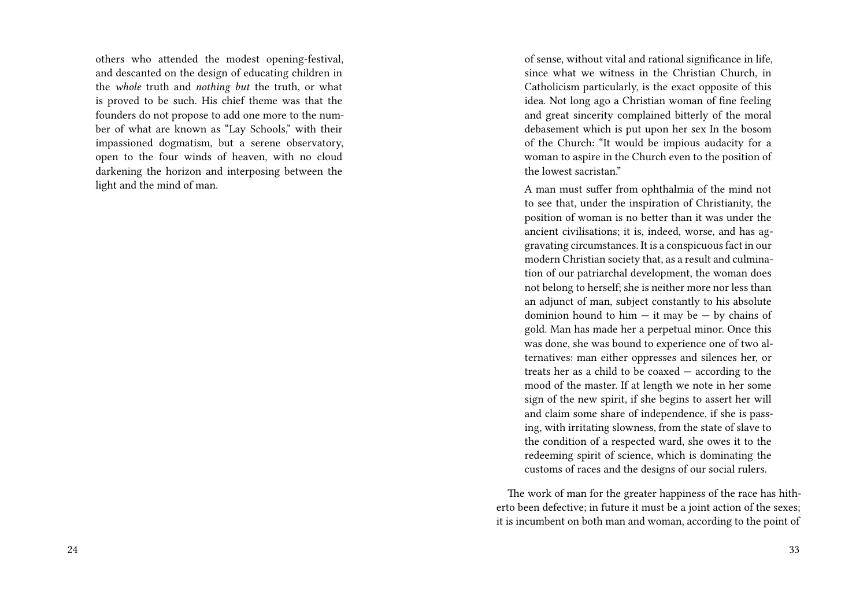others who attended the modest opening-festival, and descanted on the design of educating children in the *whole* truth and *nothing but* the truth, or what is proved to be such. His chief theme was that the founders do not propose to add one more to the number of what are known as "Lay Schools," with their impassioned dogmatism, but a serene observatory, open to the four winds of heaven, with no cloud darkening the horizon and interposing between the light and the mind of man.

of sense, without vital and rational significance in life, since what we witness in the Christian Church, in Catholicism particularly, is the exact opposite of this idea. Not long ago a Christian woman of fine feeling and great sincerity complained bitterly of the moral debasement which is put upon her sex In the bosom of the Church: "It would be impious audacity for a woman to aspire in the Church even to the position of the lowest sacristan."

A man must suffer from ophthalmia of the mind not to see that, under the inspiration of Christianity, the position of woman is no better than it was under the ancient civilisations; it is, indeed, worse, and has aggravating circumstances. It is a conspicuous fact in our modern Christian society that, as a result and culmination of our patriarchal development, the woman does not belong to herself; she is neither more nor less than an adjunct of man, subject constantly to his absolute dominion hound to him  $-$  it may be  $-$  by chains of gold. Man has made her a perpetual minor. Once this was done, she was bound to experience one of two alternatives: man either oppresses and silences her, or treats her as a child to be coaxed — according to the mood of the master. If at length we note in her some sign of the new spirit, if she begins to assert her will and claim some share of independence, if she is passing, with irritating slowness, from the state of slave to the condition of a respected ward, she owes it to the redeeming spirit of science, which is dominating the customs of races and the designs of our social rulers.

The work of man for the greater happiness of the race has hitherto been defective; in future it must be a joint action of the sexes; it is incumbent on both man and woman, according to the point of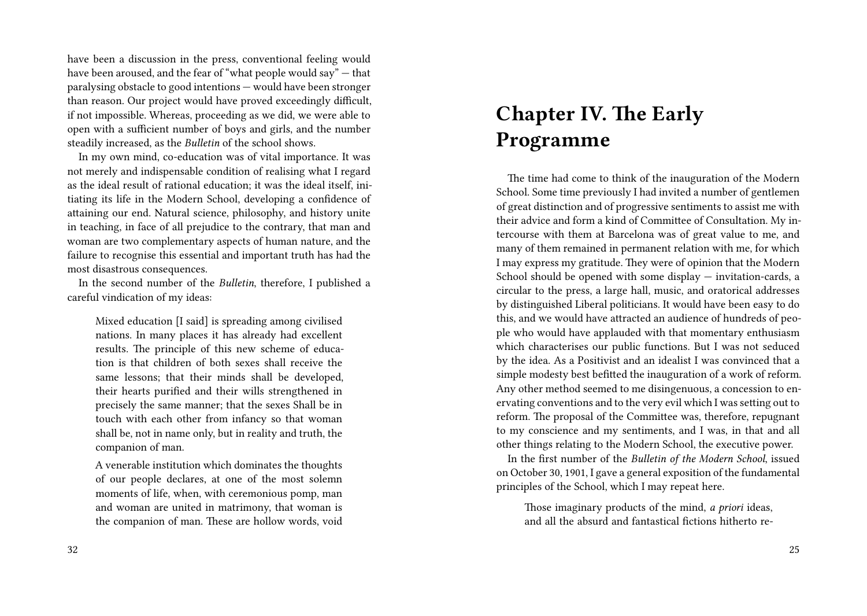have been a discussion in the press, conventional feeling would have been aroused, and the fear of "what people would say" — that paralysing obstacle to good intentions — would have been stronger than reason. Our project would have proved exceedingly difficult, if not impossible. Whereas, proceeding as we did, we were able to open with a sufficient number of boys and girls, and the number steadily increased, as the *Bulletin* of the school shows.

In my own mind, co-education was of vital importance. It was not merely and indispensable condition of realising what I regard as the ideal result of rational education; it was the ideal itself, initiating its life in the Modern School, developing a confidence of attaining our end. Natural science, philosophy, and history unite in teaching, in face of all prejudice to the contrary, that man and woman are two complementary aspects of human nature, and the failure to recognise this essential and important truth has had the most disastrous consequences.

In the second number of the *Bulletin*, therefore, I published a careful vindication of my ideas:

Mixed education [I said] is spreading among civilised nations. In many places it has already had excellent results. The principle of this new scheme of education is that children of both sexes shall receive the same lessons; that their minds shall be developed, their hearts purified and their wills strengthened in precisely the same manner; that the sexes Shall be in touch with each other from infancy so that woman shall be, not in name only, but in reality and truth, the companion of man.

A venerable institution which dominates the thoughts of our people declares, at one of the most solemn moments of life, when, with ceremonious pomp, man and woman are united in matrimony, that woman is the companion of man. These are hollow words, void

# **Chapter IV. The Early Programme**

The time had come to think of the inauguration of the Modern School. Some time previously I had invited a number of gentlemen of great distinction and of progressive sentiments to assist me with their advice and form a kind of Committee of Consultation. My intercourse with them at Barcelona was of great value to me, and many of them remained in permanent relation with me, for which I may express my gratitude. They were of opinion that the Modern School should be opened with some display — invitation-cards, a circular to the press, a large hall, music, and oratorical addresses by distinguished Liberal politicians. It would have been easy to do this, and we would have attracted an audience of hundreds of people who would have applauded with that momentary enthusiasm which characterises our public functions. But I was not seduced by the idea. As a Positivist and an idealist I was convinced that a simple modesty best befitted the inauguration of a work of reform. Any other method seemed to me disingenuous, a concession to enervating conventions and to the very evil which I was setting out to reform. The proposal of the Committee was, therefore, repugnant to my conscience and my sentiments, and I was, in that and all other things relating to the Modern School, the executive power.

In the first number of the *Bulletin of the Modern School*, issued on October 30, 1901, I gave a general exposition of the fundamental principles of the School, which I may repeat here.

Those imaginary products of the mind, *a priori* ideas, and all the absurd and fantastical fictions hitherto re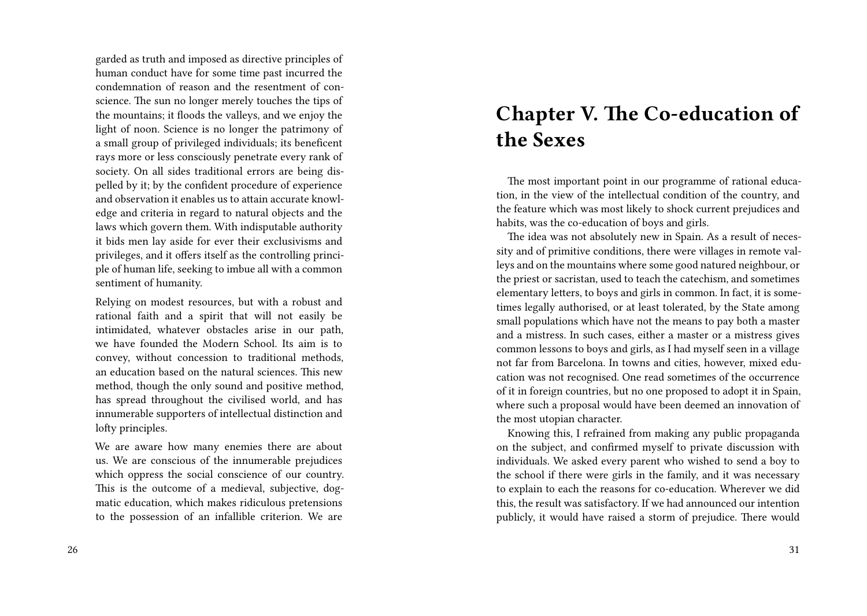garded as truth and imposed as directive principles of human conduct have for some time past incurred the condemnation of reason and the resentment of conscience. The sun no longer merely touches the tips of the mountains; it floods the valleys, and we enjoy the light of noon. Science is no longer the patrimony of a small group of privileged individuals; its beneficent rays more or less consciously penetrate every rank of society. On all sides traditional errors are being dispelled by it; by the confident procedure of experience and observation it enables us to attain accurate knowledge and criteria in regard to natural objects and the laws which govern them. With indisputable authority it bids men lay aside for ever their exclusivisms and privileges, and it offers itself as the controlling principle of human life, seeking to imbue all with a common sentiment of humanity.

Relying on modest resources, but with a robust and rational faith and a spirit that will not easily be intimidated, whatever obstacles arise in our path, we have founded the Modern School. Its aim is to convey, without concession to traditional methods, an education based on the natural sciences. This new method, though the only sound and positive method, has spread throughout the civilised world, and has innumerable supporters of intellectual distinction and lofty principles.

We are aware how many enemies there are about us. We are conscious of the innumerable prejudices which oppress the social conscience of our country. This is the outcome of a medieval, subjective, dogmatic education, which makes ridiculous pretensions to the possession of an infallible criterion. We are

#### 26

## **Chapter V. The Co-education of the Sexes**

The most important point in our programme of rational education, in the view of the intellectual condition of the country, and the feature which was most likely to shock current prejudices and habits, was the co-education of boys and girls.

The idea was not absolutely new in Spain. As a result of necessity and of primitive conditions, there were villages in remote valleys and on the mountains where some good natured neighbour, or the priest or sacristan, used to teach the catechism, and sometimes elementary letters, to boys and girls in common. In fact, it is sometimes legally authorised, or at least tolerated, by the State among small populations which have not the means to pay both a master and a mistress. In such cases, either a master or a mistress gives common lessons to boys and girls, as I had myself seen in a village not far from Barcelona. In towns and cities, however, mixed education was not recognised. One read sometimes of the occurrence of it in foreign countries, but no one proposed to adopt it in Spain, where such a proposal would have been deemed an innovation of the most utopian character.

Knowing this, I refrained from making any public propaganda on the subject, and confirmed myself to private discussion with individuals. We asked every parent who wished to send a boy to the school if there were girls in the family, and it was necessary to explain to each the reasons for co-education. Wherever we did this, the result was satisfactory. If we had announced our intention publicly, it would have raised a storm of prejudice. There would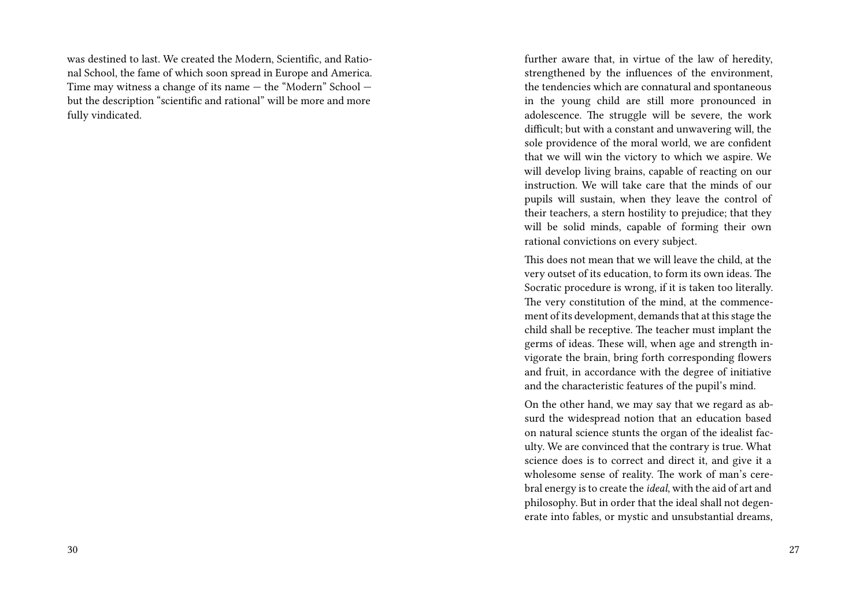was destined to last. We created the Modern, Scientific, and Rational School, the fame of which soon spread in Europe and America. Time may witness a change of its name — the "Modern" School but the description "scientific and rational" will be more and more fully vindicated.

further aware that, in virtue of the law of heredity, strengthened by the influences of the environment, the tendencies which are connatural and spontaneous in the young child are still more pronounced in adolescence. The struggle will be severe, the work difficult; but with a constant and unwavering will, the sole providence of the moral world, we are confident that we will win the victory to which we aspire. We will develop living brains, capable of reacting on our instruction. We will take care that the minds of our pupils will sustain, when they leave the control of their teachers, a stern hostility to prejudice; that they will be solid minds, capable of forming their own rational convictions on every subject.

This does not mean that we will leave the child, at the very outset of its education, to form its own ideas. The Socratic procedure is wrong, if it is taken too literally. The very constitution of the mind, at the commencement of its development, demands that at this stage the child shall be receptive. The teacher must implant the germs of ideas. These will, when age and strength invigorate the brain, bring forth corresponding flowers and fruit, in accordance with the degree of initiative and the characteristic features of the pupil's mind.

On the other hand, we may say that we regard as absurd the widespread notion that an education based on natural science stunts the organ of the idealist faculty. We are convinced that the contrary is true. What science does is to correct and direct it, and give it a wholesome sense of reality. The work of man's cerebral energy is to create the *ideal*, with the aid of art and philosophy. But in order that the ideal shall not degenerate into fables, or mystic and unsubstantial dreams,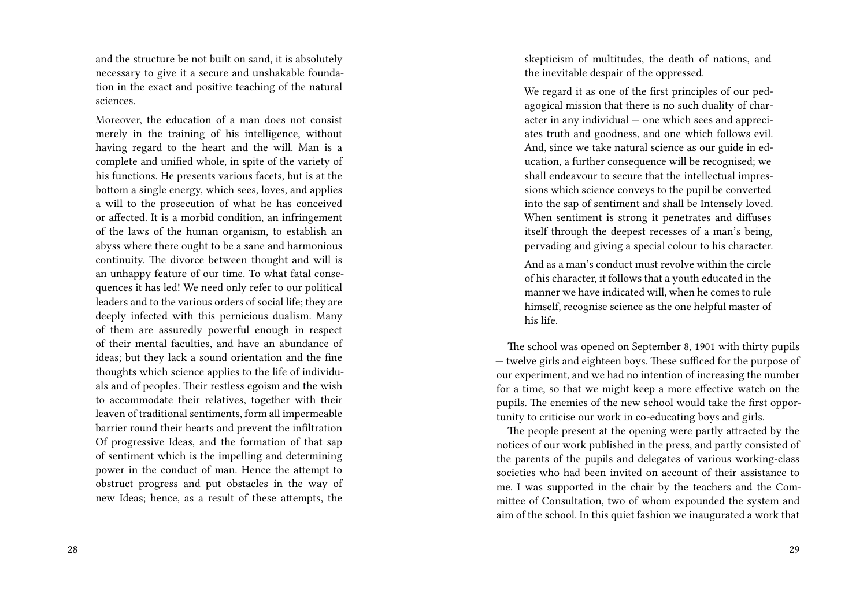and the structure be not built on sand, it is absolutely necessary to give it a secure and unshakable foundation in the exact and positive teaching of the natural sciences.

Moreover, the education of a man does not consist merely in the training of his intelligence, without having regard to the heart and the will. Man is a complete and unified whole, in spite of the variety of his functions. He presents various facets, but is at the bottom a single energy, which sees, loves, and applies a will to the prosecution of what he has conceived or affected. It is a morbid condition, an infringement of the laws of the human organism, to establish an abyss where there ought to be a sane and harmonious continuity. The divorce between thought and will is an unhappy feature of our time. To what fatal consequences it has led! We need only refer to our political leaders and to the various orders of social life; they are deeply infected with this pernicious dualism. Many of them are assuredly powerful enough in respect of their mental faculties, and have an abundance of ideas; but they lack a sound orientation and the fine thoughts which science applies to the life of individuals and of peoples. Their restless egoism and the wish to accommodate their relatives, together with their leaven of traditional sentiments, form all impermeable barrier round their hearts and prevent the infiltration Of progressive Ideas, and the formation of that sap of sentiment which is the impelling and determining power in the conduct of man. Hence the attempt to obstruct progress and put obstacles in the way of new Ideas; hence, as a result of these attempts, the

skepticism of multitudes, the death of nations, and the inevitable despair of the oppressed.

We regard it as one of the first principles of our pedagogical mission that there is no such duality of character in any individual — one which sees and appreciates truth and goodness, and one which follows evil. And, since we take natural science as our guide in education, a further consequence will be recognised; we shall endeavour to secure that the intellectual impressions which science conveys to the pupil be converted into the sap of sentiment and shall be Intensely loved. When sentiment is strong it penetrates and diffuses itself through the deepest recesses of a man's being, pervading and giving a special colour to his character.

And as a man's conduct must revolve within the circle of his character, it follows that a youth educated in the manner we have indicated will, when he comes to rule himself, recognise science as the one helpful master of his life.

The school was opened on September 8, 1901 with thirty pupils — twelve girls and eighteen boys. These sufficed for the purpose of our experiment, and we had no intention of increasing the number for a time, so that we might keep a more effective watch on the pupils. The enemies of the new school would take the first opportunity to criticise our work in co-educating boys and girls.

The people present at the opening were partly attracted by the notices of our work published in the press, and partly consisted of the parents of the pupils and delegates of various working-class societies who had been invited on account of their assistance to me. I was supported in the chair by the teachers and the Committee of Consultation, two of whom expounded the system and aim of the school. In this quiet fashion we inaugurated a work that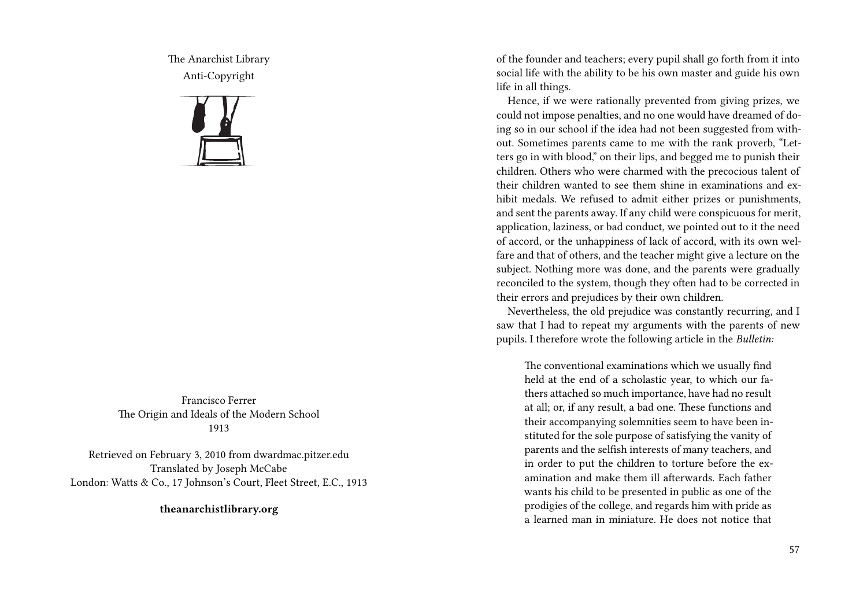The Anarchist Library Anti-Copyright



Francisco Ferrer The Origin and Ideals of the Modern School 1913

Retrieved on February 3, 2010 from dwardmac.pitzer.edu Translated by Joseph McCabe London: Watts & Co., 17 Johnson's Court, Fleet Street, E.C., 1913

**theanarchistlibrary.org**

of the founder and teachers; every pupil shall go forth from it into social life with the ability to be his own master and guide his own life in all things.

Hence, if we were rationally prevented from giving prizes, we could not impose penalties, and no one would have dreamed of doing so in our school if the idea had not been suggested from without. Sometimes parents came to me with the rank proverb, "Letters go in with blood," on their lips, and begged me to punish their children. Others who were charmed with the precocious talent of their children wanted to see them shine in examinations and exhibit medals. We refused to admit either prizes or punishments, and sent the parents away. If any child were conspicuous for merit, application, laziness, or bad conduct, we pointed out to it the need of accord, or the unhappiness of lack of accord, with its own welfare and that of others, and the teacher might give a lecture on the subject. Nothing more was done, and the parents were gradually reconciled to the system, though they often had to be corrected in their errors and prejudices by their own children.

Nevertheless, the old prejudice was constantly recurring, and I saw that I had to repeat my arguments with the parents of new pupils. I therefore wrote the following article in the *Bulletin:*

The conventional examinations which we usually find held at the end of a scholastic year, to which our fathers attached so much importance, have had no result at all; or, if any result, a bad one. These functions and their accompanying solemnities seem to have been instituted for the sole purpose of satisfying the vanity of parents and the selfish interests of many teachers, and in order to put the children to torture before the examination and make them ill afterwards. Each father wants his child to be presented in public as one of the prodigies of the college, and regards him with pride as a learned man in miniature. He does not notice that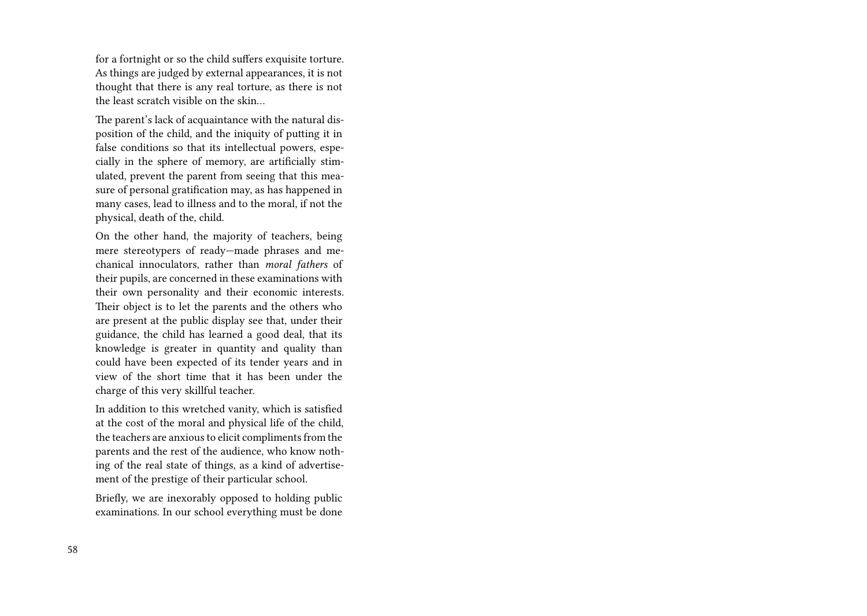for a fortnight or so the child suffers exquisite torture. As things are judged by external appearances, it is not thought that there is any real torture, as there is not the least scratch visible on the skin…

The parent's lack of acquaintance with the natural disposition of the child, and the iniquity of putting it in false conditions so that its intellectual powers, especially in the sphere of memory, are artificially stimulated, prevent the parent from seeing that this measure of personal gratification may, as has happened in many cases, lead to illness and to the moral, if not the physical, death of the, child.

On the other hand, the majority of teachers, being mere stereotypers of ready—made phrases and mechanical innoculators, rather than *moral fathers* of their pupils, are concerned in these examinations with their own personality and their economic interests. Their object is to let the parents and the others who are present at the public display see that, under their guidance, the child has learned a good deal, that its knowledge is greater in quantity and quality than could have been expected of its tender years and in view of the short time that it has been under the charge of this very skillful teacher.

In addition to this wretched vanity, which is satisfied at the cost of the moral and physical life of the child, the teachers are anxious to elicit compliments from the parents and the rest of the audience, who know nothing of the real state of things, as a kind of advertisement of the prestige of their particular school.

Briefly, we are inexorably opposed to holding public examinations. In our school everything must be done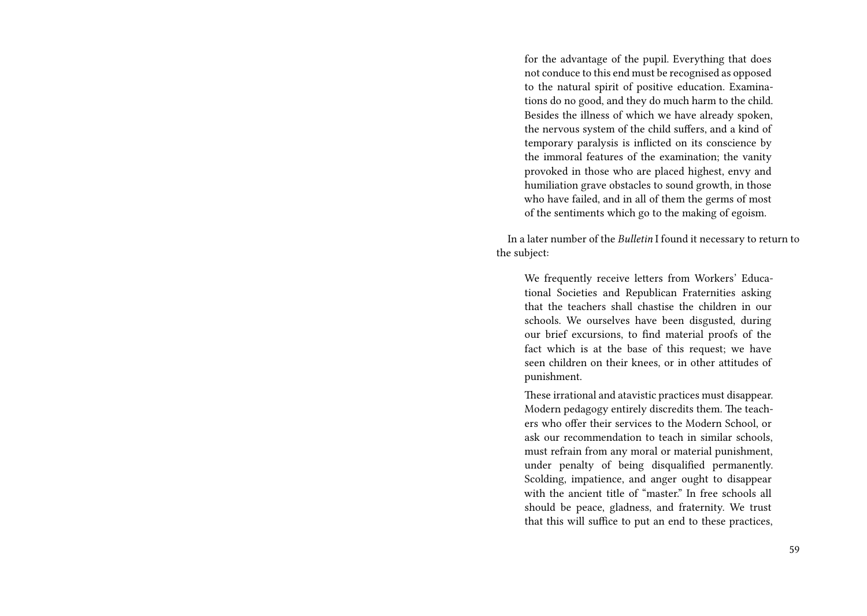for the advantage of the pupil. Everything that does not conduce to this end must be recognised as opposed to the natural spirit of positive education. Examinations do no good, and they do much harm to the child. Besides the illness of which we have already spoken, the nervous system of the child suffers, and a kind of temporary paralysis is inflicted on its conscience by the immoral features of the examination; the vanity provoked in those who are placed highest, envy and humiliation grave obstacles to sound growth, in those who have failed, and in all of them the germs of most of the sentiments which go to the making of egoism.

In a later number of the *Bulletin* I found it necessary to return to the subject:

We frequently receive letters from Workers' Educational Societies and Republican Fraternities asking that the teachers shall chastise the children in our schools. We ourselves have been disgusted, during our brief excursions, to find material proofs of the fact which is at the base of this request; we have seen children on their knees, or in other attitudes of punishment.

These irrational and atavistic practices must disappear. Modern pedagogy entirely discredits them. The teachers who offer their services to the Modern School, or ask our recommendation to teach in similar schools, must refrain from any moral or material punishment, under penalty of being disqualified permanently. Scolding, impatience, and anger ought to disappear with the ancient title of "master." In free schools all should be peace, gladness, and fraternity. We trust that this will suffice to put an end to these practices,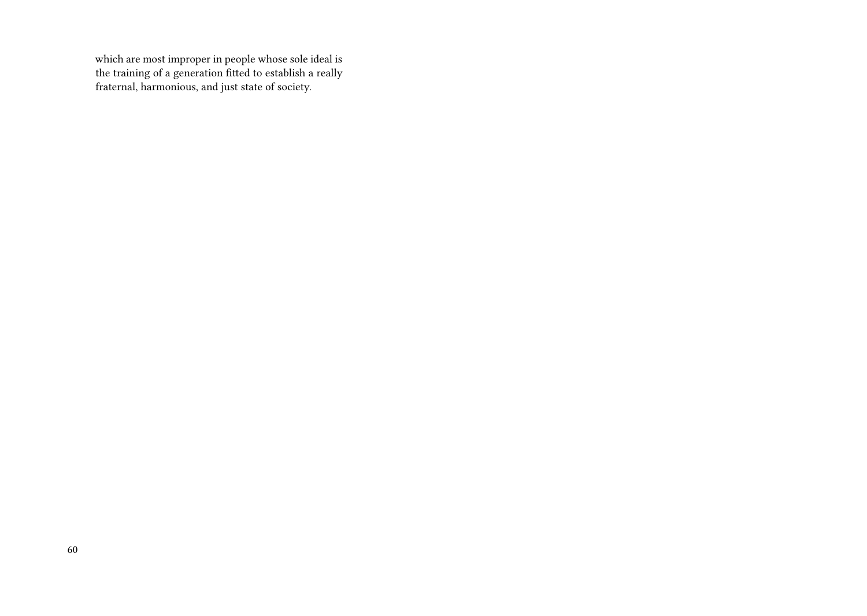which are most improper in people whose sole ideal is the training of a generation fitted to establish a really fraternal, harmonious, and just state of society.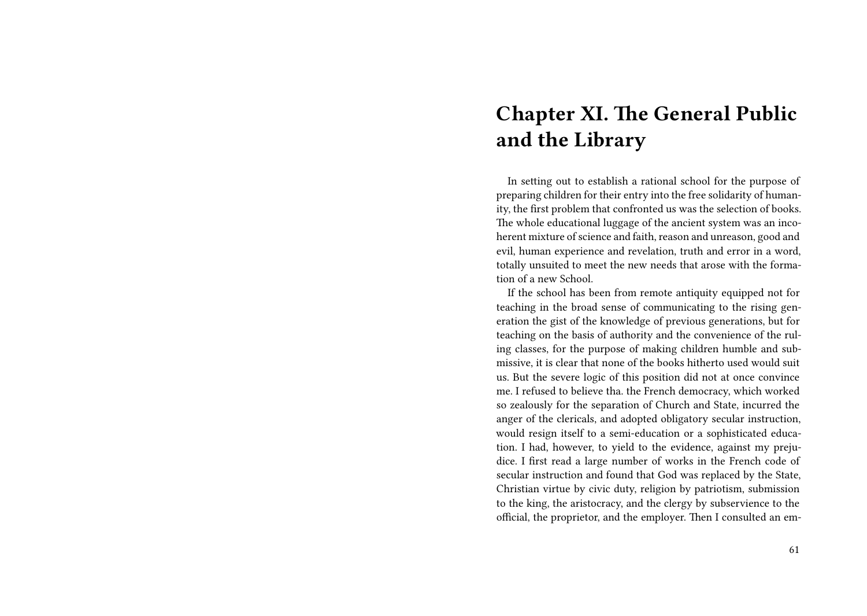# **Chapter XI. The General Public and the Library**

In setting out to establish a rational school for the purpose of preparing children for their entry into the free solidarity of humanity, the first problem that confronted us was the selection of books. The whole educational luggage of the ancient system was an incoherent mixture of science and faith, reason and unreason, good and evil, human experience and revelation, truth and error in a word, totally unsuited to meet the new needs that arose with the formation of a new School.

If the school has been from remote antiquity equipped not for teaching in the broad sense of communicating to the rising generation the gist of the knowledge of previous generations, but for teaching on the basis of authority and the convenience of the ruling classes, for the purpose of making children humble and submissive, it is clear that none of the books hitherto used would suit us. But the severe logic of this position did not at once convince me. I refused to believe tha. the French democracy, which worked so zealously for the separation of Church and State, incurred the anger of the clericals, and adopted obligatory secular instruction, would resign itself to a semi-education or a sophisticated education. I had, however, to yield to the evidence, against my prejudice. I first read a large number of works in the French code of secular instruction and found that God was replaced by the State, Christian virtue by civic duty, religion by patriotism, submission to the king, the aristocracy, and the clergy by subservience to the official, the proprietor, and the employer. Then I consulted an em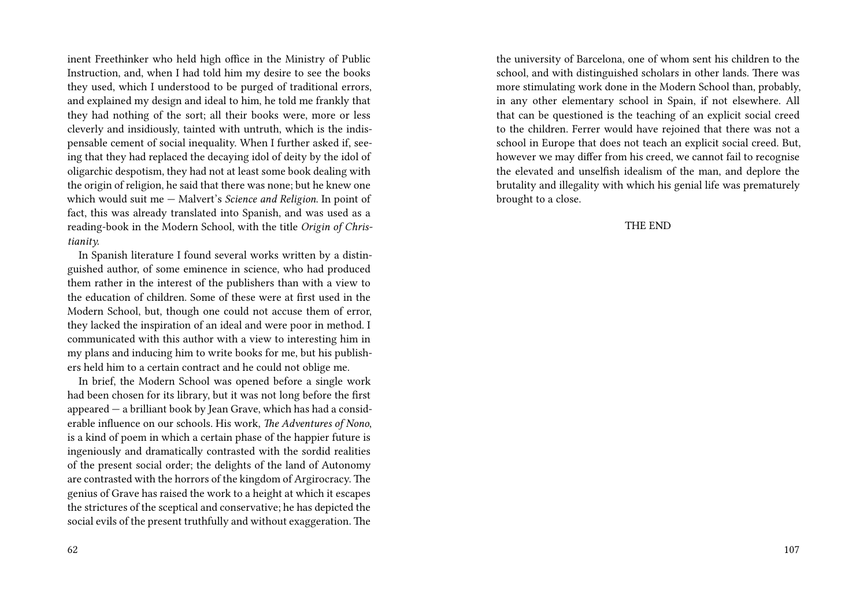inent Freethinker who held high office in the Ministry of Public Instruction, and, when I had told him my desire to see the books they used, which I understood to be purged of traditional errors, and explained my design and ideal to him, he told me frankly that they had nothing of the sort; all their books were, more or less cleverly and insidiously, tainted with untruth, which is the indispensable cement of social inequality. When I further asked if, seeing that they had replaced the decaying idol of deity by the idol of oligarchic despotism, they had not at least some book dealing with the origin of religion, he said that there was none; but he knew one which would suit me — Malvert's *Science and Religion*. In point of fact, this was already translated into Spanish, and was used as a reading-book in the Modern School, with the title *Origin of Christianity.*

In Spanish literature I found several works written by a distinguished author, of some eminence in science, who had produced them rather in the interest of the publishers than with a view to the education of children. Some of these were at first used in the Modern School, but, though one could not accuse them of error, they lacked the inspiration of an ideal and were poor in method. I communicated with this author with a view to interesting him in my plans and inducing him to write books for me, but his publishers held him to a certain contract and he could not oblige me.

In brief, the Modern School was opened before a single work had been chosen for its library, but it was not long before the first appeared — a brilliant book by Jean Grave, which has had a considerable influence on our schools. His work, *The Adventures of Nono*, is a kind of poem in which a certain phase of the happier future is ingeniously and dramatically contrasted with the sordid realities of the present social order; the delights of the land of Autonomy are contrasted with the horrors of the kingdom of Argirocracy. The genius of Grave has raised the work to a height at which it escapes the strictures of the sceptical and conservative; he has depicted the social evils of the present truthfully and without exaggeration. The

the university of Barcelona, one of whom sent his children to the school, and with distinguished scholars in other lands. There was more stimulating work done in the Modern School than, probably, in any other elementary school in Spain, if not elsewhere. All that can be questioned is the teaching of an explicit social creed to the children. Ferrer would have rejoined that there was not a school in Europe that does not teach an explicit social creed. But, however we may differ from his creed, we cannot fail to recognise the elevated and unselfish idealism of the man, and deplore the brutality and illegality with which his genial life was prematurely brought to a close.

THE END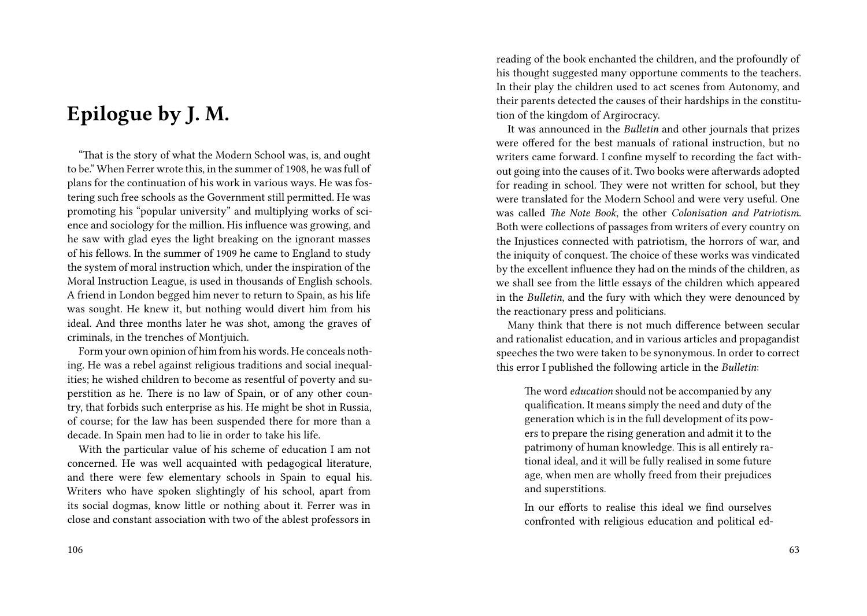## **Epilogue by J. M.**

"That is the story of what the Modern School was, is, and ought to be." When Ferrer wrote this, in the summer of 1908, he was full of plans for the continuation of his work in various ways. He was fostering such free schools as the Government still permitted. He was promoting his "popular university" and multiplying works of science and sociology for the million. His influence was growing, and he saw with glad eyes the light breaking on the ignorant masses of his fellows. In the summer of 1909 he came to England to study the system of moral instruction which, under the inspiration of the Moral Instruction League, is used in thousands of English schools. A friend in London begged him never to return to Spain, as his life was sought. He knew it, but nothing would divert him from his ideal. And three months later he was shot, among the graves of criminals, in the trenches of Montjuich.

Form your own opinion of him from his words. He conceals nothing. He was a rebel against religious traditions and social inequalities; he wished children to become as resentful of poverty and superstition as he. There is no law of Spain, or of any other country, that forbids such enterprise as his. He might be shot in Russia, of course; for the law has been suspended there for more than a decade. In Spain men had to lie in order to take his life.

With the particular value of his scheme of education I am not concerned. He was well acquainted with pedagogical literature, and there were few elementary schools in Spain to equal his. Writers who have spoken slightingly of his school, apart from its social dogmas, know little or nothing about it. Ferrer was in close and constant association with two of the ablest professors in reading of the book enchanted the children, and the profoundly of his thought suggested many opportune comments to the teachers. In their play the children used to act scenes from Autonomy, and their parents detected the causes of their hardships in the constitution of the kingdom of Argirocracy.

It was announced in the *Bulletin* and other journals that prizes were offered for the best manuals of rational instruction, but no writers came forward. I confine myself to recording the fact without going into the causes of it. Two books were afterwards adopted for reading in school. They were not written for school, but they were translated for the Modern School and were very useful. One was called *The Note Book*, the other *Colonisation and Patriotism*. Both were collections of passages from writers of every country on the Injustices connected with patriotism, the horrors of war, and the iniquity of conquest. The choice of these works was vindicated by the excellent influence they had on the minds of the children, as we shall see from the little essays of the children which appeared in the *Bulletin*, and the fury with which they were denounced by the reactionary press and politicians.

Many think that there is not much difference between secular and rationalist education, and in various articles and propagandist speeches the two were taken to be synonymous. In order to correct this error I published the following article in the *Bulletin*:

The word *education* should not be accompanied by any qualification. It means simply the need and duty of the generation which is in the full development of its powers to prepare the rising generation and admit it to the patrimony of human knowledge. This is all entirely rational ideal, and it will be fully realised in some future age, when men are wholly freed from their prejudices and superstitions.

In our efforts to realise this ideal we find ourselves confronted with religious education and political ed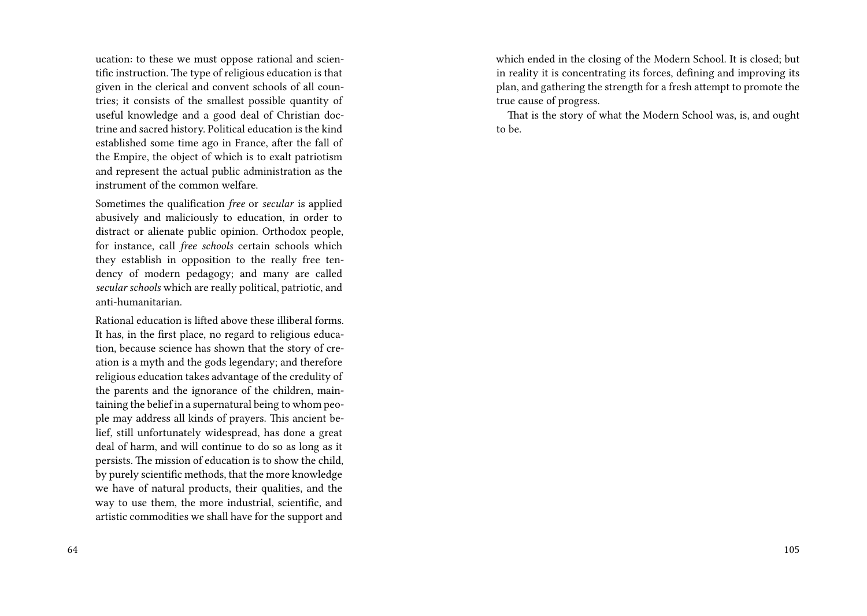ucation: to these we must oppose rational and scientific instruction. The type of religious education is that given in the clerical and convent schools of all countries; it consists of the smallest possible quantity of useful knowledge and a good deal of Christian doctrine and sacred history. Political education is the kind established some time ago in France, after the fall of the Empire, the object of which is to exalt patriotism and represent the actual public administration as the instrument of the common welfare.

Sometimes the qualification *free* or *secular* is applied abusively and maliciously to education, in order to distract or alienate public opinion. Orthodox people, for instance, call *free schools* certain schools which they establish in opposition to the really free tendency of modern pedagogy; and many are called *secular schools* which are really political, patriotic, and anti-humanitarian.

Rational education is lifted above these illiberal forms. It has, in the first place, no regard to religious education, because science has shown that the story of creation is a myth and the gods legendary; and therefore religious education takes advantage of the credulity of the parents and the ignorance of the children, maintaining the belief in a supernatural being to whom people may address all kinds of prayers. This ancient belief, still unfortunately widespread, has done a great deal of harm, and will continue to do so as long as it persists. The mission of education is to show the child, by purely scientific methods, that the more knowledge we have of natural products, their qualities, and the way to use them, the more industrial, scientific, and artistic commodities we shall have for the support and

which ended in the closing of the Modern School. It is closed; but in reality it is concentrating its forces, defining and improving its plan, and gathering the strength for a fresh attempt to promote the true cause of progress.

That is the story of what the Modern School was, is, and ought to be.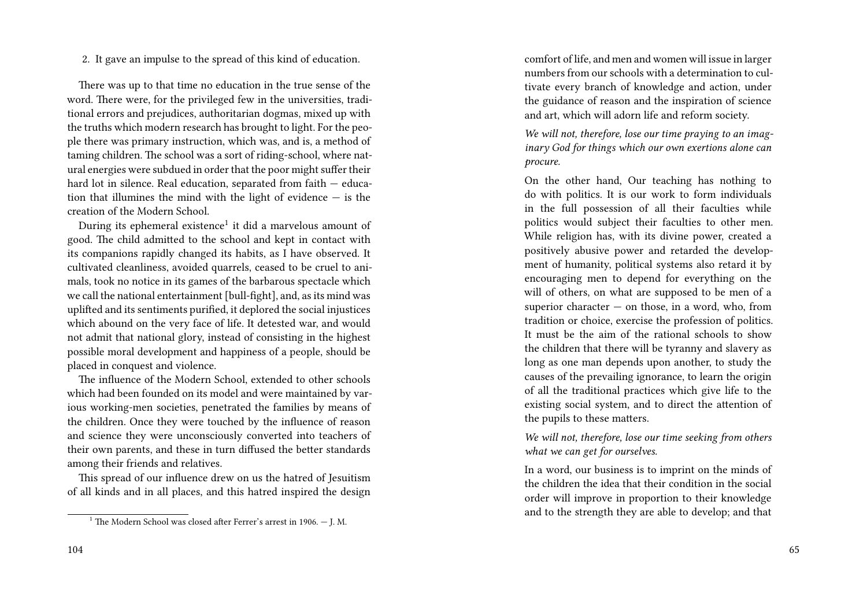2. It gave an impulse to the spread of this kind of education.

There was up to that time no education in the true sense of the word. There were, for the privileged few in the universities, traditional errors and prejudices, authoritarian dogmas, mixed up with the truths which modern research has brought to light. For the people there was primary instruction, which was, and is, a method of taming children. The school was a sort of riding-school, where natural energies were subdued in order that the poor might suffer their hard lot in silence. Real education, separated from faith – education that illumines the mind with the light of evidence — is the creation of the Modern School.

During its ephemeral existence<sup>1</sup> it did a marvelous amount of good. The child admitted to the school and kept in contact with its companions rapidly changed its habits, as I have observed. It cultivated cleanliness, avoided quarrels, ceased to be cruel to animals, took no notice in its games of the barbarous spectacle which we call the national entertainment [bull-fight], and, as its mind was uplifted and its sentiments purified, it deplored the social injustices which abound on the very face of life. It detested war, and would not admit that national glory, instead of consisting in the highest possible moral development and happiness of a people, should be placed in conquest and violence.

The influence of the Modern School, extended to other schools which had been founded on its model and were maintained by various working-men societies, penetrated the families by means of the children. Once they were touched by the influence of reason and science they were unconsciously converted into teachers of their own parents, and these in turn diffused the better standards among their friends and relatives.

This spread of our influence drew on us the hatred of Jesuitism of all kinds and in all places, and this hatred inspired the design comfort of life, and men and women will issue in larger numbers from our schools with a determination to cultivate every branch of knowledge and action, under the guidance of reason and the inspiration of science and art, which will adorn life and reform society.

*We will not, therefore, lose our time praying to an imaginary God for things which our own exertions alone can procure.*

On the other hand, Our teaching has nothing to do with politics. It is our work to form individuals in the full possession of all their faculties while politics would subject their faculties to other men. While religion has, with its divine power, created a positively abusive power and retarded the development of humanity, political systems also retard it by encouraging men to depend for everything on the will of others, on what are supposed to be men of a superior character  $-$  on those, in a word, who, from tradition or choice, exercise the profession of politics. It must be the aim of the rational schools to show the children that there will be tyranny and slavery as long as one man depends upon another, to study the causes of the prevailing ignorance, to learn the origin of all the traditional practices which give life to the existing social system, and to direct the attention of the pupils to these matters.

*We will not, therefore, lose our time seeking from others what we can get for ourselves.*

In a word, our business is to imprint on the minds of the children the idea that their condition in the social order will improve in proportion to their knowledge and to the strength they are able to develop; and that

<sup>&</sup>lt;sup>1</sup> The Modern School was closed after Ferrer's arrest in 1906.  $-$  J. M.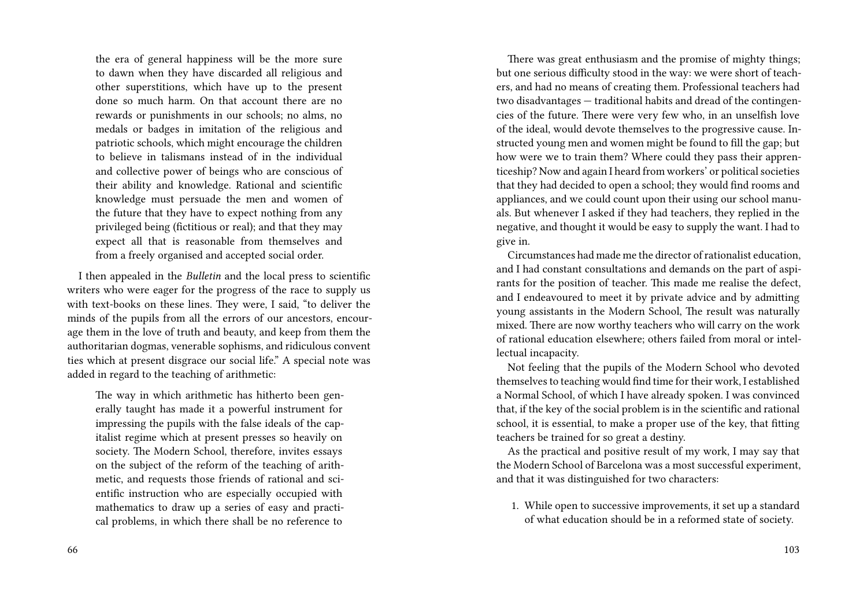the era of general happiness will be the more sure to dawn when they have discarded all religious and other superstitions, which have up to the present done so much harm. On that account there are no rewards or punishments in our schools; no alms, no medals or badges in imitation of the religious and patriotic schools, which might encourage the children to believe in talismans instead of in the individual and collective power of beings who are conscious of their ability and knowledge. Rational and scientific knowledge must persuade the men and women of the future that they have to expect nothing from any privileged being (fictitious or real); and that they may expect all that is reasonable from themselves and from a freely organised and accepted social order.

I then appealed in the *Bulletin* and the local press to scientific writers who were eager for the progress of the race to supply us with text-books on these lines. They were, I said, "to deliver the minds of the pupils from all the errors of our ancestors, encourage them in the love of truth and beauty, and keep from them the authoritarian dogmas, venerable sophisms, and ridiculous convent ties which at present disgrace our social life." A special note was added in regard to the teaching of arithmetic:

The way in which arithmetic has hitherto been generally taught has made it a powerful instrument for impressing the pupils with the false ideals of the capitalist regime which at present presses so heavily on society. The Modern School, therefore, invites essays on the subject of the reform of the teaching of arithmetic, and requests those friends of rational and scientific instruction who are especially occupied with mathematics to draw up a series of easy and practical problems, in which there shall be no reference to

There was great enthusiasm and the promise of mighty things; but one serious difficulty stood in the way: we were short of teachers, and had no means of creating them. Professional teachers had two disadvantages — traditional habits and dread of the contingencies of the future. There were very few who, in an unselfish love of the ideal, would devote themselves to the progressive cause. Instructed young men and women might be found to fill the gap; but how were we to train them? Where could they pass their apprenticeship? Now and again I heard from workers' or political societies that they had decided to open a school; they would find rooms and appliances, and we could count upon their using our school manuals. But whenever I asked if they had teachers, they replied in the negative, and thought it would be easy to supply the want. I had to give in.

Circumstances had made me the director of rationalist education, and I had constant consultations and demands on the part of aspirants for the position of teacher. This made me realise the defect, and I endeavoured to meet it by private advice and by admitting young assistants in the Modern School, The result was naturally mixed. There are now worthy teachers who will carry on the work of rational education elsewhere; others failed from moral or intellectual incapacity.

Not feeling that the pupils of the Modern School who devoted themselves to teaching would find time for their work, I established a Normal School, of which I have already spoken. I was convinced that, if the key of the social problem is in the scientific and rational school, it is essential, to make a proper use of the key, that fitting teachers be trained for so great a destiny.

As the practical and positive result of my work, I may say that the Modern School of Barcelona was a most successful experiment, and that it was distinguished for two characters:

1. While open to successive improvements, it set up a standard of what education should be in a reformed state of society.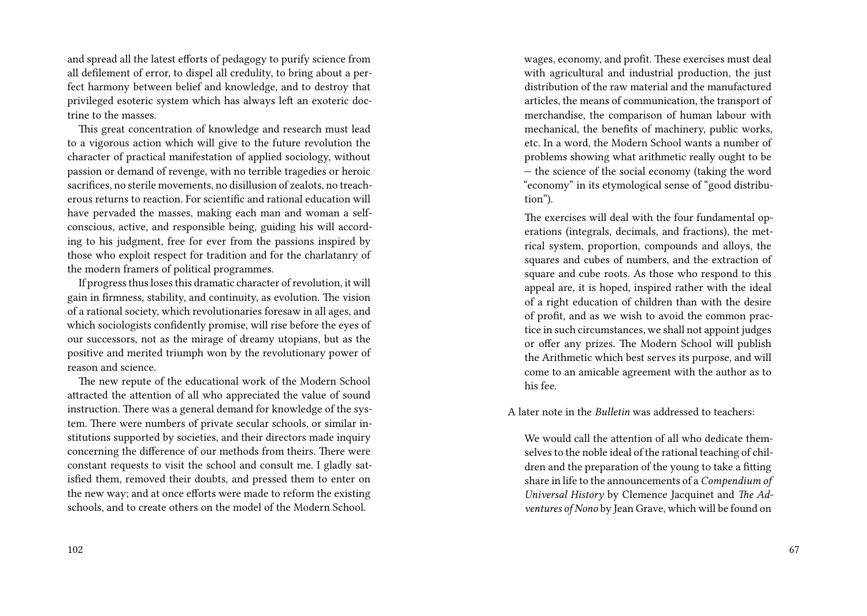and spread all the latest efforts of pedagogy to purify science from all defilement of error, to dispel all credulity, to bring about a perfect harmony between belief and knowledge, and to destroy that privileged esoteric system which has always left an exoteric doctrine to the masses.

This great concentration of knowledge and research must lead to a vigorous action which will give to the future revolution the character of practical manifestation of applied sociology, without passion or demand of revenge, with no terrible tragedies or heroic sacrifices, no sterile movements, no disillusion of zealots, no treacherous returns to reaction. For scientific and rational education will have pervaded the masses, making each man and woman a selfconscious, active, and responsible being, guiding his will according to his judgment, free for ever from the passions inspired by those who exploit respect for tradition and for the charlatanry of the modern framers of political programmes.

If progress thus loses this dramatic character of revolution, it will gain in firmness, stability, and continuity, as evolution. The vision of a rational society, which revolutionaries foresaw in all ages, and which sociologists confidently promise, will rise before the eyes of our successors, not as the mirage of dreamy utopians, but as the positive and merited triumph won by the revolutionary power of reason and science.

The new repute of the educational work of the Modern School attracted the attention of all who appreciated the value of sound instruction. There was a general demand for knowledge of the system. There were numbers of private secular schools, or similar institutions supported by societies, and their directors made inquiry concerning the difference of our methods from theirs. There were constant requests to visit the school and consult me. I gladly satisfied them, removed their doubts, and pressed them to enter on the new way; and at once efforts were made to reform the existing schools, and to create others on the model of the Modern School.

wages, economy, and profit. These exercises must deal with agricultural and industrial production, the just distribution of the raw material and the manufactured articles, the means of communication, the transport of merchandise, the comparison of human labour with mechanical, the benefits of machinery, public works, etc. In a word, the Modern School wants a number of problems showing what arithmetic really ought to be — the science of the social economy (taking the word "economy" in its etymological sense of "good distribution").

The exercises will deal with the four fundamental operations (integrals, decimals, and fractions), the metrical system, proportion, compounds and alloys, the squares and cubes of numbers, and the extraction of square and cube roots. As those who respond to this appeal are, it is hoped, inspired rather with the ideal of a right education of children than with the desire of profit, and as we wish to avoid the common practice in such circumstances, we shall not appoint judges or offer any prizes. The Modern School will publish the Arithmetic which best serves its purpose, and will come to an amicable agreement with the author as to his fee.

A later note in the *Bulletin* was addressed to teachers:

We would call the attention of all who dedicate themselves to the noble ideal of the rational teaching of children and the preparation of the young to take a fitting share in life to the announcements of a *Compendium of Universal History* by Clemence Jacquinet and *The Adventures of Nono* by Jean Grave, which will be found on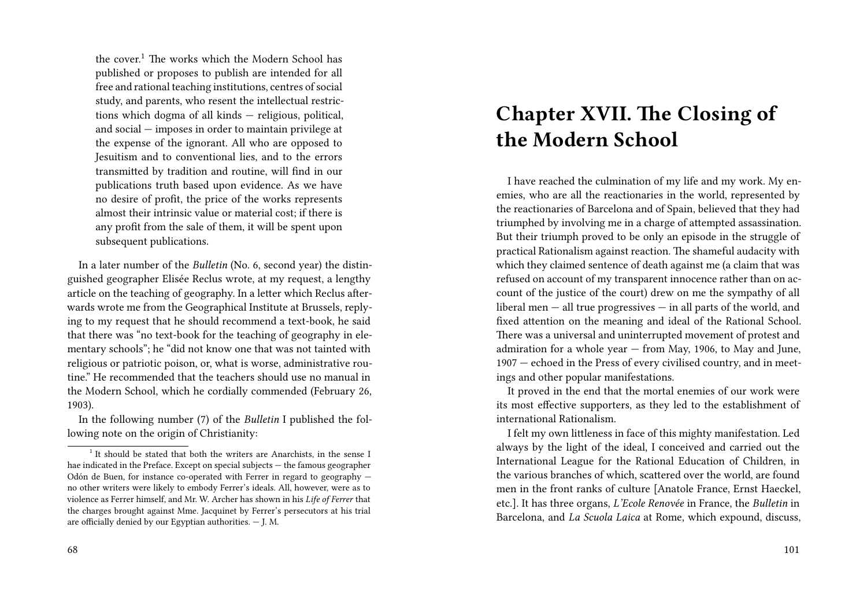the cover.<sup>1</sup> The works which the Modern School has published or proposes to publish are intended for all free and rational teaching institutions, centres of social study, and parents, who resent the intellectual restrictions which dogma of all kinds — religious, political, and social — imposes in order to maintain privilege at the expense of the ignorant. All who are opposed to Jesuitism and to conventional lies, and to the errors transmitted by tradition and routine, will find in our publications truth based upon evidence. As we have no desire of profit, the price of the works represents almost their intrinsic value or material cost; if there is any profit from the sale of them, it will be spent upon subsequent publications.

In a later number of the *Bulletin* (No. 6, second year) the distinguished geographer Elisée Reclus wrote, at my request, a lengthy article on the teaching of geography. In a letter which Reclus afterwards wrote me from the Geographical Institute at Brussels, replying to my request that he should recommend a text-book, he said that there was "no text-book for the teaching of geography in elementary schools"; he "did not know one that was not tainted with religious or patriotic poison, or, what is worse, administrative routine." He recommended that the teachers should use no manual in the Modern School, which he cordially commended (February 26, 1903).

In the following number (7) of the *Bulletin* I published the following note on the origin of Christianity:

# **Chapter XVII. The Closing of the Modern School**

I have reached the culmination of my life and my work. My enemies, who are all the reactionaries in the world, represented by the reactionaries of Barcelona and of Spain, believed that they had triumphed by involving me in a charge of attempted assassination. But their triumph proved to be only an episode in the struggle of practical Rationalism against reaction. The shameful audacity with which they claimed sentence of death against me (a claim that was refused on account of my transparent innocence rather than on account of the justice of the court) drew on me the sympathy of all liberal men — all true progressives — in all parts of the world, and fixed attention on the meaning and ideal of the Rational School. There was a universal and uninterrupted movement of protest and admiration for a whole year — from May, 1906, to May and June, 1907 — echoed in the Press of every civilised country, and in meetings and other popular manifestations.

It proved in the end that the mortal enemies of our work were its most effective supporters, as they led to the establishment of international Rationalism.

I felt my own littleness in face of this mighty manifestation. Led always by the light of the ideal, I conceived and carried out the International League for the Rational Education of Children, in the various branches of which, scattered over the world, are found men in the front ranks of culture [Anatole France, Ernst Haeckel, etc.]. It has three organs, *L'Ecole Renovée* in France, the *Bulletin* in Barcelona, and *La Scuola Laica* at Rome, which expound, discuss,

<sup>&</sup>lt;sup>1</sup> It should be stated that both the writers are Anarchists, in the sense I hae indicated in the Preface. Except on special subjects — the famous geographer Odón de Buen, for instance co-operated with Ferrer in regard to geography no other writers were likely to embody Ferrer's ideals. All, however, were as to violence as Ferrer himself, and Mr. W. Archer has shown in his *Life of Ferrer* that the charges brought against Mme. Jacquinet by Ferrer's persecutors at his trial are officially denied by our Egyptian authorities. — J. M.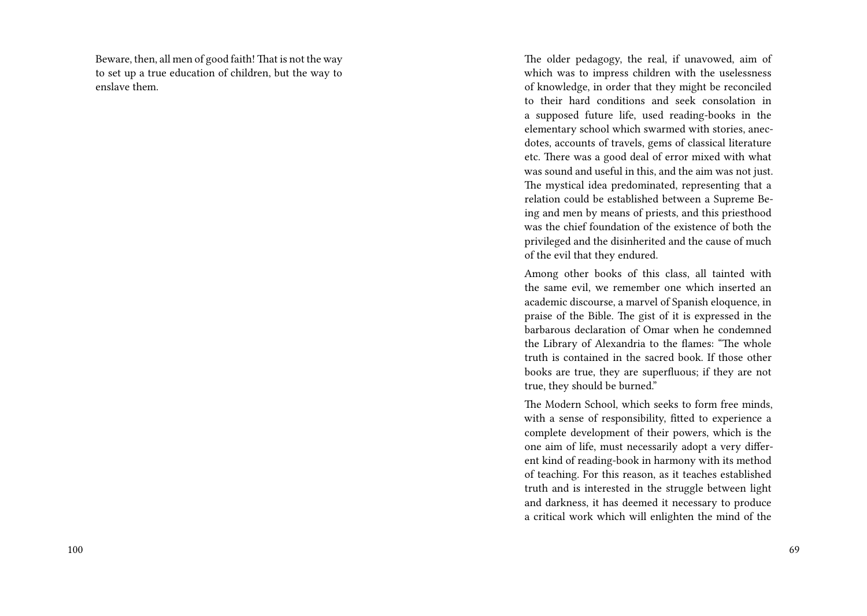Beware, then, all men of good faith! That is not the way to set up a true education of children, but the way to enslave them.

The older pedagogy, the real, if unavowed, aim of which was to impress children with the uselessness of knowledge, in order that they might be reconciled to their hard conditions and seek consolation in a supposed future life, used reading-books in the elementary school which swarmed with stories, anecdotes, accounts of travels, gems of classical literature etc. There was a good deal of error mixed with what was sound and useful in this, and the aim was not just. The mystical idea predominated, representing that a relation could be established between a Supreme Being and men by means of priests, and this priesthood was the chief foundation of the existence of both the privileged and the disinherited and the cause of much of the evil that they endured.

Among other books of this class, all tainted with the same evil, we remember one which inserted an academic discourse, a marvel of Spanish eloquence, in praise of the Bible. The gist of it is expressed in the barbarous declaration of Omar when he condemned the Library of Alexandria to the flames: "The whole truth is contained in the sacred book. If those other books are true, they are superfluous; if they are not true, they should be burned."

The Modern School, which seeks to form free minds, with a sense of responsibility, fitted to experience a complete development of their powers, which is the one aim of life, must necessarily adopt a very different kind of reading-book in harmony with its method of teaching. For this reason, as it teaches established truth and is interested in the struggle between light and darkness, it has deemed it necessary to produce a critical work which will enlighten the mind of the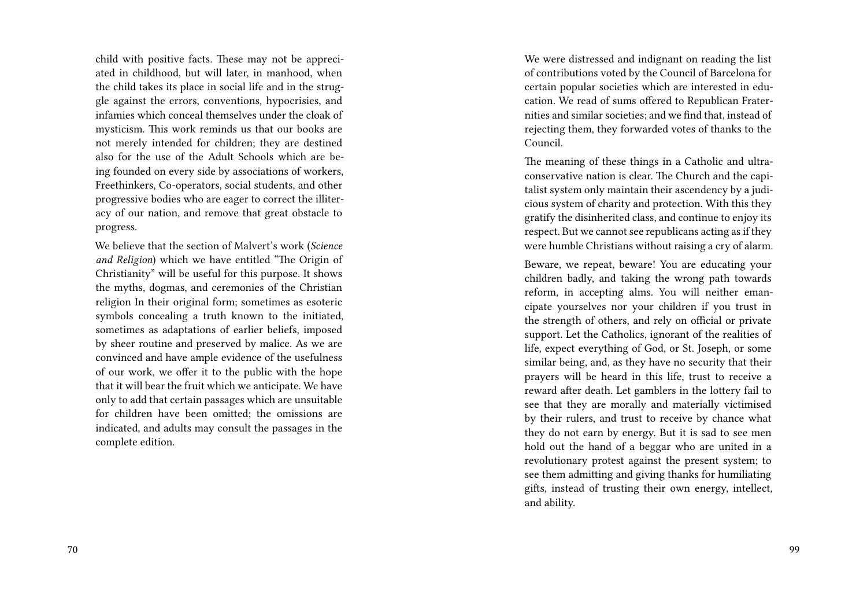child with positive facts. These may not be appreciated in childhood, but will later, in manhood, when the child takes its place in social life and in the struggle against the errors, conventions, hypocrisies, and infamies which conceal themselves under the cloak of mysticism. This work reminds us that our books are not merely intended for children; they are destined also for the use of the Adult Schools which are being founded on every side by associations of workers, Freethinkers, Co-operators, social students, and other progressive bodies who are eager to correct the illiteracy of our nation, and remove that great obstacle to progress.

We believe that the section of Malvert's work (*Science and Religion*) which we have entitled "The Origin of Christianity" will be useful for this purpose. It shows the myths, dogmas, and ceremonies of the Christian religion In their original form; sometimes as esoteric symbols concealing a truth known to the initiated, sometimes as adaptations of earlier beliefs, imposed by sheer routine and preserved by malice. As we are convinced and have ample evidence of the usefulness of our work, we offer it to the public with the hope that it will bear the fruit which we anticipate. We have only to add that certain passages which are unsuitable for children have been omitted; the omissions are indicated, and adults may consult the passages in the complete edition.

We were distressed and indignant on reading the list of contributions voted by the Council of Barcelona for certain popular societies which are interested in education. We read of sums offered to Republican Fraternities and similar societies; and we find that, instead of rejecting them, they forwarded votes of thanks to the Council.

The meaning of these things in a Catholic and ultraconservative nation is clear. The Church and the capitalist system only maintain their ascendency by a judicious system of charity and protection. With this they gratify the disinherited class, and continue to enjoy its respect. But we cannot see republicans acting as if they were humble Christians without raising a cry of alarm.

Beware, we repeat, beware! You are educating your children badly, and taking the wrong path towards reform, in accepting alms. You will neither emancipate yourselves nor your children if you trust in the strength of others, and rely on official or private support. Let the Catholics, ignorant of the realities of life, expect everything of God, or St. Joseph, or some similar being, and, as they have no security that their prayers will be heard in this life, trust to receive a reward after death. Let gamblers in the lottery fail to see that they are morally and materially victimised by their rulers, and trust to receive by chance what they do not earn by energy. But it is sad to see men hold out the hand of a beggar who are united in a revolutionary protest against the present system; to see them admitting and giving thanks for humiliating gifts, instead of trusting their own energy, intellect, and ability.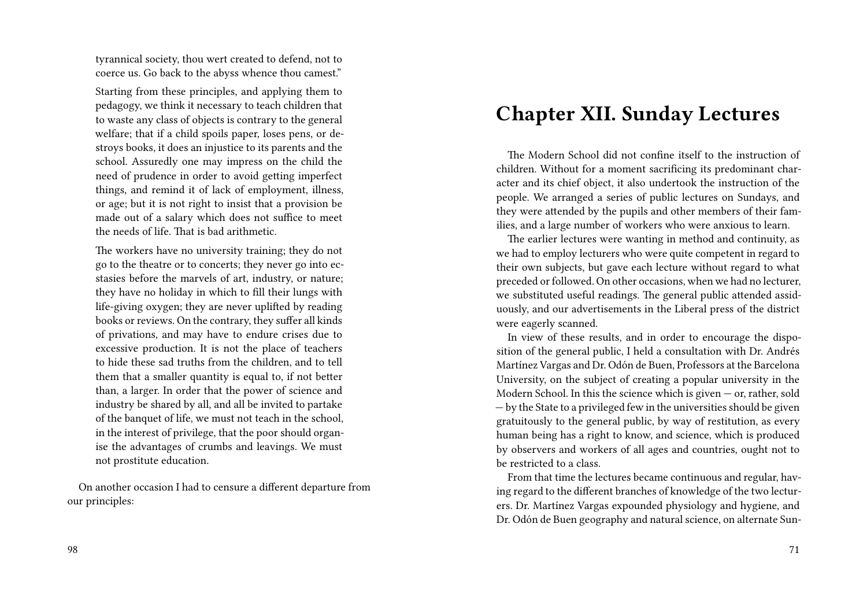tyrannical society, thou wert created to defend, not to coerce us. Go back to the abyss whence thou camest."

Starting from these principles, and applying them to pedagogy, we think it necessary to teach children that to waste any class of objects is contrary to the general welfare; that if a child spoils paper, loses pens, or destroys books, it does an injustice to its parents and the school. Assuredly one may impress on the child the need of prudence in order to avoid getting imperfect things, and remind it of lack of employment, illness, or age; but it is not right to insist that a provision be made out of a salary which does not suffice to meet the needs of life. That is bad arithmetic.

The workers have no university training; they do not go to the theatre or to concerts; they never go into ecstasies before the marvels of art, industry, or nature; they have no holiday in which to fill their lungs with life-giving oxygen; they are never uplifted by reading books or reviews. On the contrary, they suffer all kinds of privations, and may have to endure crises due to excessive production. It is not the place of teachers to hide these sad truths from the children, and to tell them that a smaller quantity is equal to, if not better than, a larger. In order that the power of science and industry be shared by all, and all be invited to partake of the banquet of life, we must not teach in the school, in the interest of privilege, that the poor should organise the advantages of crumbs and leavings. We must not prostitute education.

On another occasion I had to censure a different departure from our principles:

#### 98

# **Chapter XII. Sunday Lectures**

The Modern School did not confine itself to the instruction of children. Without for a moment sacrificing its predominant character and its chief object, it also undertook the instruction of the people. We arranged a series of public lectures on Sundays, and they were attended by the pupils and other members of their families, and a large number of workers who were anxious to learn.

The earlier lectures were wanting in method and continuity, as we had to employ lecturers who were quite competent in regard to their own subjects, but gave each lecture without regard to what preceded or followed. On other occasions, when we had no lecturer, we substituted useful readings. The general public attended assiduously, and our advertisements in the Liberal press of the district were eagerly scanned.

In view of these results, and in order to encourage the disposition of the general public, I held a consultation with Dr. Andrés Martínez Vargas and Dr. Odón de Buen, Professors at the Barcelona University, on the subject of creating a popular university in the Modern School. In this the science which is given — or, rather, sold — by the State to a privileged few in the universities should be given gratuitously to the general public, by way of restitution, as every human being has a right to know, and science, which is produced by observers and workers of all ages and countries, ought not to be restricted to a class.

From that time the lectures became continuous and regular, having regard to the different branches of knowledge of the two lecturers. Dr. Martínez Vargas expounded physiology and hygiene, and Dr. Odón de Buen geography and natural science, on alternate Sun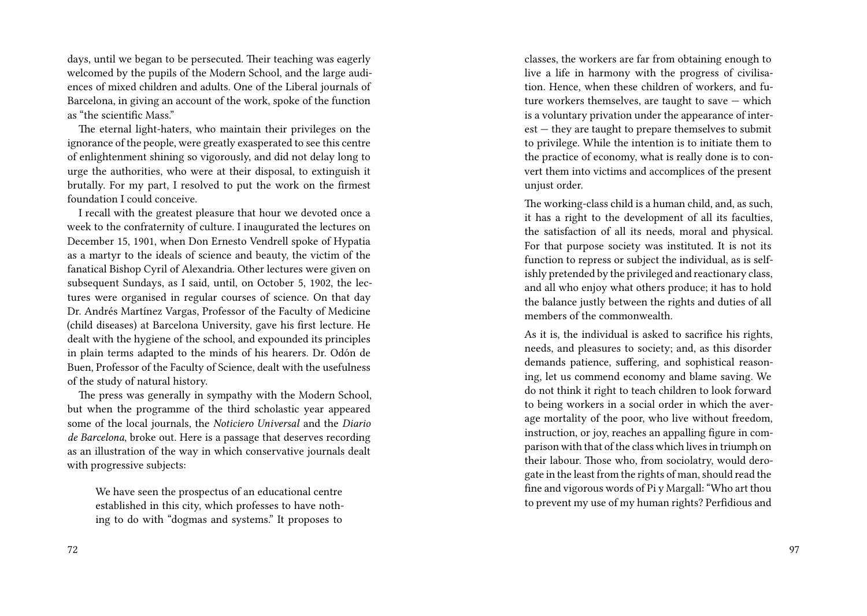days, until we began to be persecuted. Their teaching was eagerly welcomed by the pupils of the Modern School, and the large audiences of mixed children and adults. One of the Liberal journals of Barcelona, in giving an account of the work, spoke of the function as "the scientific Mass."

The eternal light-haters, who maintain their privileges on the ignorance of the people, were greatly exasperated to see this centre of enlightenment shining so vigorously, and did not delay long to urge the authorities, who were at their disposal, to extinguish it brutally. For my part, I resolved to put the work on the firmest foundation I could conceive.

I recall with the greatest pleasure that hour we devoted once a week to the confraternity of culture. I inaugurated the lectures on December 15, 1901, when Don Ernesto Vendrell spoke of Hypatia as a martyr to the ideals of science and beauty, the victim of the fanatical Bishop Cyril of Alexandria. Other lectures were given on subsequent Sundays, as I said, until, on October 5, 1902, the lectures were organised in regular courses of science. On that day Dr. Andrés Martínez Vargas, Professor of the Faculty of Medicine (child diseases) at Barcelona University, gave his first lecture. He dealt with the hygiene of the school, and expounded its principles in plain terms adapted to the minds of his hearers. Dr. Odón de Buen, Professor of the Faculty of Science, dealt with the usefulness of the study of natural history.

The press was generally in sympathy with the Modern School, but when the programme of the third scholastic year appeared some of the local journals, the *Noticiero Universal* and the *Diario de Barcelona*, broke out. Here is a passage that deserves recording as an illustration of the way in which conservative journals dealt with progressive subjects:

We have seen the prospectus of an educational centre established in this city, which professes to have nothing to do with "dogmas and systems." It proposes to

classes, the workers are far from obtaining enough to live a life in harmony with the progress of civilisation. Hence, when these children of workers, and future workers themselves, are taught to save — which is a voluntary privation under the appearance of interest — they are taught to prepare themselves to submit to privilege. While the intention is to initiate them to the practice of economy, what is really done is to convert them into victims and accomplices of the present unjust order.

The working-class child is a human child, and, as such, it has a right to the development of all its faculties, the satisfaction of all its needs, moral and physical. For that purpose society was instituted. It is not its function to repress or subject the individual, as is selfishly pretended by the privileged and reactionary class, and all who enjoy what others produce; it has to hold the balance justly between the rights and duties of all members of the commonwealth.

As it is, the individual is asked to sacrifice his rights, needs, and pleasures to society; and, as this disorder demands patience, suffering, and sophistical reasoning, let us commend economy and blame saving. We do not think it right to teach children to look forward to being workers in a social order in which the average mortality of the poor, who live without freedom, instruction, or joy, reaches an appalling figure in comparison with that of the class which lives in triumph on their labour. Those who, from sociolatry, would derogate in the least from the rights of man, should read the fine and vigorous words of Pi y Margall: "Who art thou to prevent my use of my human rights? Perfidious and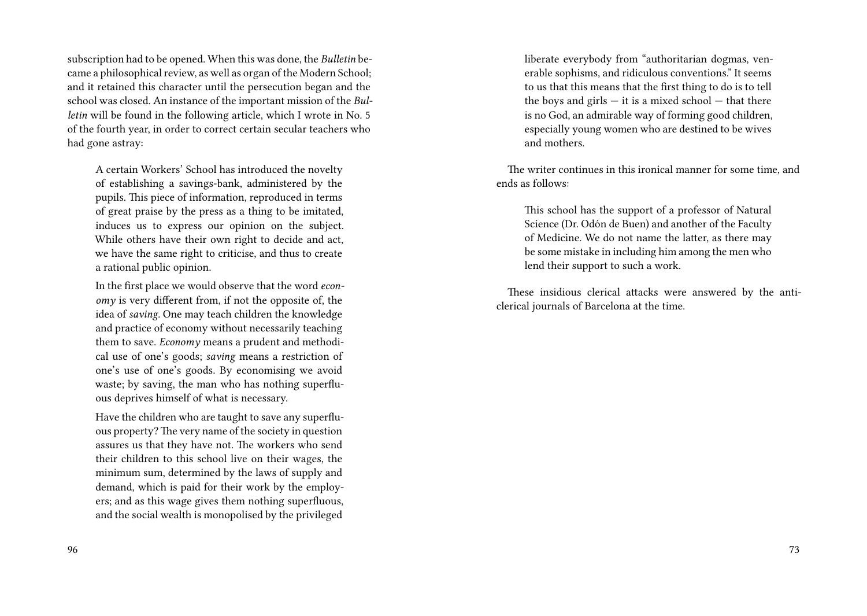subscription had to be opened. When this was done, the *Bulletin* became a philosophical review, as well as organ of the Modern School; and it retained this character until the persecution began and the school was closed. An instance of the important mission of the *Bulletin* will be found in the following article, which I wrote in No. 5 of the fourth year, in order to correct certain secular teachers who had gone astray:

A certain Workers' School has introduced the novelty of establishing a savings-bank, administered by the pupils. This piece of information, reproduced in terms of great praise by the press as a thing to be imitated, induces us to express our opinion on the subject. While others have their own right to decide and act, we have the same right to criticise, and thus to create a rational public opinion.

In the first place we would observe that the word *economy* is very different from, if not the opposite of, the idea of *saving.* One may teach children the knowledge and practice of economy without necessarily teaching them to save. *Economy* means a prudent and methodical use of one's goods; *saving* means a restriction of one's use of one's goods. By economising we avoid waste; by saving, the man who has nothing superfluous deprives himself of what is necessary.

Have the children who are taught to save any superfluous property? The very name of the society in question assures us that they have not. The workers who send their children to this school live on their wages, the minimum sum, determined by the laws of supply and demand, which is paid for their work by the employers; and as this wage gives them nothing superfluous, and the social wealth is monopolised by the privileged

liberate everybody from "authoritarian dogmas, venerable sophisms, and ridiculous conventions." It seems to us that this means that the first thing to do is to tell the boys and girls  $-$  it is a mixed school  $-$  that there is no God, an admirable way of forming good children, especially young women who are destined to be wives and mothers.

The writer continues in this ironical manner for some time, and ends as follows:

This school has the support of a professor of Natural Science (Dr. Odón de Buen) and another of the Faculty of Medicine. We do not name the latter, as there may be some mistake in including him among the men who lend their support to such a work.

These insidious clerical attacks were answered by the anticlerical journals of Barcelona at the time.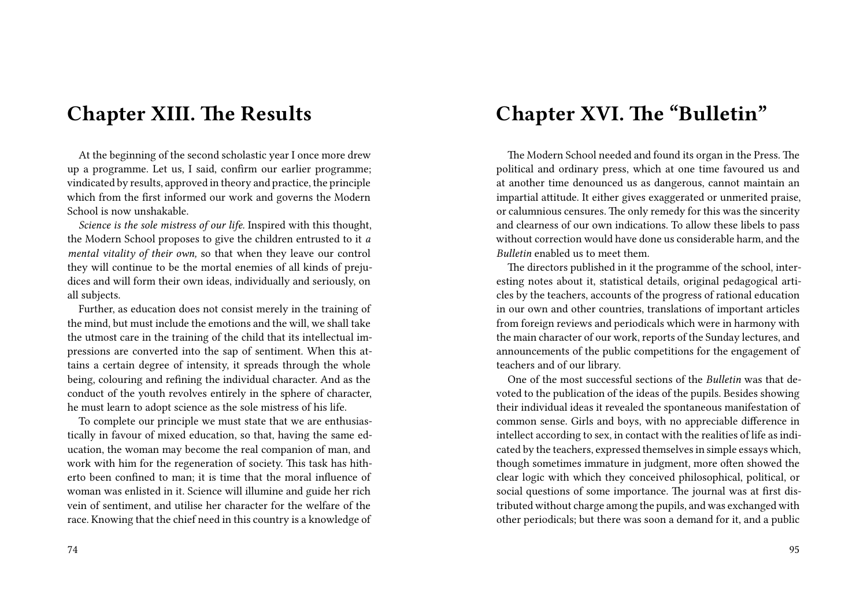### **Chapter XIII. The Results**

At the beginning of the second scholastic year I once more drew up a programme. Let us, I said, confirm our earlier programme; vindicated by results, approved in theory and practice, the principle which from the first informed our work and governs the Modern School is now unshakable.

*Science is the sole mistress of our life.* Inspired with this thought, the Modern School proposes to give the children entrusted to it *a mental vitality of their own,* so that when they leave our control they will continue to be the mortal enemies of all kinds of prejudices and will form their own ideas, individually and seriously, on all subjects.

Further, as education does not consist merely in the training of the mind, but must include the emotions and the will, we shall take the utmost care in the training of the child that its intellectual impressions are converted into the sap of sentiment. When this attains a certain degree of intensity, it spreads through the whole being, colouring and refining the individual character. And as the conduct of the youth revolves entirely in the sphere of character, he must learn to adopt science as the sole mistress of his life.

To complete our principle we must state that we are enthusiastically in favour of mixed education, so that, having the same education, the woman may become the real companion of man, and work with him for the regeneration of society. This task has hitherto been confined to man; it is time that the moral influence of woman was enlisted in it. Science will illumine and guide her rich vein of sentiment, and utilise her character for the welfare of the race. Knowing that the chief need in this country is a knowledge of

#### 74

## **Chapter XVI. The "Bulletin"**

The Modern School needed and found its organ in the Press. The political and ordinary press, which at one time favoured us and at another time denounced us as dangerous, cannot maintain an impartial attitude. It either gives exaggerated or unmerited praise, or calumnious censures. The only remedy for this was the sincerity and clearness of our own indications. To allow these libels to pass without correction would have done us considerable harm, and the *Bulletin* enabled us to meet them.

The directors published in it the programme of the school, interesting notes about it, statistical details, original pedagogical articles by the teachers, accounts of the progress of rational education in our own and other countries, translations of important articles from foreign reviews and periodicals which were in harmony with the main character of our work, reports of the Sunday lectures, and announcements of the public competitions for the engagement of teachers and of our library.

One of the most successful sections of the *Bulletin* was that devoted to the publication of the ideas of the pupils. Besides showing their individual ideas it revealed the spontaneous manifestation of common sense. Girls and boys, with no appreciable difference in intellect according to sex, in contact with the realities of life as indicated by the teachers, expressed themselves in simple essays which, though sometimes immature in judgment, more often showed the clear logic with which they conceived philosophical, political, or social questions of some importance. The journal was at first distributed without charge among the pupils, and was exchanged with other periodicals; but there was soon a demand for it, and a public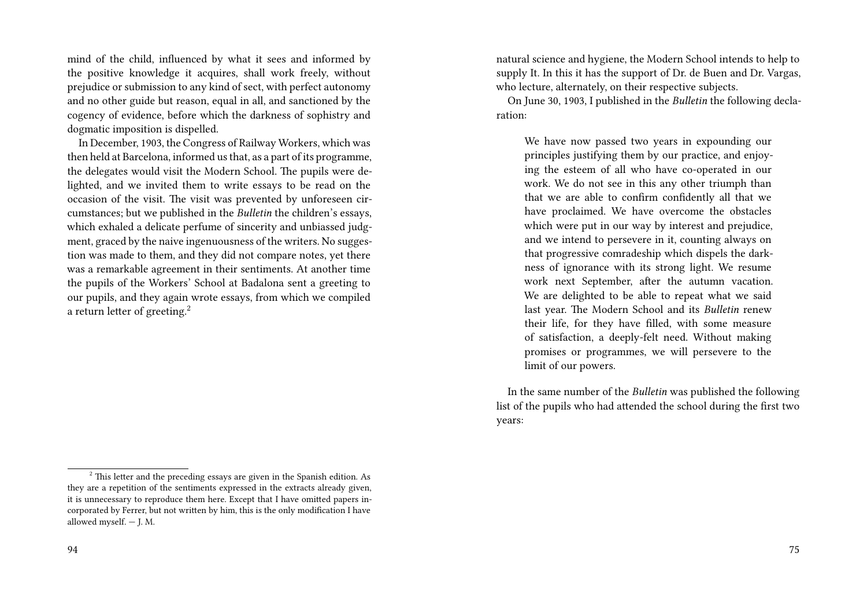mind of the child, influenced by what it sees and informed by the positive knowledge it acquires, shall work freely, without prejudice or submission to any kind of sect, with perfect autonomy and no other guide but reason, equal in all, and sanctioned by the cogency of evidence, before which the darkness of sophistry and dogmatic imposition is dispelled.

In December, 1903, the Congress of Railway Workers, which was then held at Barcelona, informed us that, as a part of its programme, the delegates would visit the Modern School. The pupils were delighted, and we invited them to write essays to be read on the occasion of the visit. The visit was prevented by unforeseen circumstances; but we published in the *Bulletin* the children's essays, which exhaled a delicate perfume of sincerity and unbiassed judgment, graced by the naive ingenuousness of the writers. No suggestion was made to them, and they did not compare notes, yet there was a remarkable agreement in their sentiments. At another time the pupils of the Workers' School at Badalona sent a greeting to our pupils, and they again wrote essays, from which we compiled a return letter of greeting.<sup>2</sup>

94

natural science and hygiene, the Modern School intends to help to supply It. In this it has the support of Dr. de Buen and Dr. Vargas, who lecture, alternately, on their respective subjects.

On June 30, 1903, I published in the *Bulletin* the following declaration:

We have now passed two years in expounding our principles justifying them by our practice, and enjoying the esteem of all who have co-operated in our work. We do not see in this any other triumph than that we are able to confirm confidently all that we have proclaimed. We have overcome the obstacles which were put in our way by interest and prejudice, and we intend to persevere in it, counting always on that progressive comradeship which dispels the darkness of ignorance with its strong light. We resume work next September, after the autumn vacation. We are delighted to be able to repeat what we said last year. The Modern School and its *Bulletin* renew their life, for they have filled, with some measure of satisfaction, a deeply-felt need. Without making promises or programmes, we will persevere to the limit of our powers.

In the same number of the *Bulletin* was published the following list of the pupils who had attended the school during the first two years:

 $2$ <sup>2</sup> This letter and the preceding essays are given in the Spanish edition. As they are a repetition of the sentiments expressed in the extracts already given, it is unnecessary to reproduce them here. Except that I have omitted papers incorporated by Ferrer, but not written by him, this is the only modification I have allowed myself. — J. M.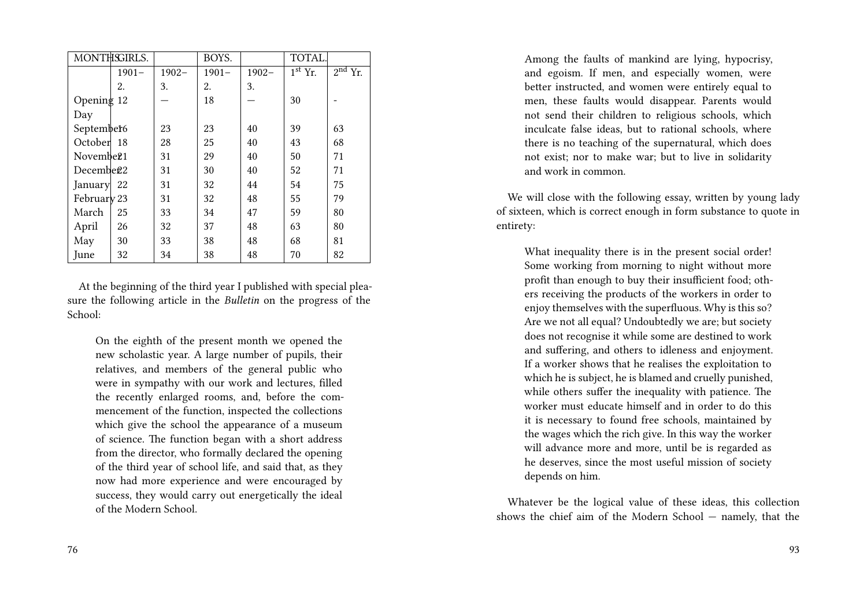| MONTHSGIRLS.          |          |          | BOYS.    |          | TOTAL.                         |           |
|-----------------------|----------|----------|----------|----------|--------------------------------|-----------|
|                       | $1901 -$ | $1902 -$ | $1901 -$ | $1902 -$ | $\overline{1}^{\text{st}}$ Yr. | $2nd$ Yr. |
|                       | 2.       | 3.       | 2.       | 3.       |                                |           |
| Opening 12            |          |          | 18       |          | 30                             |           |
| Day                   |          |          |          |          |                                |           |
| September6            |          | 23       | 23       | 40       | 39                             | 63        |
| October <sup>18</sup> |          | 28       | 25       | 40       | 43                             | 68        |
| Novembe <sub>21</sub> |          | 31       | 29       | 40       | 50                             | 71        |
| Decembe <sub>22</sub> |          | 31       | 30       | 40       | 52                             | 71        |
| January 22            |          | 31       | 32       | 44       | 54                             | 75        |
| February 23           |          | 31       | 32       | 48       | 55                             | 79        |
| March                 | 25       | 33       | 34       | 47       | 59                             | 80        |
| April                 | 26       | 32       | 37       | 48       | 63                             | 80        |
| May                   | 30       | 33       | 38       | 48       | 68                             | 81        |
| June                  | 32       | 34       | 38       | 48       | 70                             | 82        |

At the beginning of the third year I published with special pleasure the following article in the *Bulletin* on the progress of the School:

On the eighth of the present month we opened the new scholastic year. A large number of pupils, their relatives, and members of the general public who were in sympathy with our work and lectures, filled the recently enlarged rooms, and, before the commencement of the function, inspected the collections which give the school the appearance of a museum of science. The function began with a short address from the director, who formally declared the opening of the third year of school life, and said that, as they now had more experience and were encouraged by success, they would carry out energetically the ideal of the Modern School.

Among the faults of mankind are lying, hypocrisy, and egoism. If men, and especially women, were better instructed, and women were entirely equal to men, these faults would disappear. Parents would not send their children to religious schools, which inculcate false ideas, but to rational schools, where there is no teaching of the supernatural, which does not exist; nor to make war; but to live in solidarity and work in common.

We will close with the following essay, written by young lady of sixteen, which is correct enough in form substance to quote in entirety:

What inequality there is in the present social order! Some working from morning to night without more profit than enough to buy their insufficient food; others receiving the products of the workers in order to enjoy themselves with the superfluous. Why is this so? Are we not all equal? Undoubtedly we are; but society does not recognise it while some are destined to work and suffering, and others to idleness and enjoyment. If a worker shows that he realises the exploitation to which he is subject, he is blamed and cruelly punished, while others suffer the inequality with patience. The worker must educate himself and in order to do this it is necessary to found free schools, maintained by the wages which the rich give. In this way the worker will advance more and more, until be is regarded as he deserves, since the most useful mission of society depends on him.

Whatever be the logical value of these ideas, this collection shows the chief aim of the Modern School — namely, that the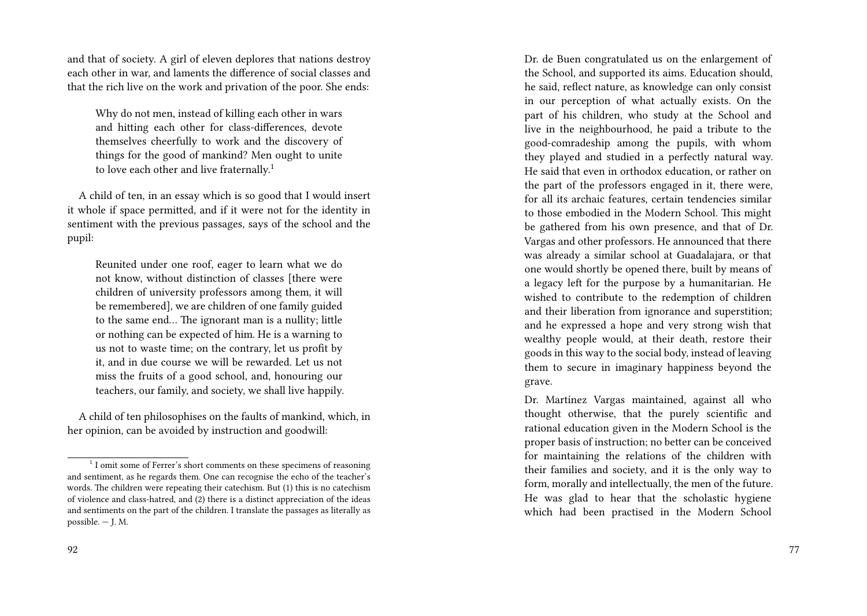and that of society. A girl of eleven deplores that nations destroy each other in war, and laments the difference of social classes and that the rich live on the work and privation of the poor. She ends:

Why do not men, instead of killing each other in wars and hitting each other for class-differences, devote themselves cheerfully to work and the discovery of things for the good of mankind? Men ought to unite to love each other and live fraternally.<sup>1</sup>

A child of ten, in an essay which is so good that I would insert it whole if space permitted, and if it were not for the identity in sentiment with the previous passages, says of the school and the pupil:

Reunited under one roof, eager to learn what we do not know, without distinction of classes [there were children of university professors among them, it will be remembered], we are children of one family guided to the same end… The ignorant man is a nullity; little or nothing can be expected of him. He is a warning to us not to waste time; on the contrary, let us profit by it, and in due course we will be rewarded. Let us not miss the fruits of a good school, and, honouring our teachers, our family, and society, we shall live happily.

A child of ten philosophises on the faults of mankind, which, in her opinion, can be avoided by instruction and goodwill:

Dr. de Buen congratulated us on the enlargement of the School, and supported its aims. Education should, he said, reflect nature, as knowledge can only consist in our perception of what actually exists. On the part of his children, who study at the School and live in the neighbourhood, he paid a tribute to the good-comradeship among the pupils, with whom they played and studied in a perfectly natural way. He said that even in orthodox education, or rather on the part of the professors engaged in it, there were, for all its archaic features, certain tendencies similar to those embodied in the Modern School. This might be gathered from his own presence, and that of Dr. Vargas and other professors. He announced that there was already a similar school at Guadalajara, or that one would shortly be opened there, built by means of a legacy left for the purpose by a humanitarian. He wished to contribute to the redemption of children and their liberation from ignorance and superstition; and he expressed a hope and very strong wish that wealthy people would, at their death, restore their goods in this way to the social body, instead of leaving them to secure in imaginary happiness beyond the grave.

Dr. Martínez Vargas maintained, against all who thought otherwise, that the purely scientific and rational education given in the Modern School is the proper basis of instruction; no better can be conceived for maintaining the relations of the children with their families and society, and it is the only way to form, morally and intellectually, the men of the future. He was glad to hear that the scholastic hygiene which had been practised in the Modern School

<sup>&</sup>lt;sup>1</sup> I omit some of Ferrer's short comments on these specimens of reasoning and sentiment, as he regards them. One can recognise the echo of the teacher's words. The children were repeating their catechism. But (1) this is no catechism of violence and class-hatred, and (2) there is a distinct appreciation of the ideas and sentiments on the part of the children. I translate the passages as literally as possible. — J. M.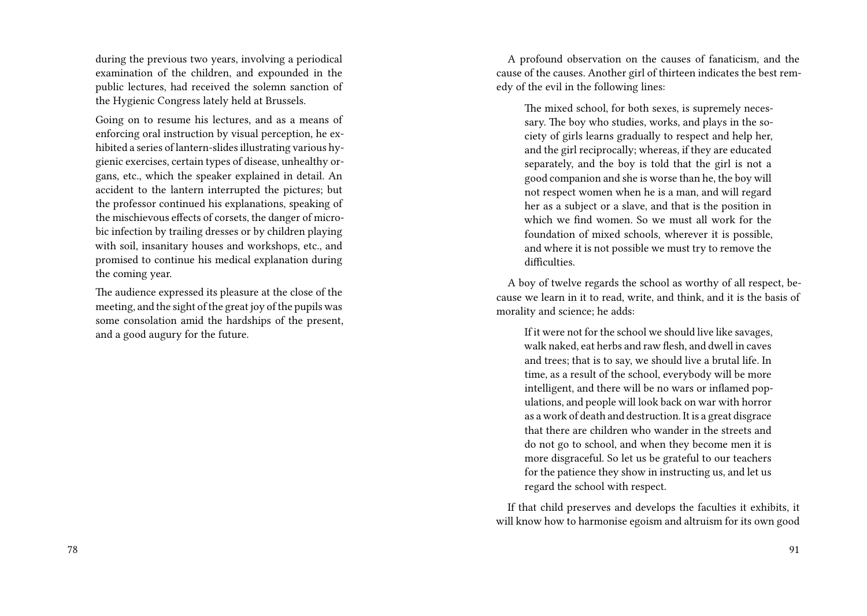during the previous two years, involving a periodical examination of the children, and expounded in the public lectures, had received the solemn sanction of the Hygienic Congress lately held at Brussels.

Going on to resume his lectures, and as a means of enforcing oral instruction by visual perception, he exhibited a series of lantern-slides illustrating various hygienic exercises, certain types of disease, unhealthy organs, etc., which the speaker explained in detail. An accident to the lantern interrupted the pictures; but the professor continued his explanations, speaking of the mischievous effects of corsets, the danger of microbic infection by trailing dresses or by children playing with soil, insanitary houses and workshops, etc., and promised to continue his medical explanation during the coming year.

The audience expressed its pleasure at the close of the meeting, and the sight of the great joy of the pupils was some consolation amid the hardships of the present, and a good augury for the future.

A profound observation on the causes of fanaticism, and the cause of the causes. Another girl of thirteen indicates the best remedy of the evil in the following lines:

The mixed school, for both sexes, is supremely necessary. The boy who studies, works, and plays in the society of girls learns gradually to respect and help her, and the girl reciprocally; whereas, if they are educated separately, and the boy is told that the girl is not a good companion and she is worse than he, the boy will not respect women when he is a man, and will regard her as a subject or a slave, and that is the position in which we find women. So we must all work for the foundation of mixed schools, wherever it is possible, and where it is not possible we must try to remove the difficulties.

A boy of twelve regards the school as worthy of all respect, because we learn in it to read, write, and think, and it is the basis of morality and science; he adds:

If it were not for the school we should live like savages, walk naked, eat herbs and raw flesh, and dwell in caves and trees; that is to say, we should live a brutal life. In time, as a result of the school, everybody will be more intelligent, and there will be no wars or inflamed populations, and people will look back on war with horror as a work of death and destruction. It is a great disgrace that there are children who wander in the streets and do not go to school, and when they become men it is more disgraceful. So let us be grateful to our teachers for the patience they show in instructing us, and let us regard the school with respect.

If that child preserves and develops the faculties it exhibits, it will know how to harmonise egoism and altruism for its own good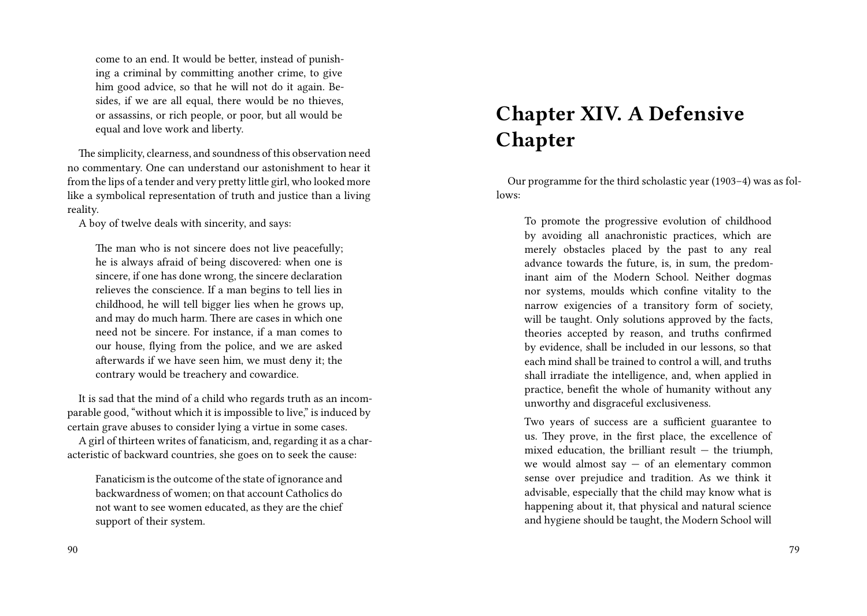come to an end. It would be better, instead of punishing a criminal by committing another crime, to give him good advice, so that he will not do it again. Besides, if we are all equal, there would be no thieves, or assassins, or rich people, or poor, but all would be equal and love work and liberty.

The simplicity, clearness, and soundness of this observation need no commentary. One can understand our astonishment to hear it from the lips of a tender and very pretty little girl, who looked more like a symbolical representation of truth and justice than a living reality.

A boy of twelve deals with sincerity, and says:

The man who is not sincere does not live peacefully; he is always afraid of being discovered: when one is sincere, if one has done wrong, the sincere declaration relieves the conscience. If a man begins to tell lies in childhood, he will tell bigger lies when he grows up, and may do much harm. There are cases in which one need not be sincere. For instance, if a man comes to our house, flying from the police, and we are asked afterwards if we have seen him, we must deny it; the contrary would be treachery and cowardice.

It is sad that the mind of a child who regards truth as an incomparable good, "without which it is impossible to live," is induced by certain grave abuses to consider lying a virtue in some cases.

A girl of thirteen writes of fanaticism, and, regarding it as a characteristic of backward countries, she goes on to seek the cause:

Fanaticism is the outcome of the state of ignorance and backwardness of women; on that account Catholics do not want to see women educated, as they are the chief support of their system.

#### 90

# **Chapter XIV. A Defensive Chapter**

Our programme for the third scholastic year (1903–4) was as follows:

To promote the progressive evolution of childhood by avoiding all anachronistic practices, which are merely obstacles placed by the past to any real advance towards the future, is, in sum, the predominant aim of the Modern School. Neither dogmas nor systems, moulds which confine vitality to the narrow exigencies of a transitory form of society, will be taught. Only solutions approved by the facts, theories accepted by reason, and truths confirmed by evidence, shall be included in our lessons, so that each mind shall be trained to control a will, and truths shall irradiate the intelligence, and, when applied in practice, benefit the whole of humanity without any unworthy and disgraceful exclusiveness.

Two years of success are a sufficient guarantee to us. They prove, in the first place, the excellence of mixed education, the brilliant result  $-$  the triumph, we would almost say  $-$  of an elementary common sense over prejudice and tradition. As we think it advisable, especially that the child may know what is happening about it, that physical and natural science and hygiene should be taught, the Modern School will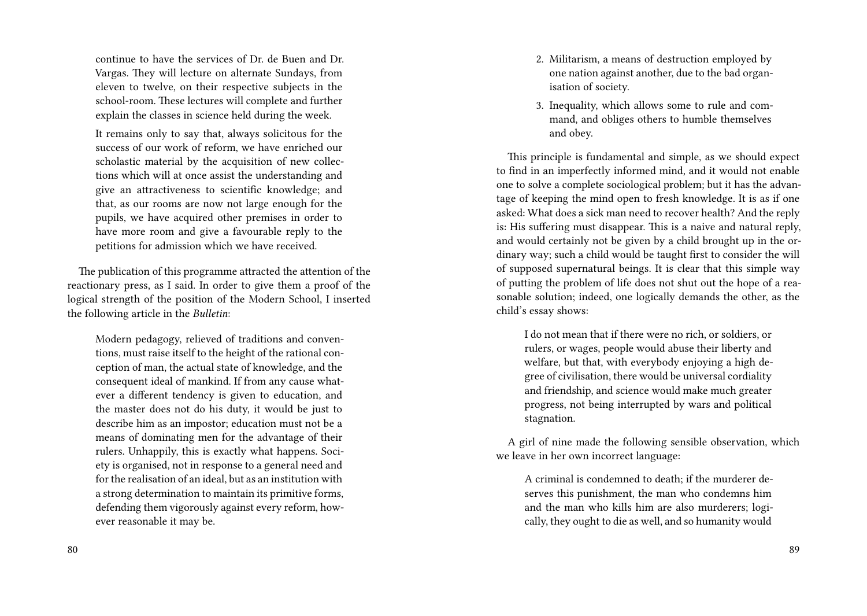continue to have the services of Dr. de Buen and Dr. Vargas. They will lecture on alternate Sundays, from eleven to twelve, on their respective subjects in the school-room. These lectures will complete and further explain the classes in science held during the week.

It remains only to say that, always solicitous for the success of our work of reform, we have enriched our scholastic material by the acquisition of new collections which will at once assist the understanding and give an attractiveness to scientific knowledge; and that, as our rooms are now not large enough for the pupils, we have acquired other premises in order to have more room and give a favourable reply to the petitions for admission which we have received.

The publication of this programme attracted the attention of the reactionary press, as I said. In order to give them a proof of the logical strength of the position of the Modern School, I inserted the following article in the *Bulletin*:

Modern pedagogy, relieved of traditions and conventions, must raise itself to the height of the rational conception of man, the actual state of knowledge, and the consequent ideal of mankind. If from any cause whatever a different tendency is given to education, and the master does not do his duty, it would be just to describe him as an impostor; education must not be a means of dominating men for the advantage of their rulers. Unhappily, this is exactly what happens. Society is organised, not in response to a general need and for the realisation of an ideal, but as an institution with a strong determination to maintain its primitive forms, defending them vigorously against every reform, however reasonable it may be.

- 2. Militarism, a means of destruction employed by one nation against another, due to the bad organisation of society.
- 3. Inequality, which allows some to rule and command, and obliges others to humble themselves and obey.

This principle is fundamental and simple, as we should expect to find in an imperfectly informed mind, and it would not enable one to solve a complete sociological problem; but it has the advantage of keeping the mind open to fresh knowledge. It is as if one asked: What does a sick man need to recover health? And the reply is: His suffering must disappear. This is a naive and natural reply, and would certainly not be given by a child brought up in the ordinary way; such a child would be taught first to consider the will of supposed supernatural beings. It is clear that this simple way of putting the problem of life does not shut out the hope of a reasonable solution; indeed, one logically demands the other, as the child's essay shows:

I do not mean that if there were no rich, or soldiers, or rulers, or wages, people would abuse their liberty and welfare, but that, with everybody enjoying a high degree of civilisation, there would be universal cordiality and friendship, and science would make much greater progress, not being interrupted by wars and political stagnation.

A girl of nine made the following sensible observation, which we leave in her own incorrect language:

A criminal is condemned to death; if the murderer deserves this punishment, the man who condemns him and the man who kills him are also murderers; logically, they ought to die as well, and so humanity would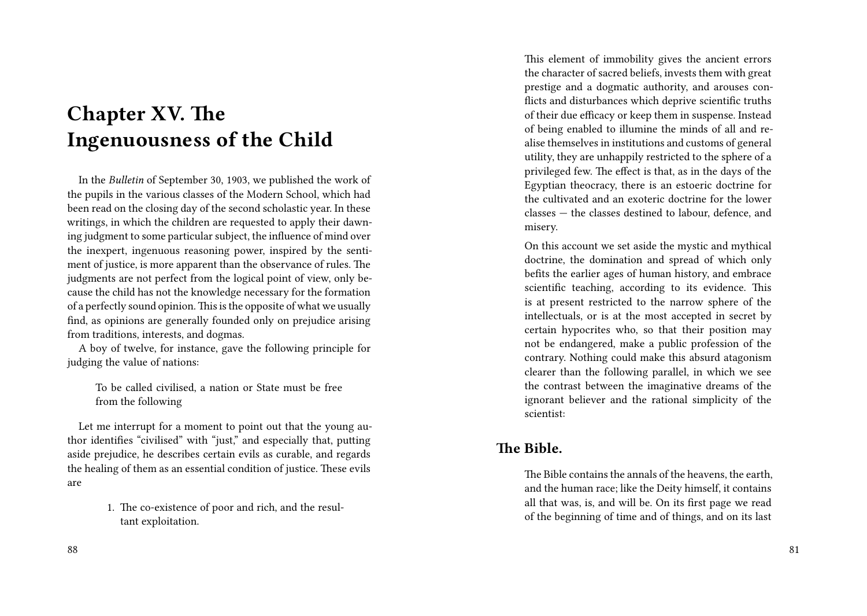# **Chapter XV. The Ingenuousness of the Child**

In the *Bulletin* of September 30, 1903, we published the work of the pupils in the various classes of the Modern School, which had been read on the closing day of the second scholastic year. In these writings, in which the children are requested to apply their dawning judgment to some particular subject, the influence of mind over the inexpert, ingenuous reasoning power, inspired by the sentiment of justice, is more apparent than the observance of rules. The judgments are not perfect from the logical point of view, only because the child has not the knowledge necessary for the formation of a perfectly sound opinion.This is the opposite of what we usually find, as opinions are generally founded only on prejudice arising from traditions, interests, and dogmas.

A boy of twelve, for instance, gave the following principle for judging the value of nations:

To be called civilised, a nation or State must be free from the following

Let me interrupt for a moment to point out that the young author identifies "civilised" with "just," and especially that, putting aside prejudice, he describes certain evils as curable, and regards the healing of them as an essential condition of justice. These evils are

> 1. The co-existence of poor and rich, and the resultant exploitation.

This element of immobility gives the ancient errors the character of sacred beliefs, invests them with great prestige and a dogmatic authority, and arouses conflicts and disturbances which deprive scientific truths of their due efficacy or keep them in suspense. Instead of being enabled to illumine the minds of all and realise themselves in institutions and customs of general utility, they are unhappily restricted to the sphere of a privileged few. The effect is that, as in the days of the Egyptian theocracy, there is an estoeric doctrine for the cultivated and an exoteric doctrine for the lower classes — the classes destined to labour, defence, and misery.

On this account we set aside the mystic and mythical doctrine, the domination and spread of which only befits the earlier ages of human history, and embrace scientific teaching, according to its evidence. This is at present restricted to the narrow sphere of the intellectuals, or is at the most accepted in secret by certain hypocrites who, so that their position may not be endangered, make a public profession of the contrary. Nothing could make this absurd atagonism clearer than the following parallel, in which we see the contrast between the imaginative dreams of the ignorant believer and the rational simplicity of the scientist:

### **The Bible.**

The Bible contains the annals of the heavens, the earth, and the human race; like the Deity himself, it contains all that was, is, and will be. On its first page we read of the beginning of time and of things, and on its last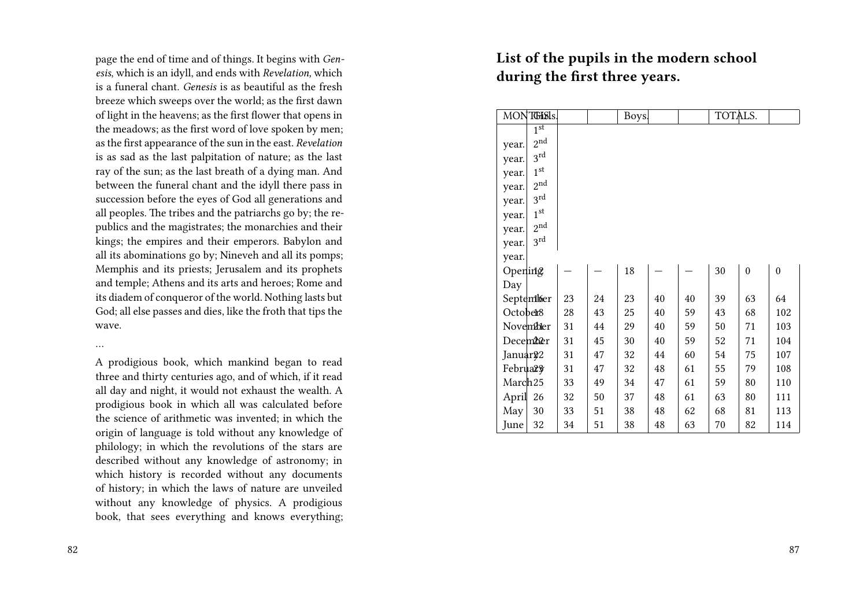page the end of time and of things. It begins with *Genesis*, which is an idyll, and ends with *Revelation,* which is a funeral chant. *Genesis* is as beautiful as the fresh breeze which sweeps over the world; as the first dawn of light in the heavens; as the first flower that opens in the meadows; as the first word of love spoken by men; as the first appearance of the sun in the east. *Revelation* is as sad as the last palpitation of nature; as the last ray of the sun; as the last breath of a dying man. And between the funeral chant and the idyll there pass in succession before the eyes of God all generations and all peoples. The tribes and the patriarchs go by; the republics and the magistrates; the monarchies and their kings; the empires and their emperors. Babylon and all its abominations go by; Nineveh and all its pomps; Memphis and its priests; Jerusalem and its prophets and temple; Athens and its arts and heroes; Rome and its diadem of conqueror of the world. Nothing lasts but God; all else passes and dies, like the froth that tips the wave.

…

A prodigious book, which mankind began to read three and thirty centuries ago, and of which, if it read all day and night, it would not exhaust the wealth. A prodigious book in which all was calculated before the science of arithmetic was invented; in which the origin of language is told without any knowledge of philology; in which the revolutions of the stars are described without any knowledge of astronomy; in which history is recorded without any documents of history; in which the laws of nature are unveiled without any knowledge of physics. A prodigious book, that sees everything and knows everything;

#### 82

### **List of the pupils in the modern school during the first three years.**

|                      | MONTGISIS.        |    |    | Boys. |    |    | TOTALS. |    |                  |
|----------------------|-------------------|----|----|-------|----|----|---------|----|------------------|
|                      | 1 <sup>st</sup>   |    |    |       |    |    |         |    |                  |
| year.                | $2^{\mathrm{nd}}$ |    |    |       |    |    |         |    |                  |
| year.                | 3 <sup>rd</sup>   |    |    |       |    |    |         |    |                  |
| year.                | 1 <sup>st</sup>   |    |    |       |    |    |         |    |                  |
| year.                | 2 <sub>nd</sub>   |    |    |       |    |    |         |    |                  |
| year.                | 3rd               |    |    |       |    |    |         |    |                  |
| year.                | 1 <sup>st</sup>   |    |    |       |    |    |         |    |                  |
| year.                | 2 <sub>nd</sub>   |    |    |       |    |    |         |    |                  |
| year.                | 3 <sup>rd</sup>   |    |    |       |    |    |         |    |                  |
| year.                |                   |    |    |       |    |    |         |    |                  |
| Opening              |                   |    |    | 18    |    |    | 30      | 0  | $\boldsymbol{0}$ |
| Day                  |                   |    |    |       |    |    |         |    |                  |
|                      | September         | 23 | 24 | 23    | 40 | 40 | 39      | 63 | 64               |
| October <sup>8</sup> |                   | 28 | 43 | 25    | 40 | 59 | 43      | 68 | 102              |
|                      | Novembler         | 31 | 44 | 29    | 40 | 59 | 50      | 71 | 103              |
| December             |                   | 31 | 45 | 30    | 40 | 59 | 52      | 71 | 104              |
| Januar <sup>22</sup> |                   | 31 | 47 | 32    | 44 | 60 | 54      | 75 | 107              |
| Februars             |                   | 31 | 47 | 32    | 48 | 61 | 55      | 79 | 108              |
| March <sub>25</sub>  |                   | 33 | 49 | 34    | 47 | 61 | 59      | 80 | 110              |
| April                | 26                | 32 | 50 | 37    | 48 | 61 | 63      | 80 | 111              |
| May                  | 30                | 33 | 51 | 38    | 48 | 62 | 68      | 81 | 113              |
| June                 | 32                | 34 | 51 | 38    | 48 | 63 | 70      | 82 | 114              |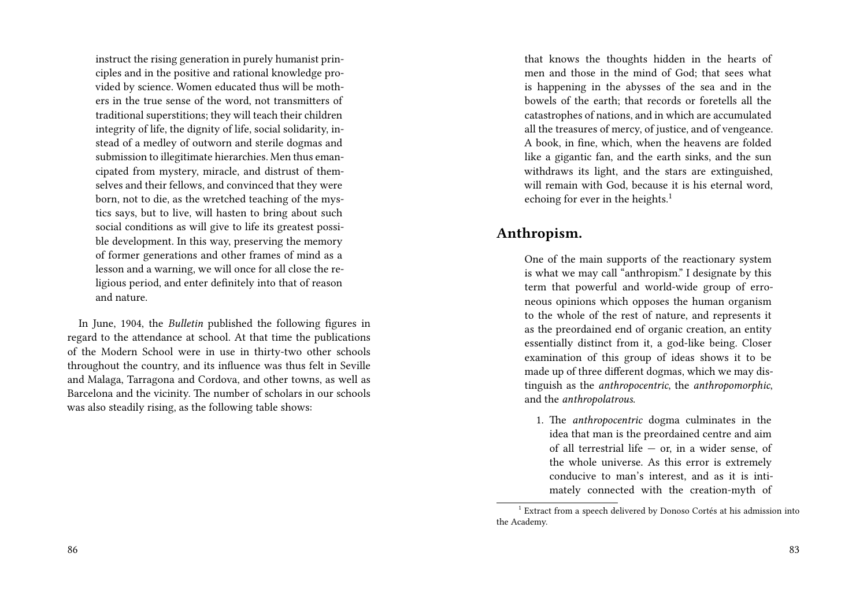instruct the rising generation in purely humanist principles and in the positive and rational knowledge provided by science. Women educated thus will be mothers in the true sense of the word, not transmitters of traditional superstitions; they will teach their children integrity of life, the dignity of life, social solidarity, instead of a medley of outworn and sterile dogmas and submission to illegitimate hierarchies. Men thus emancipated from mystery, miracle, and distrust of themselves and their fellows, and convinced that they were born, not to die, as the wretched teaching of the mystics says, but to live, will hasten to bring about such social conditions as will give to life its greatest possible development. In this way, preserving the memory of former generations and other frames of mind as a lesson and a warning, we will once for all close the religious period, and enter definitely into that of reason and nature.

In June, 1904, the *Bulletin* published the following figures in regard to the attendance at school. At that time the publications of the Modern School were in use in thirty-two other schools throughout the country, and its influence was thus felt in Seville and Malaga, Tarragona and Cordova, and other towns, as well as Barcelona and the vicinity. The number of scholars in our schools was also steadily rising, as the following table shows:

that knows the thoughts hidden in the hearts of men and those in the mind of God; that sees what is happening in the abysses of the sea and in the bowels of the earth; that records or foretells all the catastrophes of nations, and in which are accumulated all the treasures of mercy, of justice, and of vengeance. A book, in fine, which, when the heavens are folded like a gigantic fan, and the earth sinks, and the sun withdraws its light, and the stars are extinguished, will remain with God, because it is his eternal word, echoing for ever in the heights.<sup>1</sup>

### **Anthropism.**

One of the main supports of the reactionary system is what we may call "anthropism." I designate by this term that powerful and world-wide group of erroneous opinions which opposes the human organism to the whole of the rest of nature, and represents it as the preordained end of organic creation, an entity essentially distinct from it, a god-like being. Closer examination of this group of ideas shows it to be made up of three different dogmas, which we may distinguish as the *anthropocentric*, the *anthropomorphic*, and the *anthropolatrous*.

1. The *anthropocentric* dogma culminates in the idea that man is the preordained centre and aim of all terrestrial life — or, in a wider sense, of the whole universe. As this error is extremely conducive to man's interest, and as it is intimately connected with the creation-myth of

<sup>&</sup>lt;sup>1</sup> Extract from a speech delivered by Donoso Cortés at his admission into the Academy.